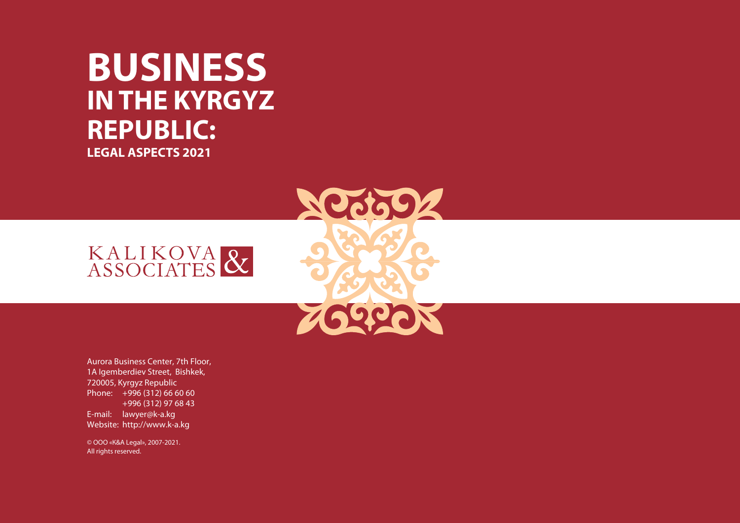# **BUSINESS IN THE KYRGYZ REPUBLIC: LEGAL ASPECTS 2021**

**NO0602** 

**ZOQCON** 



Aurora Business Center, 7th Floor, 1A Igemberdiev Street, Bishkek, 720005, Kyrgyz Republic Phone: +996 (312) 66 60 60 +996 (312) 97 68 43 E-mail: lawyer@k-a.kg Website: http://www.k-a.kg

© ООО «К&A Legal», 2007-2021. All rights reserved.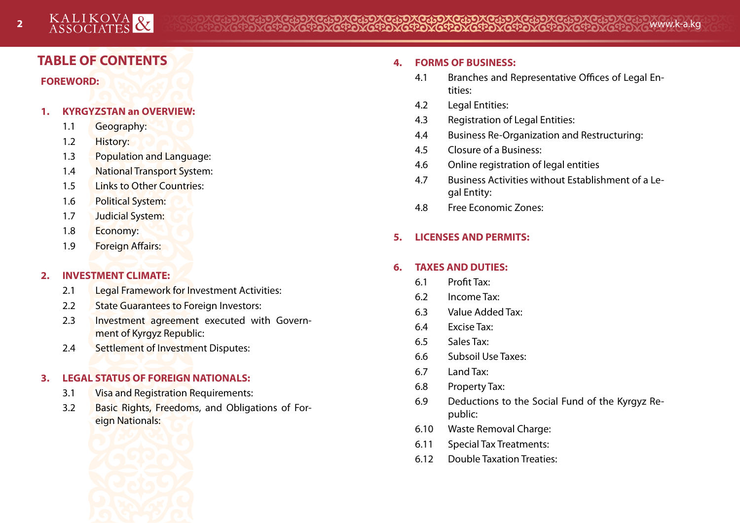# **TABLE OF CONTENTS**

**FOREWORD:**

#### **1. KYRGYZSTAN an OVERVIEW:**

- 1.1 Geography:
- 1.2 History:
- 1.3 Population and Language:
- 1.4 National Transport System:
- 1.5 Links to Other Countries:
- 1.6 Political System:
- 1.7 Judicial System:
- 1.8 Economy:
- 1.9 Foreign Affairs:

# **2. INVESTMENT CLIMATE:**

- 2.1 Legal Framework for Investment Activities:
- 2.2 State Guarantees to Foreign Investors:
- 2.3 Investment agreement executed with Government of Kyrgyz Republic:
- 2.4 Settlement of Investment Disputes:

# **3. LEGAL STATUS OF FOREIGN NATIONALS:**

- 3.1 Visa and Registration Requirements:
- 3.2 Basic Rights, Freedoms, and Obligations of Foreign Nationals:



#### **4. FORMS OF BUSINESS:**

- 4.1 Branches and Representative Offices of Legal Entities:
- 4.2 Legal Entities:
- 4.3 Registration of Legal Entities:
- 4.4 Business Re-Organization and Restructuring:
- 4.5 Closure of a Business:
- 4.6 Online registration of legal entities
- 4.7 Business Activities without Establishment of a Legal Entity:
- 4.8 Free Economic Zones:

# **5. LICENSES AND PERMITS:**

# **6. TAXES AND DUTIES:**

- 6.1 Profit Tax:
- 6.2 Income Tax:
- 6.3 Value Added Tax:
- 6.4 Excise Tax:
- 6.5 Sales Tax:
- 6.6 Subsoil Use Taxes:
- 6.7 Land Tax:
- 6.8 Property Tax:
- 6.9 Deductions to the Social Fund of the Kyrgyz Republic:
- 6.10 Waste Removal Charge:
- 6.11 Special Tax Treatments:
- 6.12 Double Taxation Treaties: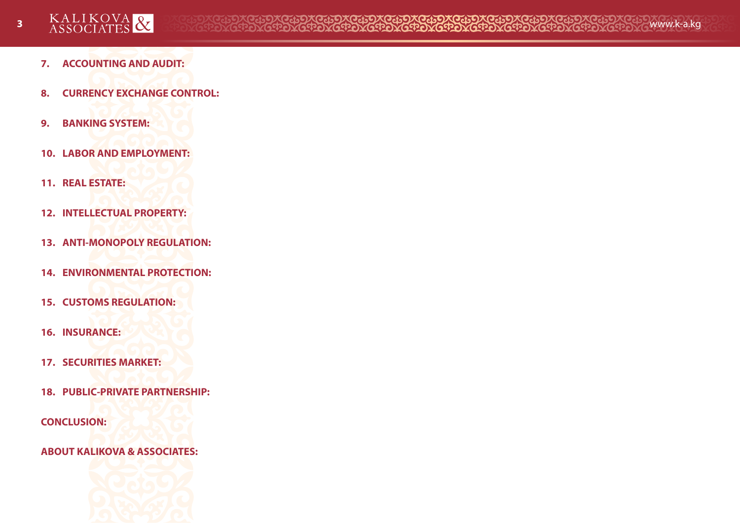- **7. ACCOUNTING AND AUDIT:**
- **8. CURRENCY EXCHANGE CONTROL:**
- **9. BANKING SYSTEM:**
- **10. LABOR AND EMPLOYMENT:**
- **11. REAL ESTATE:**
- **12. INTELLECTUAL PROPERTY:**
- **13. ANTI-MONOPOLY REGULATION:**
- **14. ENVIRONMENTAL PROTECTION:**
- **15. CUSTOMS REGULATION:**
- **16. INSURANCE:**
- **17. SECURITIES MARKET:**
- **18. PUBLIC-PRIVATE PARTNERSHIP:**
- **CONCLUSION:**
- **ABOUT KALIKOVA & ASSOCIATES:**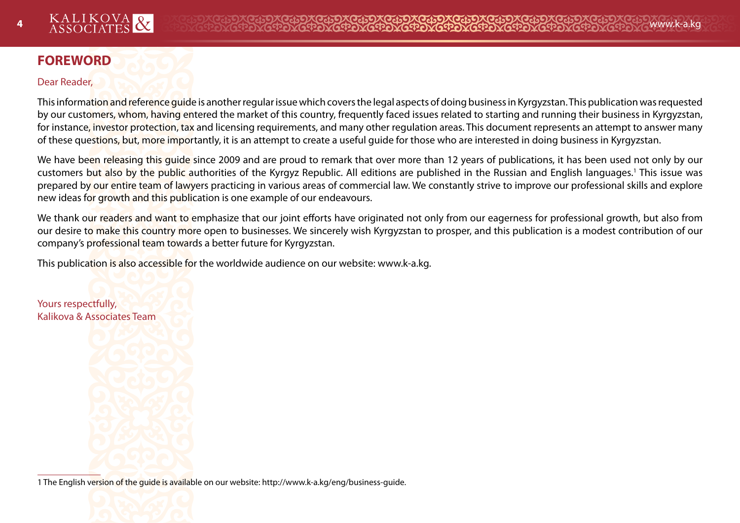# **FOREWORD**

#### Dear Reader,

This information and reference guide is another regular issue which covers the legal aspects of doing business in Kyrgyzstan. This publication was requested by our customers, whom, having entered the market of this country, frequently faced issues related to starting and running their business in Kyrgyzstan, for instance, investor protection, tax and licensing requirements, and many other regulation areas. This document represents an attempt to answer many of these questions, but, more importantly, it is an attempt to create a useful guide for those who are interested in doing business in Kyrgyzstan.

We have been releasing this quide since 2009 and are proud to remark that over more than 12 years of publications, it has been used not only by our customers b<mark>ut also by the public a</mark>uthorities of the Kyrgyz Republic. All editions are published in the Russian and English languages.<sup>1</sup> This issue was prepared by our entire team of lawyers practicing in various areas of commercial law. We constantly strive to improve our professional skills and explore new ideas for growth and this publication is one example of our endeavours.

We thank our readers and want to emphasize that our joint efforts have originated not only from our eagerness for professional growth, but also from our desire to make this country more open to businesses. We sincerely wish Kyrgyzstan to prosper, and this publication is a modest contribution of our company's professional team towards a better future for Kyrgyzstan.

This publication is also accessible for the worldwide audience on our website: www.k-a.kg.

Yours respectfully, Kalikova & Associates Team

1 The English version of the guide is available on our website: http://www.k-a.kg/eng/business-guide.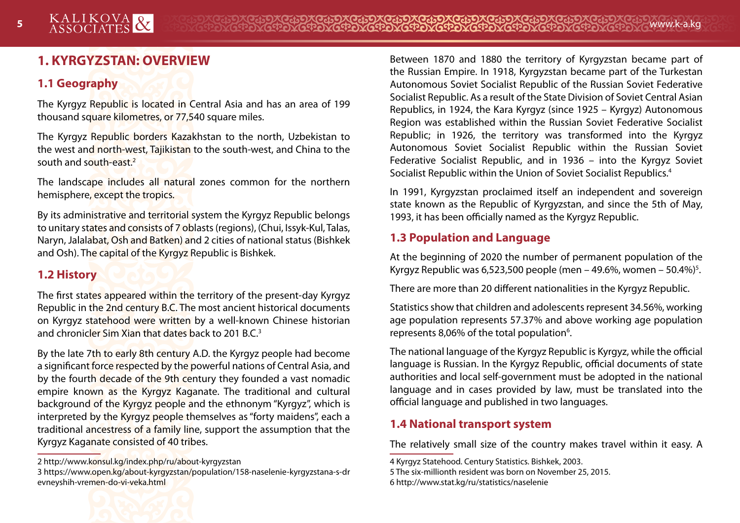# **1. KYRGYZSTAN: OVERVIEW**

# **1.1 Geography**

The Kyrgyz Republic is located in Central Asia and has an area of 199 thousand square kilometres, or 77,540 square miles.

The Kyrgyz Republic borders Kazakhstan to the north, Uzbekistan to the west and north-west, Tajikistan to the south-west, and China to the south and south-east.2

The landscape includes all natural zones common for the northern hemisphere, except the tropics.

By its administrative and territorial system the Kyrgyz Republic belongs to unitary states and consists of 7 oblasts (regions), (Chui, Issyk-Kul, Talas, Naryn, Jalalabat, Osh and Batken) and 2 cities of national status (Bishkek and Osh). The capital of the Kyrgyz Republic is Bishkek.

# **1.2 History**

The first states appeared within the territory of the present-day Kyrgyz Republic in the 2nd century B.C. The most ancient historical documents on Kyrgyz statehood were written by a well-known Chinese historian and chronicler Sim Xian that dates back to 201 B.C.3

By the late 7th to early 8th century A.D. the Kyrgyz people had become a significant force respected by the powerful nations of Central Asia, and by the fourth decade of the 9th century they founded a vast nomadic empire known as the Kyrgyz Kaganate. The traditional and cultural background of the Kyrgyz people and the ethnonym "Kyrgyz", which is interpreted by the Kyrgyz people themselves as "forty maidens", each a traditional ancestress of a family line, support the assumption that the Kyrgyz Kaganate consisted of 40 tribes.

Between 1870 and 1880 the territory of Kyrgyzstan became part of the Russian Empire. In 1918, Kyrgyzstan became part of the Turkestan Autonomous Soviet Socialist Republic of the Russian Soviet Federative Socialist Republic. As a result of the State Division of Soviet Central Asian Republics, in 1924, the Kara Kyrgyz (since 1925 – Kyrgyz) Autonomous Region was established within the Russian Soviet Federative Socialist Republic; in 1926, the territory was transformed into the Kyrgyz Autonomous Soviet Socialist Republic within the Russian Soviet Federative Socialist Republic, and in 1936 – into the Kyrgyz Soviet Socialist Republic within the Union of Soviet Socialist Republics.4

In 1991, Kyrgyzstan proclaimed itself an independent and sovereign state known as the Republic of Kyrgyzstan, and since the 5th of May, 1993, it has been officially named as the Kyrgyz Republic.

# **1.3 Population and Language**

At the beginning of 2020 the number of permanent population of the Kyrgyz Republic was 6,523,500 people (men – 49.6%, women – 50.4%)<sup>5</sup>.

There are more than 20 different nationalities in the Kyrgyz Republic.

Statistics show that children and adolescents represent 34.56%, working age population represents 57.37% and above working age population represents 8,06% of the total population<sup>6</sup>.

The national language of the Kyrgyz Republic is Kyrgyz, while the official language is Russian. In the Kyrgyz Republic, official documents of state authorities and local self-government must be adopted in the national language and in cases provided by law, must be translated into the official language and published in two languages.

# **1.4 National transport system**

The relatively small size of the country makes travel within it easy. A



<sup>2</sup> http://www.konsul.kg/index.php/ru/about-kyrgyzstan

<sup>3</sup> https://www.open.kg/about-kyrgyzstan/population/158-naselenie-kyrgyzstana-s-dr evneyshih-vremen-do-vi-veka.html

<sup>4</sup> Kyrgyz Statehood. Century Statistics. Bishkek, 2003.

<sup>5</sup> The six-millionth resident was born on November 25, 2015. 6 http://www.stat.kg/ru/statistics/naselenie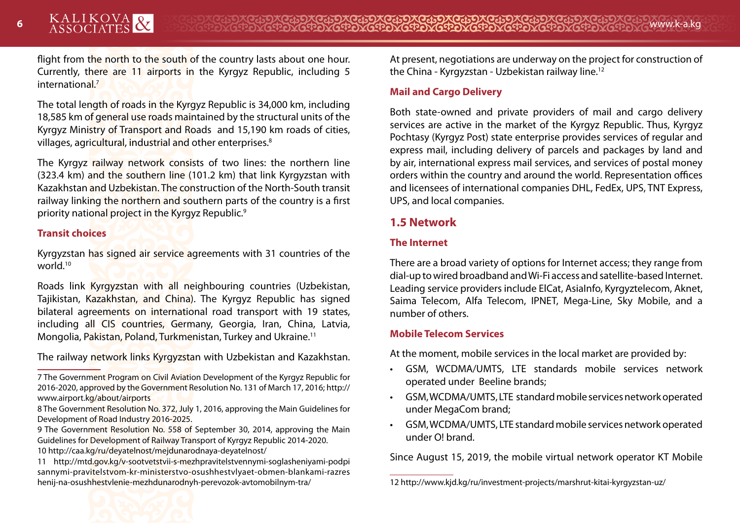flight from the north to the south of the country lasts about one hour. Currently, there are 11 airports in the Kyrgyz Republic, including 5 internationa<mark>l.<sup>7</sup></mark>

The total length of roads in the Kyrgyz Republic is 34,000 km, including 18,585 km of general use roads maintained by the structural units of the Kyrgyz Ministry of Transport and Roads and 15,190 km roads of cities, villages, agricultural, industrial and other enterprises.<sup>8</sup>

The Kyrgyz railway network consists of two lines: the northern line (323.4 km) and the southern line (101.2 km) that link Kyrgyzstan with Kazakhstan and Uzbekistan. The construction of the North-South transit railway linking the northern and southern parts of the country is a first priority national project in the Kyrgyz Republic.<sup>9</sup>

#### **Transit choices**

Kyrgyzstan has signed air service agreements with 31 countries of the world<sup>10</sup>

Roads link Kyrgyzstan with all neighbouring countries (Uzbekistan, Tajikistan, Kazakhstan, and China). The Kyrgyz Republic has signed bilateral agreements on international road transport with 19 states, including all CIS countries, Germany, Georgia, Iran, China, Latvia, Mongolia, Pakistan, Poland, Turkmenistan, Turkey and Ukraine.11

The railway network links Kyrgyzstan with Uzbekistan and Kazakhstan.

At present, negotiations are underway on the project for construction of the China - Kyrgyzstan - Uzbekistan railway line.12

#### **Mail and Cargo Delivery**

Both state-owned and private providers of mail and cargo delivery services are active in the market of the Kyrgyz Republic. Thus, Kyrgyz Pochtasy (Kyrgyz Post) state enterprise provides services of regular and express mail, including delivery of parcels and packages by land and by air, international express mail services, and services of postal money orders within the country and around the world. Representation offices and licensees of international companies DHL, FedEx, UPS, TNT Express, UPS, and local companies.

# **1.5 Network**

#### **The Internet**

There are a broad variety of options for Internet access; they range from dial-up to wired broadband and Wi-Fi access and satellite-based Internet. Leading service providers include ElCat, AsiaInfo, Kyrgyztelecom, Aknet, Saima Telecom, Alfa Telecom, IPNET, Mega-Line, Sky Mobile, and a number of others.

#### **Mobile Telecom Services**

At the moment, mobile services in the local market are provided by:

- GSM, WCDMA/UMTS, LTE standards mobile services network operated under Beeline brands;
- GSM, WCDMA/UMTS, LTE standard mobile services network operated under MegaCom brand;
- GSM, WCDMA/UMTS, LTE standard mobile services network operated under O! brand.

Since August 15, 2019, the mobile virtual network operator KT Mobile

<sup>7</sup> The Government Program on Civil Aviation Development of the Kyrgyz Republic for 2016-2020, approved by the Government Resolution No. 131 of March 17, 2016; http:// www.airport.kg/about/airports

<sup>8</sup> The Government Resolution No. 372, July 1, 2016, approving the Main Guidelines for Development of Road Industry 2016-2025.

<sup>9</sup> The Government Resolution No. 558 of September 30, 2014, approving the Main Guidelines for Development of Railway Transport of Kyrgyz Republic 2014-2020. 10 http://caa.kg/ru/deyatelnost/mejdunarodnaya-deyatelnost/

<sup>11</sup> http://mtd.gov.kg/v-sootvetstvii-s-mezhpravitelstvennymi-soglasheniyami-podpi sannymi-pravitelstvom-kr-ministerstvo-osushhestvlyaet-obmen-blankami-razres henij-na-osushhestvlenie-mezhdunarodnyh-perevozok-avtomobilnym-tra/

<sup>12</sup> http://www.kjd.kg/ru/investment-projects/marshrut-kitai-kyrgyzstan-uz/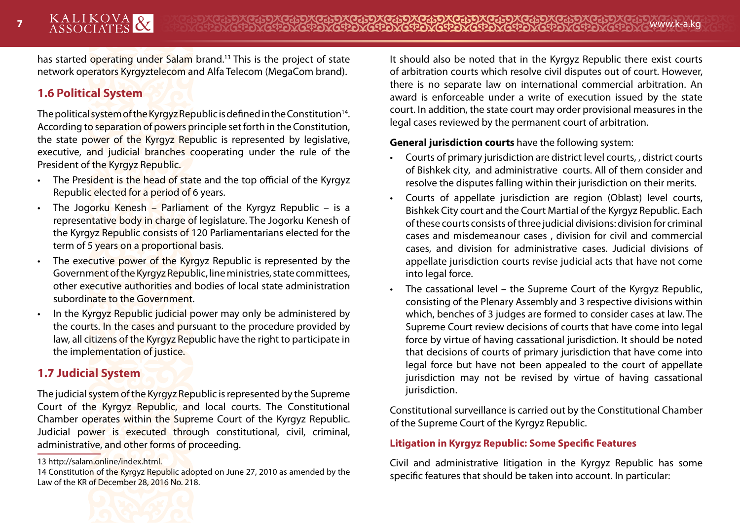has started operating under Salam brand.13 This is the project of state network operators Kyrgyztelecom and Alfa Telecom (MegaCom brand).

# **1.6 Political System**

The political system of the Kyrgyz Republic is defined in the Constitution<sup>14</sup>. According to separation of powers principle set forth in the Constitution, the state power of the Kyrgyz Republic is represented by legislative, executive, and judicial branches cooperating under the rule of the President of the Kyrgyz Republic.

- The President is the head of state and the top official of the Kyrgyz Republic elected for a period of 6 years.
- The Jogorku Kenesh Parliament of the Kyrgyz Republic is a representative body in charge of legislature. The Jogorku Kenesh of the Kyrgyz Republic consists of 120 Parliamentarians elected for the term of 5 years on a proportional basis.
- The executive power of the Kyrgyz Republic is represented by the Government of the Kyrgyz Republic, line ministries, state committees, other executive authorities and bodies of local state administration subordinate to the Government.
- In the Kyrgyz Republic judicial power may only be administered by the courts. In the cases and pursuant to the procedure provided by law, all citizens of the Kyrgyz Republic have the right to participate in the implementation of justice.

# **1.7 Judicial System**

The judicial system of the Kyrgyz Republic is represented by the Supreme Court of the Kyrgyz Republic, and local courts. The Constitutional Chamber operates within the Supreme Court of the Kyrgyz Republic. Judicial power is executed through constitutional, civil, criminal, administrative, and other forms of proceeding.

14 Constitution of the Kyrgyz Republic adopted on June 27, 2010 as amended by the Law of the KR of December 28, 2016 No. 218.



#### **General jurisdiction courts** have the following system:

- Courts of primary jurisdiction are district level courts, , district courts of Bishkek city, and administrative courts. All of them consider and resolve the disputes falling within their jurisdiction on their merits.
- Courts of appellate jurisdiction are region (Oblast) level courts, Bishkek City court and the Court Martial of the Kyrgyz Republic. Each of these courts consists of three judicial divisions: division for criminal cases and misdemeanour cases , division for civil and commercial cases, and division for administrative cases. Judicial divisions of appellate jurisdiction courts revise judicial acts that have not come into legal force.
- The cassational level the Supreme Court of the Kyrgyz Republic, consisting of the Plenary Assembly and 3 respective divisions within which, benches of 3 judges are formed to consider cases at law. The Supreme Court review decisions of courts that have come into legal force by virtue of having cassational jurisdiction. It should be noted that decisions of courts of primary jurisdiction that have come into legal force but have not been appealed to the court of appellate jurisdiction may not be revised by virtue of having cassational jurisdiction.

Constitutional surveillance is carried out by the Constitutional Chamber of the Supreme Court of the Kyrgyz Republic.

#### **Litigation in Kyrgyz Republic: Some Specific Features**

Civil and administrative litigation in the Kyrgyz Republic has some specific features that should be taken into account. In particular:



<sup>13</sup> http://salam.online/index.html.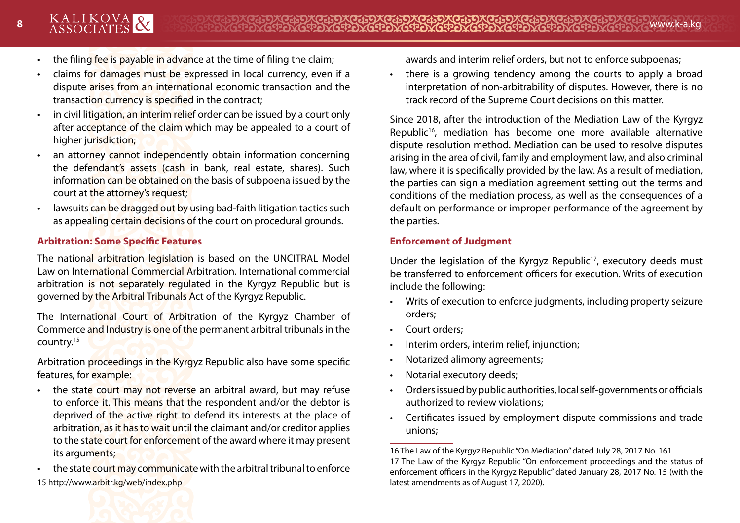- the filing fee is payable in advance at the time of filing the claim;
- claims for damages must be expressed in local currency, even if a dispute arises from an international economic transaction and the transaction currency is specified in the contract;
- in civil litigation, an interim relief order can be issued by a court only after acceptance of the claim which may be appealed to a court of higher jurisdiction;
- an attorney cannot independently obtain information concerning the defendant's assets (cash in bank, real estate, shares). Such information can be obtained on the basis of subpoena issued by the court at the attorney's request;
- lawsuits can be dragged out by using bad-faith litigation tactics such as appealing certain decisions of the court on procedural grounds.

#### **Arbitration: Some Specific Features**

The national arbitration legislation is based on the UNCITRAL Model Law on International Commercial Arbitration. International commercial arbitration is not separately regulated in the Kyrgyz Republic but is governed by the Arbitral Tribunals Act of the Kyrgyz Republic.

The International Court of Arbitration of the Kyrgyz Chamber of Commerce and Industry is one of the permanent arbitral tribunals in the country.15

Arbitration proceedings in the Kyrgyz Republic also have some specific features, for example:

- the state court may not reverse an arbitral award, but may refuse to enforce it. This means that the respondent and/or the debtor is deprived of the active right to defend its interests at the place of arbitration, as it has to wait until the claimant and/or creditor applies to the state court for enforcement of the award where it may present its arguments;
- the state court may communicate with the arbitral tribunal to enforce 15 http://www.arbitr.kg/web/index.php

awards and interim relief orders, but not to enforce subpoenas;

• there is a growing tendency among the courts to apply a broad interpretation of non-arbitrability of disputes. However, there is no track record of the Supreme Court decisions on this matter.

Since 2018, after the introduction of the Mediation Law of the Kyrgyz Republic<sup>16</sup>, mediation has become one more available alternative dispute resolution method. Mediation can be used to resolve disputes arising in the area of civil, family and employment law, and also criminal law, where it is specifically provided by the law. As a result of mediation, the parties can sign a mediation agreement setting out the terms and conditions of the mediation process, as well as the consequences of a default on performance or improper performance of the agreement by the parties.

#### **Enforcement of Judgment**

Under the legislation of the Kyrgyz Republic<sup>17</sup>, executory deeds must be transferred to enforcement officers for execution. Writs of execution include the following:

- Writs of execution to enforce judgments, including property seizure orders;
- Court orders;
- Interim orders, interim relief, injunction;
- Notarized alimony agreements;
- Notarial executory deeds;
- Orders issued by public authorities, local self-governments or officials authorized to review violations;
- Certificates issued by employment dispute commissions and trade unions;



<sup>16</sup> The Law of the Kyrgyz Republic "On Mediation" dated July 28, 2017 No. 161 17 The Law of the Kyrgyz Republic "On enforcement proceedings and the status of enforcement officers in the Kyrgyz Republic" dated January 28, 2017 No. 15 (with the latest amendments as of August 17, 2020).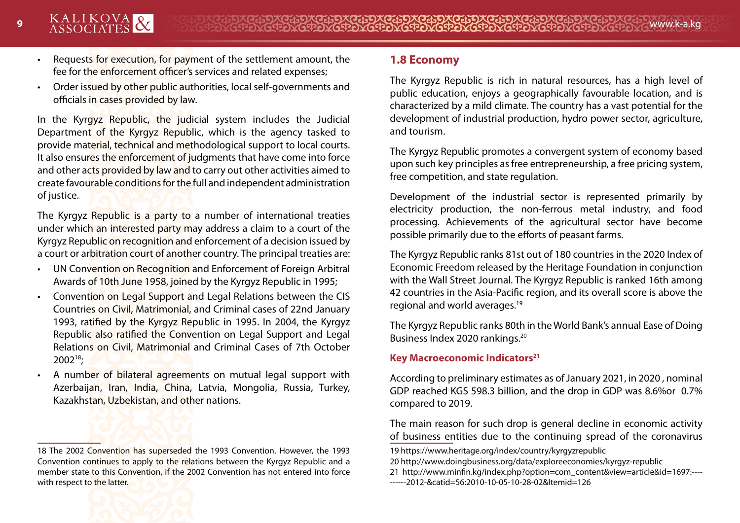- 
- Requests for execution, for payment of the settlement amount, the fee for the enforcement officer's services and related expenses;
- Order issued by other public authorities, local self-governments and officials in cases provided by law.

In the Kyrgyz Republic, the judicial system includes the Judicial Department of the Kyrgyz Republic, which is the agency tasked to provide material, technical and methodological support to local courts. It also ensures the enforcement of judgments that have come into force and other acts provided by law and to carry out other activities aimed to create favourable conditions for the full and independent administration of justice.

The Kyrgyz Republic is a party to a number of international treaties under which an interested party may address a claim to a court of the Kyrgyz Republic on recognition and enforcement of a decision issued by a court or arbitration court of another country. The principal treaties are:

- UN Convention on Recognition and Enforcement of Foreign Arbitral Awards of 10th June 1958, joined by the Kyrgyz Republic in 1995;
- Convention on Legal Support and Legal Relations between the CIS Countries on Civil, Matrimonial, and Criminal cases of 22nd January 1993, ratified by the Kyrgyz Republic in 1995. In 2004, the Kyrgyz Republic also ratified the Convention on Legal Support and Legal Relations on Civil, Matrimonial and Criminal Cases of 7th October 200218;
- A number of bilateral agreements on mutual legal support with Azerbaijan, Iran, India, China, Latvia, Mongolia, Russia, Turkey, Kazakhstan, Uzbekistan, and other nations.

#### **1.8 Economy**

The Kyrgyz Republic is rich in natural resources, has a high level of public education, enjoys a geographically favourable location, and is characterized by a mild climate. The country has a vast potential for the development of industrial production, hydro power sector, agriculture, and tourism.

The Kyrgyz Republic promotes a convergent system of economy based upon such key principles as free entrepreneurship, a free pricing system, free competition, and state regulation.

Development of the industrial sector is represented primarily by electricity production, the non-ferrous metal industry, and food processing. Achievements of the agricultural sector have become possible primarily due to the efforts of peasant farms.

The Kyrgyz Republic ranks 81st out of 180 countries in the 2020 Index of Economic Freedom released by the Heritage Foundation in conjunction with the Wall Street Journal. The Kyrgyz Republic is ranked 16th among 42 countries in the Asia-Pacific region, and its overall score is above the regional and world averages.19

The Kyrgyz Republic ranks 80th in the World Bank's annual Ease of Doing Business Index 2020 rankings.20

#### **Key Macroeconomic Indicators**<sup>21</sup>

According to preliminary estimates as of January 2021, in 2020 , nominal GDP reached KGS 598.3 billion, and the drop in GDP was 8.6%or 0.7% compared to 2019.

The main reason for such drop is general decline in economic activity of business entities due to the continuing spread of the coronavirus

- 20 http://www.doingbusiness.org/data/exploreeconomies/kyrgyz-republic
- 21 http://www.minfin.kg/index.php?option=com\_content&view=article&id=1697:----
- ------2012-&catid=56:2010-10-05-10-28-02&Itemid=126

<sup>18</sup> The 2002 Convention has superseded the 1993 Convention. However, the 1993 Convention continues to apply to the relations between the Kyrgyz Republic and a member state to this Convention, if the 2002 Convention has not entered into force with respect to the latter.

<sup>19</sup> https://www.heritage.org/index/country/kyrgyzrepublic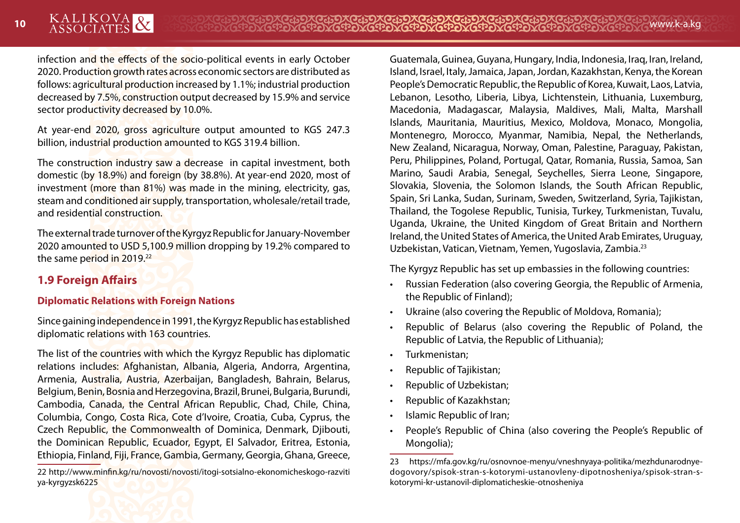infection and the effects of the socio-political events in early October 2020. Production growth rates across economic sectors are distributed as follows: agricultural production increased by 1.1%; industrial production decreased by 7.5%, construction output decreased by 15.9% and service sector productivity decreased by 10.0%.

At year-end 2020, gross agriculture output amounted to KGS 247.3 billion, industrial production amounted to KGS 319.4 billion.

The construction industry saw a decrease in capital investment, both domestic (by 18.9%) and foreign (by 38.8%). At year-end 2020, most of investment (more than 81%) was made in the mining, electricity, gas, steam and conditioned air supply, transportation, wholesale/retail trade, and residential construction.

The external trade turnover of the Kyrgyz Republic for January-November 2020 amounted to USD 5,100.9 million dropping by 19.2% compared to the same period in 2019.<sup>22</sup>

# **1.9 Foreign Affairs**

#### **Diplomatic Relations with Foreign Nations**

Since gaining independence in 1991, the Kyrgyz Republic has established diplomatic relations with 163 countries.

The list of the countries with which the Kyrgyz Republic has diplomatic relations includes: Afghanistan, Albania, Algeria, Andorra, Argentina, Armenia, Australia, Austria, Azerbaijan, Bangladesh, Bahrain, Belarus, Belgium, Benin, Bosnia and Herzegovina, Brazil, Brunei, Bulgaria, Burundi, Cambodia, Canada, the Central African Republic, Chad, Chile, China, Columbia, Congo, Costa Rica, Cote d'Ivoire, Croatia, Cuba, Cyprus, the Czech Republic, the Commonwealth of Dominica, Denmark, Djibouti, the Dominican Republic, Ecuador, Egypt, El Salvador, Eritrea, Estonia, Ethiopia, Finland, Fiji, France, Gambia, Germany, Georgia, Ghana, Greece,

22 http://www.minfin.kg/ru/novosti/novosti/itogi-sotsialno-ekonomicheskogo-razviti ya-kyrgyzsk6225

Guatemala, Guinea, Guyana, Hungary, India, Indonesia, Iraq, Iran, Ireland, Island, Israel, Italy, Jamaica, Japan, Jordan, Kazakhstan, Kenya, the Korean People's Democratic Republic, the Republic of Korea, Kuwait, Laos, Latvia, Lebanon, Lesotho, Liberia, Libya, Lichtenstein, Lithuania, Luxemburg, Macedonia, Madagascar, Malaysia, Maldives, Mali, Malta, Marshall Islands, Mauritania, Mauritius, Mexico, Moldova, Monaco, Mongolia, Montenegro, Morocco, Myanmar, Namibia, Nepal, the Netherlands, New Zealand, Nicaragua, Norway, Oman, Palestine, Paraguay, Pakistan, Peru, Philippines, Poland, Portugal, Qatar, Romania, Russia, Samoa, San Marino, Saudi Arabia, Senegal, Seychelles, Sierra Leone, Singapore, Slovakia, Slovenia, the Solomon Islands, the South African Republic, Spain, Sri Lanka, Sudan, Surinam, Sweden, Switzerland, Syria, Tajikistan, Thailand, the Togolese Republic, Tunisia, Turkey, Turkmenistan, Tuvalu, Uganda, Ukraine, the United Kingdom of Great Britain and Northern Ireland, the United States of America, the United Arab Emirates, Uruguay, Uzbekistan, Vatican, Vietnam, Yemen, Yugoslavia, Zambia.23

The Kyrgyz Republic has set up embassies in the following countries:

- Russian Federation (also covering Georgia, the Republic of Armenia, the Republic of Finland);
- Ukraine (also covering the Republic of Moldova, Romania);
- Republic of Belarus (also covering the Republic of Poland, the Republic of Latvia, the Republic of Lithuania);
- Turkmenistan;
- Republic of Tajikistan;
- Republic of Uzbekistan;
- Republic of Kazakhstan;
- Islamic Republic of Iran;
- People's Republic of China (also covering the People's Republic of Mongolia);



<sup>23</sup> https://mfa.gov.kg/ru/osnovnoe-menyu/vneshnyaya-politika/mezhdunarodnyedogovory/spisok-stran-s-kotorymi-ustanovleny-dipotnosheniya/spisok-stran-skotorymi-kr-ustanovil-diplomaticheskie-otnosheniya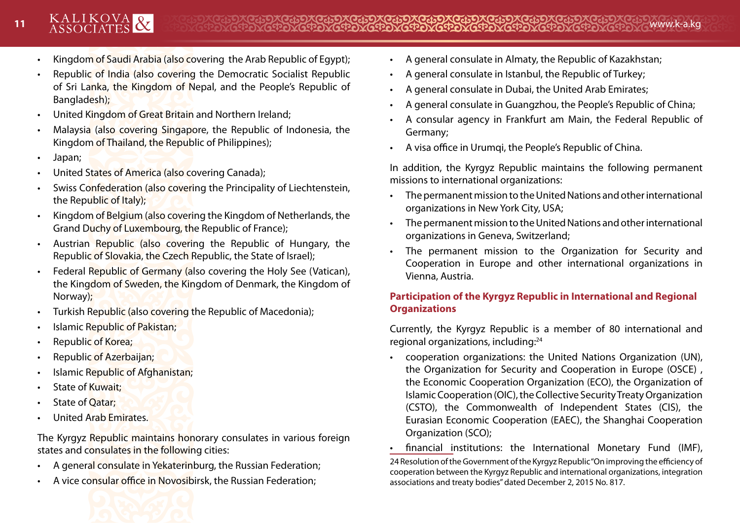- Kingdom of Saudi Arabia (also covering the Arab Republic of Egypt);
- Republic of India (also covering the Democratic Socialist Republic of Sri Lanka, the Kingdom of Nepal, and the People's Republic of Bangladesh);
- United Kingdom of Great Britain and Northern Ireland;
- Malaysia (also covering Singapore, the Republic of Indonesia, the Kingdom of Thailand, the Republic of Philippines);
- Japan;
- United States of America (also covering Canada);
- Swiss Confederation (also covering the Principality of Liechtenstein, the Republic of Italy);
- Kingdom of Belgium (also covering the Kingdom of Netherlands, the Grand Duchy of Luxembourg, the Republic of France);
- Austrian Republic (also covering the Republic of Hungary, the Republic of Slovakia, the Czech Republic, the State of Israel);
- Federal Republic of Germany (also covering the Holy See (Vatican), the Kingdom of Sweden, the Kingdom of Denmark, the Kingdom of Norway);
- Turkish Republic (also covering the Republic of Macedonia);
- **Islamic Republic of Pakistan;**
- Republic of Korea;
- Republic of Azerbaijan;
- Islamic Republic of Afghanistan;
- State of Kuwait;
- State of **Qatar**;
- United Arab Emirates.

The Kyrgyz Republic maintains honorary consulates in various foreign states and consulates in the following cities:

- A general consulate in Yekaterinburg, the Russian Federation;
- A vice consular office in Novosibirsk, the Russian Federation;
- A general consulate in Almaty, the Republic of Kazakhstan;
- A general consulate in Istanbul, the Republic of Turkey;
- A general consulate in Dubai, the United Arab Emirates;
- A general consulate in Guangzhou, the People's Republic of China;
- A consular agency in Frankfurt am Main, the Federal Republic of Germany;
- A visa office in Urumqi, the People's Republic of China.

In addition, the Kyrgyz Republic maintains the following permanent missions to international organizations:

- The permanent mission to the United Nations and other international organizations in New York City, USA;
- The permanent mission to the United Nations and other international organizations in Geneva, Switzerland;
- The permanent mission to the Organization for Security and Cooperation in Europe and other international organizations in Vienna, Austria.

# **Participation of the Kyrgyz Republic in International and Regional Organizations**

Currently, the Kyrgyz Republic is a member of 80 international and regional organizations, including:24

- cooperation organizations: the United Nations Organization (UN), the Organization for Security and Cooperation in Europe (OSCE) , the Economic Cooperation Organization (ECO), the Organization of Islamic Cooperation (OIC), the Collective Security Treaty Organization (CSTO), the Commonwealth of Independent States (CIS), the Eurasian Economic Cooperation (EAEC), the Shanghai Cooperation Organization (SCO);
- financial institutions: the International Monetary Fund (IMF), 24 Resolution of the Government of the Kyrgyz Republic "On improving the efficiency of cooperation between the Kyrgyz Republic and international organizations, integration associations and treaty bodies" dated December 2, 2015 No. 817.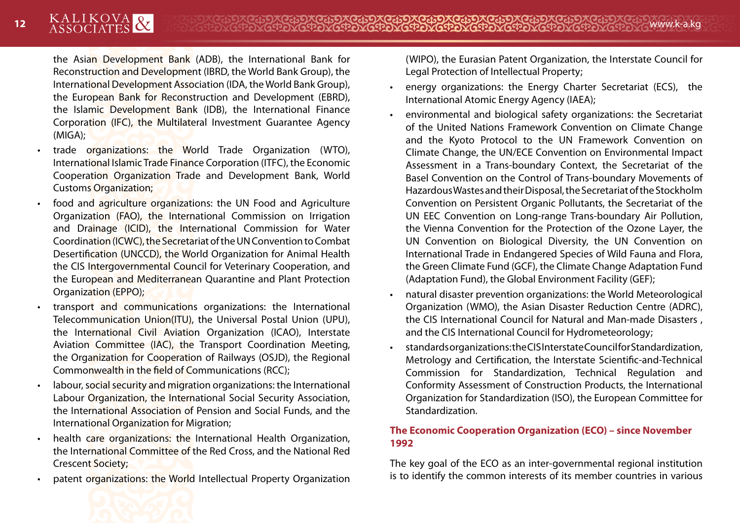the Asian Development Bank (ADB), the International Bank for Reconstruction and Development (IBRD, the World Bank Group), the International Development Association (IDA, the World Bank Group), the European Bank for Reconstruction and Development (EBRD), the Islamic Development Bank (IDB), the International Finance Corporation (IFC), the Multilateral Investment Guarantee Agency (MIGA);

- trade organizations: the World Trade Organization (WTO), International Islamic Trade Finance Corporation (ITFC), the Economic Cooperation Organization Trade and Development Bank, World Customs Organization;
- food and agriculture organizations: the UN Food and Agriculture Organization (FAO), the International Commission on Irrigation and Drainage (ICID), the International Commission for Water Coordination (ICWC), the Secretariat of the UN Convention to Combat Desertification (UNCCD), the World Organization for Animal Health the CIS Intergovernmental Council for Veterinary Cooperation, and the European and Mediterranean Quarantine and Plant Protection Organization (EPPO);
- transport and communications organizations: the International Telecommunication Union(ITU), the Universal Postal Union (UPU), the International Civil Aviation Organization (ICAO), Interstate Aviation Committee (IAC), the Transport Coordination Meeting, the Organization for Cooperation of Railways (OSJD), the Regional Commonwealth in the field of Communications (RCC);
- labour, social security and migration organizations: the International Labour Organization, the International Social Security Association, the International Association of Pension and Social Funds, and the International Organization for Migration;
- health care organizations: the International Health Organization, the International Committee of the Red Cross, and the National Red Crescent Society;
- patent organizations: the World Intellectual Property Organization

(WIPO), the Eurasian Patent Organization, the Interstate Council for Legal Protection of Intellectual Property;

- energy organizations: the Energy Charter Secretariat (ECS), the International Atomic Energy Agency (IAEA);
- environmental and biological safety organizations: the Secretariat of the United Nations Framework Convention on Climate Change and the Kyoto Protocol to the UN Framework Convention on Climate Change, the UN/ECE Convention on Environmental Impact Assessment in a Trans-boundary Context, the Secretariat of the Basel Convention on the Control of Trans-boundary Movements of Hazardous Wastes and their Disposal, the Secretariat of the Stockholm Convention on Persistent Organic Pollutants, the Secretariat of the UN EEC Convention on Long-range Trans-boundary Air Pollution, the Vienna Convention for the Protection of the Ozone Layer, the UN Convention on Biological Diversity, the UN Convention on International Trade in Endangered Species of Wild Fauna and Flora, the Green Climate Fund (GCF), the Climate Change Adaptation Fund (Adaptation Fund), the Global Environment Facility (GEF);
- natural disaster prevention organizations: the World Meteorological Organization (WMO), the Asian Disaster Reduction Centre (ADRC), the CIS International Council for Natural and Man-made Disasters , and the CIS International Council for Hydrometeorology;
- standards organizations: the CIS Interstate Council for Standardization, Metrology and Certification, the Interstate Scientific-and-Technical Commission for Standardization, Technical Regulation and Conformity Assessment of Construction Products, the International Organization for Standardization (ISO), the European Committee for Standardization.

#### **The Economic Cooperation Organization (ECO) – since November 1992**

The key goal of the ECO as an inter-governmental regional institution is to identify the common interests of its member countries in various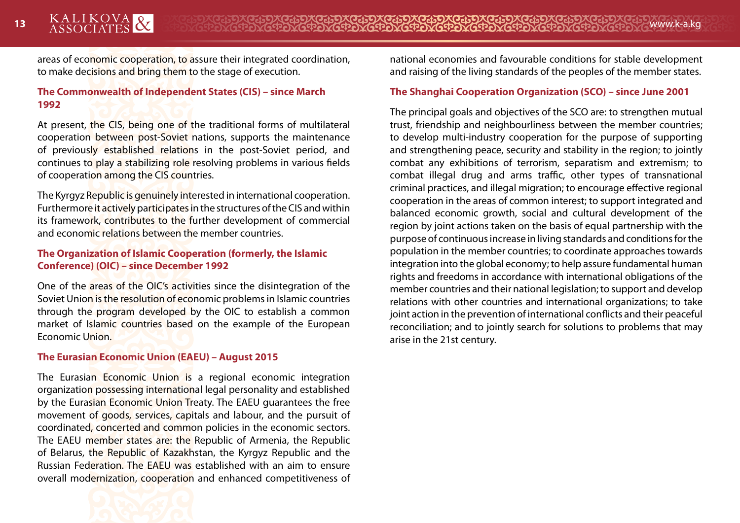areas of economic cooperation, to assure their integrated coordination, to make decisions and bring them to the stage of execution.

#### **The Commonwealth of Independent States (CIS) – since March 1992**

At present, the CIS, being one of the traditional forms of multilateral cooperation between post-Soviet nations, supports the maintenance of previously established relations in the post-Soviet period, and continues to play a stabilizing role resolving problems in various fields of cooperation among the CIS countries.

The Kyrgyz Republic is genuinely interested in international cooperation. Furthermore it actively participates in the structures of the CIS and within its framework, contributes to the further development of commercial and economic relations between the member countries.

#### **The Organization of Islamic Cooperation (formerly, the Islamic Conference) (OIC) – since December 1992**

One of the areas of the OIC's activities since the disintegration of the Soviet Union is the resolution of economic problems in Islamic countries through the program developed by the OIC to establish a common market of Islamic countries based on the example of the European Economic Union.

#### **The Eurasian Economic Union (EAEU) – August 2015**

The Eurasian Economic Union is a regional economic integration organization possessing international legal personality and established by the Eurasian Economic Union Treaty. The EAEU guarantees the free movement of goods, services, capitals and labour, and the pursuit of coordinated, concerted and common policies in the economic sectors. The EAEU member states are: the Republic of Armenia, the Republic of Belarus, the Republic of Kazakhstan, the Kyrgyz Republic and the Russian Federation. The EAEU was established with an aim to ensure overall modernization, cooperation and enhanced competitiveness of national economies and favourable conditions for stable development and raising of the living standards of the peoples of the member states.

#### **The Shanghai Cooperation Organization (SCO) – since June 2001**

The principal goals and objectives of the SCO are: to strengthen mutual trust, friendship and neighbourliness between the member countries; to develop multi-industry cooperation for the purpose of supporting and strengthening peace, security and stability in the region; to jointly combat any exhibitions of terrorism, separatism and extremism; to combat illegal drug and arms traffic, other types of transnational criminal practices, and illegal migration; to encourage effective regional cooperation in the areas of common interest; to support integrated and balanced economic growth, social and cultural development of the region by joint actions taken on the basis of equal partnership with the purpose of continuous increase in living standards and conditions for the population in the member countries; to coordinate approaches towards integration into the global economy; to help assure fundamental human rights and freedoms in accordance with international obligations of the member countries and their national legislation; to support and develop relations with other countries and international organizations; to take joint action in the prevention of international conflicts and their peaceful reconciliation; and to jointly search for solutions to problems that may arise in the 21st century.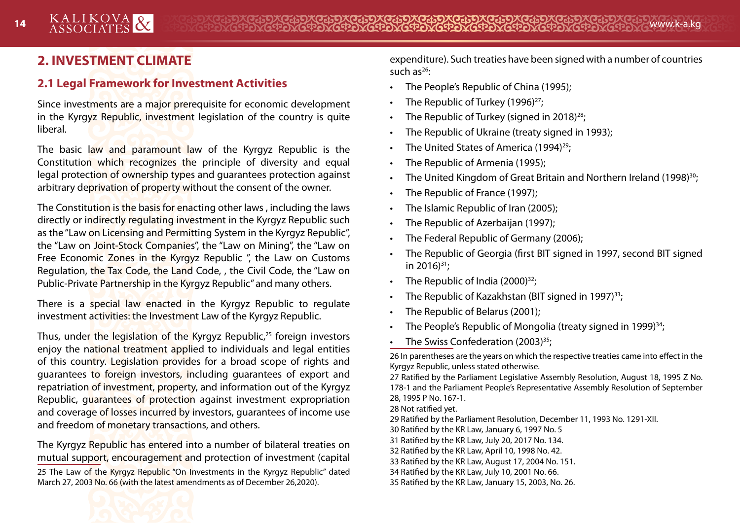# **2. INVESTMENT CLIMATE**

# **2.1 Legal Framework for Investment Activities**

Since investments are a major prerequisite for economic development in the Kyrgyz Republic, investment legislation of the country is quite liberal.

The basic law and paramount law of the Kyrgyz Republic is the Constitution which recognizes the principle of diversity and equal legal protection of ownership types and guarantees protection against arbitrary deprivation of property without the consent of the owner.

The Constitution is the basis for enacting other laws , including the laws directly or indirectly regulating investment in the Kyrgyz Republic such as the "Law on Licensing and Permitting System in the Kyrgyz Republic", the "Law on Joint-Stock Companies", the "Law on Mining", the "Law on Free Economic Zones in the Kyrgyz Republic ", the Law on Customs Regulation, the Tax Code, the Land Code, , the Civil Code, the "Law on Public-Private Partnership in the Kyrgyz Republic" and many others.

There is a special law enacted in the Kyrgyz Republic to regulate investment activities: the Investment Law of the Kyrgyz Republic.

Thus, under the legislation of the Kyrgyz Republic,<sup>25</sup> foreign investors enjoy the national treatment applied to individuals and legal entities of this country. Legislation provides for a broad scope of rights and guarantees to foreign investors, including guarantees of export and repatriation of investment, property, and information out of the Kyrgyz Republic, guarantees of protection against investment expropriation and coverage of losses incurred by investors, quarantees of income use and freedom of monetary transactions, and others.

The Kyrgyz Republic has entered into a number of bilateral treaties on mutual support, encouragement and protection of investment (capital 25 The Law of the Kyrgyz Republic "On Investments in the Kyrgyz Republic" dated March 27, 2003 No. 66 (with the latest amendments as of December 26,2020).

expenditure). Such treaties have been signed with a number of countries such  $as^{26}$ :

- The People's Republic of China (1995);
- The Republic of Turkey (1996)<sup>27</sup>;
- The Republic of Turkey (signed in 2018)<sup>28</sup>;
- The Republic of Ukraine (treaty signed in 1993);
- The United States of America (1994)<sup>29</sup>;
- The Republic of Armenia (1995);
- The United Kingdom of Great Britain and Northern Ireland (1998)<sup>30</sup>;
- The Republic of France (1997);
- The Islamic Republic of Iran (2005);
- The Republic of Azerbaijan (1997);
- The Federal Republic of Germany (2006);
- The Republic of Georgia (first BIT signed in 1997, second BIT signed in 2016) $31$ ;
- The Republic of India  $(2000)^{32}$ :
- The Republic of Kazakhstan (BIT signed in 1997)<sup>33</sup>;
- The Republic of Belarus (2001);
- The People's Republic of Mongolia (treaty signed in 1999)<sup>34</sup>;
- The Swiss Confederation (2003)<sup>35</sup>;

26 In parentheses are the years on which the respective treaties came into effect in the Kyrgyz Republic, unless stated otherwise.

27 Ratified by the Parliament Legislative Assembly Resolution, August 18, 1995 Z No. 178-1 and the Parliament People's Representative Assembly Resolution of September 28, 1995 P No. 167-1.

28 Not ratified yet.

29 Ratified by the Parliament Resolution, December 11, 1993 No. 1291-XII.

30 Ratified by the KR Law, January 6, 1997 No. 5

- 31 Ratified by the KR Law, July 20, 2017 No. 134.
- 32 Ratified by the KR Law, April 10, 1998 No. 42.
- 33 Ratified by the KR Law, August 17, 2004 No. 151.
- 34 Ratified by the KR Law, July 10, 2001 No. 66.
- 35 Ratified by the KR Law, January 15, 2003, No. 26.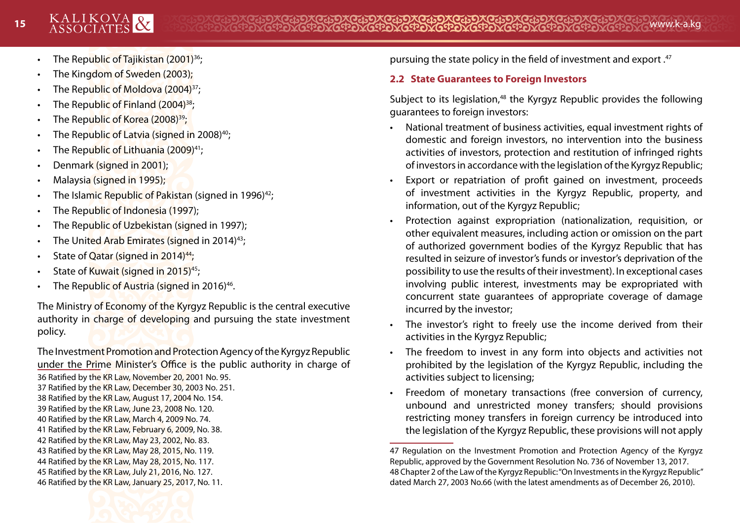- The Republic of Tajikistan (2001)<sup>36</sup>;
- The Kingdom of Sweden (2003);
- The Republic of Moldova (2004)<sup>37</sup>;
- The Republic of Finland (2004)<sup>38</sup>;
- The Republic of Korea (2008)<sup>39</sup>;
- The Republic of Latvia (signed in 2008)<sup>40</sup>;
- The Republic of Lithuania (2009)<sup>41</sup>;
- Denmark (signed in 2001);
- Malaysia (signed in 1995);
- The Islamic Republic of Pakistan (signed in 1996)<sup>42</sup>;
- The Republic of Indonesia (1997);
- The Republic of Uzbekistan (signed in 1997);
- The United Arab Emirates (signed in 2014)<sup>43</sup>;
- State of Qatar (signed in 2014)<sup>44</sup>;
- State of Kuwait (signed in 2015)<sup>45</sup>;
- The Republic of Austria (signed in 2016)<sup>46</sup>.

The Ministry of Economy of the Kyrgyz Republic is the central executive authority in charge of developing and pursuing the state investment policy.

The Investment Promotion and Protection Agency of the Kyrgyz Republic under the Prime Minister's Office is the public authority in charge of 36 Ratified by the KR Law, November 20, 2001 No. 95.

37 Ratified by the KR Law, December 30, 2003 No. 251.

- 38 Ratified by the KR Law, August 17, 2004 No. 154.
- 39 Ratified by the KR Law, June 23, 2008 No. 120.
- 40 Ratified by the KR Law, March 4, 2009 No. 74.
- 41 Ratified by the KR Law, February 6, 2009, No. 38. 42 Ratified by the KR Law, May 23, 2002, No. 83.
- 43 Ratified by the KR Law, May 28, 2015, No. 119.
- 44 Ratified by the KR Law, May 28, 2015, No. 117.
- 45 Ratified by the KR Law, July 21, 2016, No. 127.

46 Ratified by the KR Law, January 25, 2017, No. 11.

pursuing the state policy in the field of investment and export .47

# **2.2 State Guarantees to Foreign Investors**

Subject to its legislation.<sup>48</sup> the Kyrgyz Republic provides the following guarantees to foreign investors:

- National treatment of business activities, equal investment rights of domestic and foreign investors, no intervention into the business activities of investors, protection and restitution of infringed rights of investors in accordance with the legislation of the Kyrgyz Republic;
- Export or repatriation of profit gained on investment, proceeds of investment activities in the Kyrgyz Republic, property, and information, out of the Kyrgyz Republic;
- Protection against expropriation (nationalization, requisition, or other equivalent measures, including action or omission on the part of authorized government bodies of the Kyrgyz Republic that has resulted in seizure of investor's funds or investor's deprivation of the possibility to use the results of their investment). In exceptional cases involving public interest, investments may be expropriated with concurrent state guarantees of appropriate coverage of damage incurred by the investor;
- The investor's right to freely use the income derived from their activities in the Kyrgyz Republic;
- The freedom to invest in any form into objects and activities not prohibited by the legislation of the Kyrgyz Republic, including the activities subject to licensing;
- Freedom of monetary transactions (free conversion of currency, unbound and unrestricted money transfers; should provisions restricting money transfers in foreign currency be introduced into the legislation of the Kyrgyz Republic, these provisions will not apply

<sup>47</sup> Regulation on the Investment Promotion and Protection Agency of the Kyrgyz Republic, approved by the Government Resolution No. 736 of November 13, 2017. 48 Chapter 2 of the Law of the Kyrgyz Republic: "On Investments in the Kyrgyz Republic" dated March 27, 2003 No.66 (with the latest amendments as of December 26, 2010).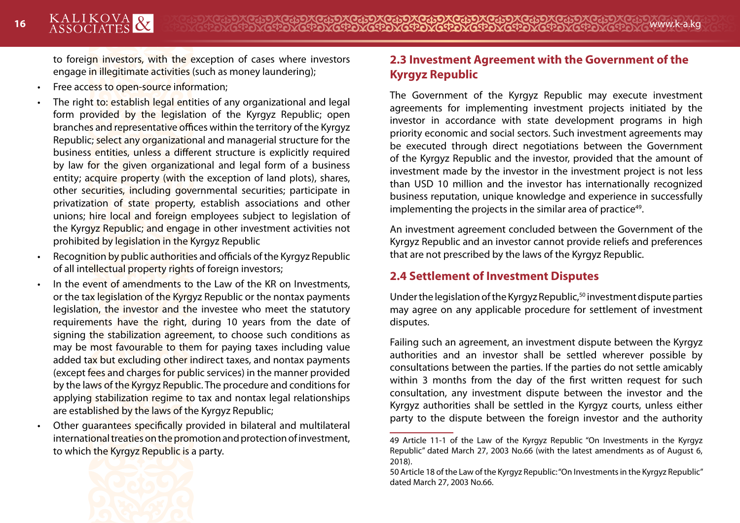to foreign investors, with the exception of cases where investors engage in illegitimate activities (such as money laundering);

- Free access to open-source information;
- The right to: establish legal entities of any organizational and legal form provided by the legislation of the Kyrgyz Republic; open branches and representative offices within the territory of the Kyrgyz Republic; select any organizational and managerial structure for the business entities, unless a different structure is explicitly required by law for the given organizational and legal form of a business entity; acquire property (with the exception of land plots), shares, other securities, including governmental securities; participate in privatization of state property, establish associations and other unions; hire local and foreign employees subject to legislation of the Kyrgyz Republic; and engage in other investment activities not prohibited by legislation in the Kyrgyz Republic
- Recognition by public authorities and officials of the Kyrgyz Republic of all intellectual property rights of foreign investors;
- In the event of amendments to the Law of the KR on Investments, or the tax legislation of the Kyrgyz Republic or the nontax payments legislation, the investor and the investee who meet the statutory requirements have the right, during 10 years from the date of signing the stabilization agreement, to choose such conditions as may be most favourable to them for paying taxes including value added tax but excluding other indirect taxes, and nontax payments (except fees and charges for public services) in the manner provided by the laws of the Kyrgyz Republic. The procedure and conditions for applying stabilization regime to tax and nontax legal relationships are established by the laws of the Kyrgyz Republic;
- Other guarantees specifically provided in bilateral and multilateral international treaties on the promotion and protection of investment, to which the Kyrgyz Republic is a party.

# **2.3 Investment Agreement with the Government of the Kyrgyz Republic**

The Government of the Kyrgyz Republic may execute investment agreements for implementing investment projects initiated by the investor in accordance with state development programs in high priority economic and social sectors. Such investment agreements may be executed through direct negotiations between the Government of the Kyrgyz Republic and the investor, provided that the amount of investment made by the investor in the investment project is not less than USD 10 million and the investor has internationally recognized business reputation, unique knowledge and experience in successfully implementing the projects in the similar area of practice<sup>49</sup>.

An investment agreement concluded between the Government of the Kyrgyz Republic and an investor cannot provide reliefs and preferences that are not prescribed by the laws of the Kyrgyz Republic.

# **2.4 Settlement of Investment Disputes**

Under the legislation of the Kyrgyz Republic,<sup>50</sup> investment dispute parties may agree on any applicable procedure for settlement of investment disputes.

Failing such an agreement, an investment dispute between the Kyrgyz authorities and an investor shall be settled wherever possible by consultations between the parties. If the parties do not settle amicably within 3 months from the day of the first written request for such consultation, any investment dispute between the investor and the Kyrgyz authorities shall be settled in the Kyrgyz courts, unless either party to the dispute between the foreign investor and the authority



<sup>49</sup> Article 11-1 of the Law of the Kyrgyz Republic "On Investments in the Kyrgyz Republic" dated March 27, 2003 No.66 (with the latest amendments as of August 6, 2018).

<sup>50</sup> Article 18 of the Law of the Kyrgyz Republic: "On Investments in the Kyrgyz Republic" dated March 27, 2003 No.66.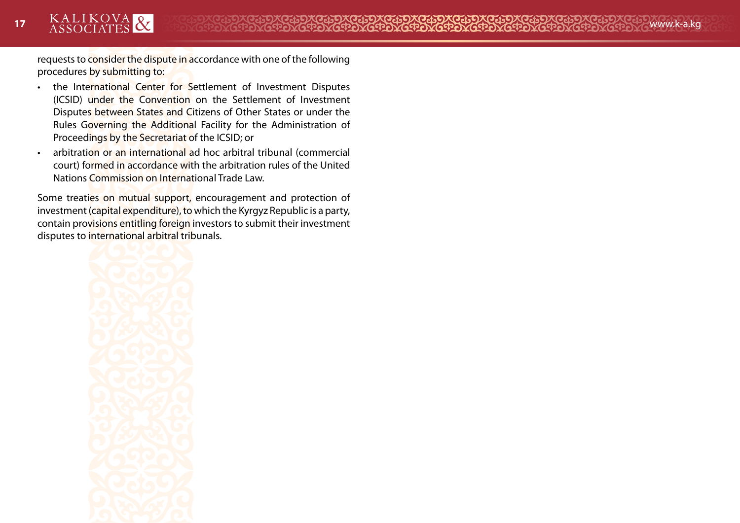requests to consider the dispute in accordance with one of the following procedures by submitting to:

- the International Center for Settlement of Investment Disputes (ICSID) under the Convention on the Settlement of Investment Disputes between States and Citizens of Other States or under the Rules Governing the Additional Facility for the Administration of Proceedings by the Secretariat of the ICSID; or
- arbitration or an international ad hoc arbitral tribunal (commercial court) formed in accordance with the arbitration rules of the United Nations Commission on International Trade Law.

Some treaties on mutual support, encouragement and protection of investment (capital expenditure), to which the Kyrgyz Republic is a party, contain provisions entitling foreign investors to submit their investment disputes to international arbitral tribunals.

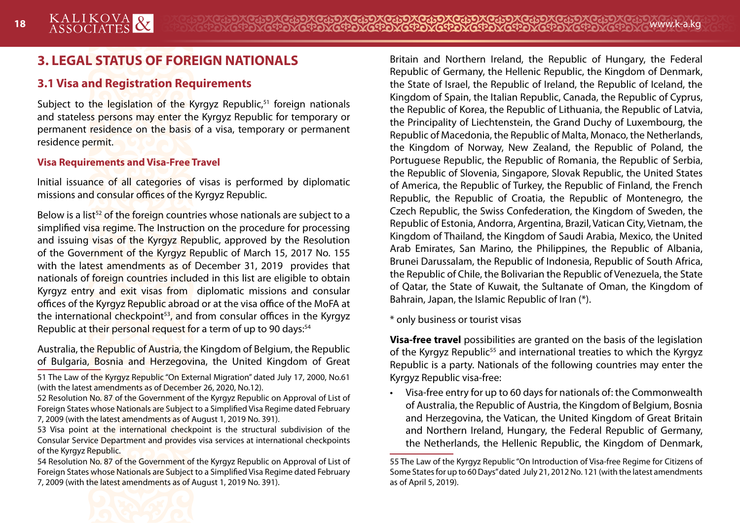# **3. LEGAL STATUS OF FOREIGN NATIONALS**

# **3.1 Visa and Registration Requirements**

Subject to the legislation of the Kyrgyz Republic.<sup>51</sup> foreign nationals and stateless persons may enter the Kyrgyz Republic for temporary or permanent residence on the basis of a visa, temporary or permanent residence permit.

#### **Visa Requirements and Visa-Free Travel**

Initial issuance of all categories of visas is performed by diplomatic missions and consular offices of the Kyrgyz Republic.

Below is a list<sup>52</sup> of the foreign countries whose nationals are subject to a simplified visa regime. The Instruction on the procedure for processing and issuing visas of the Kyrgyz Republic, approved by the Resolution of the Government of the Kyrgyz Republic of March 15, 2017 No. 155 with the latest amendments as of December 31, 2019 provides that nationals of foreign countries included in this list are eligible to obtain Kyrgyz entry and exit visas from diplomatic missions and consular offices of the Kyrgyz Republic abroad or at the visa office of the MoFA at the international checkpoint<sup>53</sup>, and from consular offices in the Kyrgyz Republic at their personal request for a term of up to 90 days:<sup>54</sup>

Australia, the Republic of Austria, the Kingdom of Belgium, the Republic of Bulgaria, Bosnia and Herzegovina, the United Kingdom of Great

51 The Law of the Kyrgyz Republic "On External Migration" dated July 17, 2000, No.61 (with the latest amendments as of December 26, 2020, No.12).

- 52 Resolution No. 87 of the Government of the Kyrgyz Republic on Approval of List of Foreign States whose Nationals are Subject to a Simplified Visa Regime dated February 7, 2009 (with the latest amendments as of August 1, 2019 No. 391).
- 53 Visa point at the international checkpoint is the structural subdivision of the Consular Service Department and provides visa services at international checkpoints of the Kyrgyz Republic.

54 Resolution No. 87 of the Government of the Kyrgyz Republic on Approval of List of Foreign States whose Nationals are Subject to a Simplified Visa Regime dated February 7, 2009 (with the latest amendments as of August 1, 2019 No. 391).

Britain and Northern Ireland, the Republic of Hungary, the Federal Republic of Germany, the Hellenic Republic, the Kingdom of Denmark, the State of Israel, the Republic of Ireland, the Republic of Iceland, the Kingdom of Spain, the Italian Republic, Canada, the Republic of Cyprus, the Republic of Korea, the Republic of Lithuania, the Republic of Latvia, the Principality of Liechtenstein, the Grand Duchy of Luxembourg, the Republic of Macedonia, the Republic of Malta, Monaco, the Netherlands, the Kingdom of Norway, New Zealand, the Republic of Poland, the Portuguese Republic, the Republic of Romania, the Republic of Serbia, the Republic of Slovenia, Singapore, Slovak Republic, the United States of America, the Republic of Turkey, the Republic of Finland, the French Republic, the Republic of Croatia, the Republic of Montenegro, the Czech Republic, the Swiss Confederation, the Kingdom of Sweden, the Republic of Estonia, Andorra, Argentina, Brazil, Vatican City, Vietnam, the Kingdom of Thailand, the Kingdom of Saudi Arabia, Mexico, the United Arab Emirates, San Marino, the Philippines, the Republic of Albania, Brunei Darussalam, the Republic of Indonesia, Republic of South Africa, the Republic of Chile, the Bolivarian the Republic of Venezuela, the State of Qatar, the State of Kuwait, the Sultanate of Oman, the Kingdom of Bahrain, Japan, the Islamic Republic of Iran (\*).

\* only business or tourist visas

**Visa-free travel** possibilities are granted on the basis of the legislation of the Kyrgyz Republic<sup>55</sup> and international treaties to which the Kyrgyz Republic is a party. Nationals of the following countries may enter the Kyrgyz Republic visa-free:

• Visa-free entry for up to 60 days for nationals of: the Commonwealth of Australia, the Republic of Austria, the Kingdom of Belgium, Bosnia and Herzegovina, the Vatican, the United Kingdom of Great Britain and Northern Ireland, Hungary, the Federal Republic of Germany, the Netherlands, the Hellenic Republic, the Kingdom of Denmark,



<sup>55</sup> The Law of the Kyrgyz Republic "On Introduction of Visa-free Regime for Citizens of Some States for up to 60 Days" dated July 21, 2012 No. 121 (with the latest amendments as of April 5, 2019).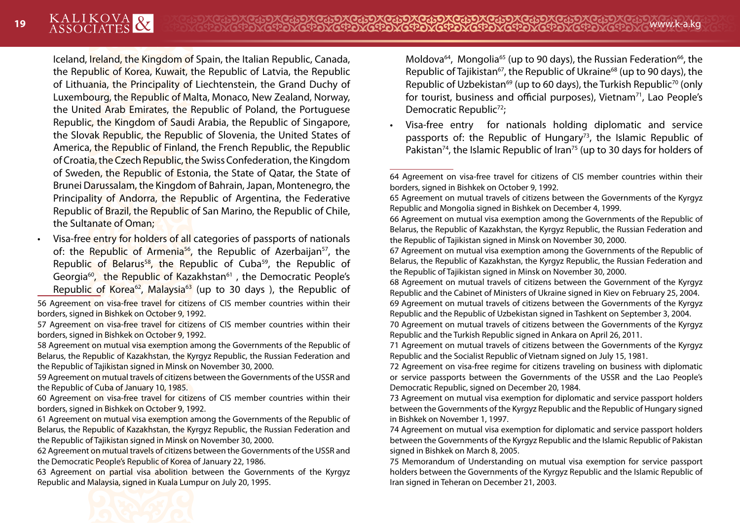Iceland, Ireland, the Kingdom of Spain, the Italian Republic, Canada, the Republic of Korea, Kuwait, the Republic of Latvia, the Republic of Lithuania, the Principality of Liechtenstein, the Grand Duchy of Luxembourg, the Republic of Malta, Monaco, New Zealand, Norway, the United Arab Emirates, the Republic of Poland, the Portuguese Republic, the Kingdom of Saudi Arabia, the Republic of Singapore, the Slovak Republic, the Republic of Slovenia, the United States of America, the Republic of Finland, the French Republic, the Republic of Croatia, the Czech Republic, the Swiss Confederation, the Kingdom of Sweden, the Republic of Estonia, the State of Qatar, the State of Brunei Darussalam, the Kingdom of Bahrain, Japan, Montenegro, the Principality of Andorra, the Republic of Argentina, the Federative Republic of Brazil, the Republic of San Marino, the Republic of Chile, the Sultanate of Oman;

• Visa-free entry for holders of all categories of passports of nationals of: the Republic of Armenia<sup>56</sup>, the Republic of Azerbaijan<sup>57</sup>, the Republic of Belarus<sup>58</sup>, the Republic of Cuba<sup>59</sup>, the Republic of Georgia<sup>60</sup>, the Republic of Kazakhstan<sup>61</sup>, the Democratic People's Republic of Korea<sup>62</sup>, Malaysia<sup>63</sup> (up to 30 days), the Republic of

56 Agreement on visa-free travel for citizens of CIS member countries within their borders, signed in Bishkek on October 9, 1992.

58 Agreement on mutual visa exemption among the Governments of the Republic of Belarus, the Republic of Kazakhstan, the Kyrgyz Republic, the Russian Federation and the Republic of Tajikistan signed in Minsk on November 30, 2000.

59 Agreement on mutual travels of citizens between the Governments of the USSR and the Republic of Cuba of January 10, 1985.

60 Agreement on visa-free travel for citizens of CIS member countries within their borders, signed in Bishkek on October 9, 1992.

61 Agreement on mutual visa exemption among the Governments of the Republic of Belarus, the Republic of Kazakhstan, the Kyrgyz Republic, the Russian Federation and the Republic of Tajikistan signed in Minsk on November 30, 2000.

62 Agreement on mutual travels of citizens between the Governments of the USSR and the Democratic People's Republic of Korea of January 22, 1986.

63 Agreement on partial visa abolition between the Governments of the Kyrgyz Republic and Malaysia, signed in Kuala Lumpur on July 20, 1995.

Moldova $64$ , Mongolia<sup>65</sup> (up to 90 days), the Russian Federation $66$ , the Republic of Tajikistan<sup>67</sup>, the Republic of Ukraine<sup>68</sup> (up to 90 days), the Republic of Uzbekistan<sup>69</sup> (up to 60 days), the Turkish Republic<sup>70</sup> (only for tourist, business and official purposes), Vietnam $<sup>71</sup>$ , Lao People's</sup> Democratic Republic<sup>72</sup>;

• Visa-free entry for nationals holding diplomatic and service passports of: the Republic of Hungary<sup>73</sup>, the Islamic Republic of Pakistan<sup>74</sup>, the Islamic Republic of Iran<sup>75</sup> (up to 30 days for holders of

68 Agreement on mutual travels of citizens between the Government of the Kyrgyz Republic and the Cabinet of Ministers of Ukraine signed in Kiev on February 25, 2004. 69 Agreement on mutual travels of citizens between the Governments of the Kyrgyz Republic and the Republic of Uzbekistan signed in Tashkent on September 3, 2004.

71 Agreement on mutual travels of citizens between the Governments of the Kyrgyz Republic and the Socialist Republic of Vietnam signed on July 15, 1981.

72 Agreement on visa-free regime for citizens traveling on business with diplomatic or service passports between the Governments of the USSR and the Lao People's Democratic Republic, signed on December 20, 1984.

73 Agreement on mutual visa exemption for diplomatic and service passport holders between the Governments of the Kyrgyz Republic and the Republic of Hungary signed in Bishkek on November 1, 1997.

74 Agreement on mutual visa exemption for diplomatic and service passport holders between the Governments of the Kyrgyz Republic and the Islamic Republic of Pakistan signed in Bishkek on March 8, 2005.

75 Memorandum of Understanding on mutual visa exemption for service passport holders between the Governments of the Kyrgyz Republic and the Islamic Republic of Iran signed in Teheran on December 21, 2003.

<sup>57</sup> Agreement on visa-free travel for citizens of CIS member countries within their borders, signed in Bishkek on October 9, 1992.

<sup>64</sup> Agreement on visa-free travel for citizens of CIS member countries within their borders, signed in Bishkek on October 9, 1992.

<sup>65</sup> Agreement on mutual travels of citizens between the Governments of the Kyrgyz Republic and Mongolia signed in Bishkek on December 4, 1999.

<sup>66</sup> Agreement on mutual visa exemption among the Governments of the Republic of Belarus, the Republic of Kazakhstan, the Kyrgyz Republic, the Russian Federation and the Republic of Tajikistan signed in Minsk on November 30, 2000.

<sup>67</sup> Agreement on mutual visa exemption among the Governments of the Republic of Belarus, the Republic of Kazakhstan, the Kyrgyz Republic, the Russian Federation and the Republic of Tajikistan signed in Minsk on November 30, 2000.

<sup>70</sup> Agreement on mutual travels of citizens between the Governments of the Kyrgyz Republic and the Turkish Republic signed in Ankara on April 26, 2011.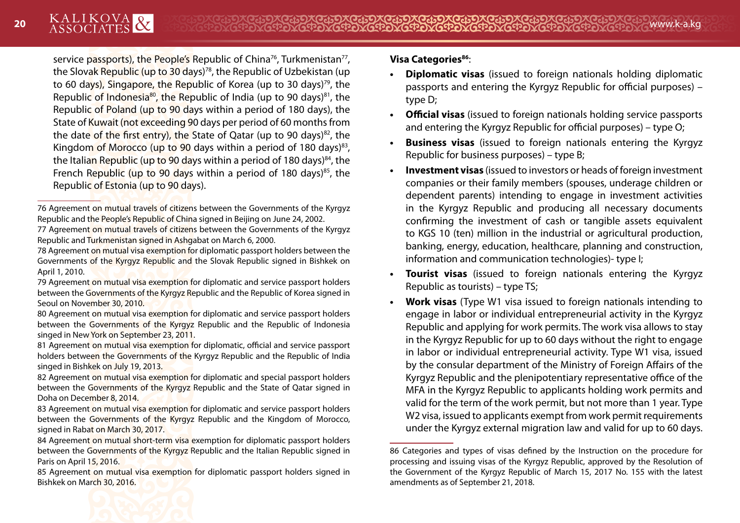service passports), the People's Republic of China<sup>76</sup>, Turkmenistan<sup>77</sup>, the Slovak Republic (up to 30 days)<sup>78</sup>, the Republic of Uzbekistan (up to 60 days), Singapore, the Republic of Korea (up to 30 days)<sup>79</sup>, the Republic of Indonesia<sup>80</sup>, the Republic of India (up to 90 days)<sup>81</sup>, the Republic of Poland (up to 90 days within a period of 180 days), the State of Kuwait (not exceeding 90 days per period of 60 months from the date of the first entry), the State of Oatar (up to 90 days) $82$ , the Kingdom of Morocco (up to 90 days within a period of 180 days) $83$ , the Italian Republic (up to 90 days within a period of 180 days) $84$ , the French Republic (up to 90 days within a period of 180 days)<sup>85</sup>, the Republic of Estonia (up to 90 days).

- 78 Agreement on mutual visa exemption for diplomatic passport holders between the Governments of the Kyrgyz Republic and the Slovak Republic signed in Bishkek on April 1, 2010.
- 79 Agreement on mutual visa exemption for diplomatic and service passport holders between the Governments of the Kyrgyz Republic and the Republic of Korea signed in Seoul on November 30, 2010.
- 80 Agreement on mutual visa exemption for diplomatic and service passport holders between the Governments of the Kyrgyz Republic and the Republic of Indonesia singed in New York on September 23, 2011.
- 81 Agreement on mutual visa exemption for diplomatic, official and service passport holders between the Governments of the Kyrgyz Republic and the Republic of India singed in Bishkek on July 19, 2013.
- 82 Agreement on mutual visa exemption for diplomatic and special passport holders between the Governments of the Kyrgyz Republic and the State of Qatar signed in Doha on December 8, 2014.
- 83 Agreement on mutual visa exemption for diplomatic and service passport holders between the Governments of the Kyrgyz Republic and the Kingdom of Morocco, signed in Rabat on March 30, 2017.
- 84 Agreement on mutual short-term visa exemption for diplomatic passport holders between the Governments of the Kyrgyz Republic and the Italian Republic signed in Paris on April 15, 2016.
- 85 Agreement on mutual visa exemption for diplomatic passport holders signed in Bishkek on March 30, 2016.

# **Visa Categories<sup>86</sup>:**

- **• Diplomatic visas** (issued to foreign nationals holding diplomatic passports and entering the Kyrgyz Republic for official purposes) – type D;
- **• Official visas** (issued to foreign nationals holding service passports and entering the Kyrgyz Republic for official purposes) – type O;
- **• Business visas** (issued to foreign nationals entering the Kyrgyz Republic for business purposes) – type B;
- **• Investment visas** (issued to investors or heads of foreign investment companies or their family members (spouses, underage children or dependent parents) intending to engage in investment activities in the Kyrgyz Republic and producing all necessary documents confirming the investment of cash or tangible assets equivalent to KGS 10 (ten) million in the industrial or agricultural production, banking, energy, education, healthcare, planning and construction, information and communication technologies)- type I;
- **• Tourist visas** (issued to foreign nationals entering the Kyrgyz Republic as tourists) – type TS;
- **• Work visas** (Type W1 visa issued to foreign nationals intending to engage in labor or individual entrepreneurial activity in the Kyrgyz Republic and applying for work permits. The work visa allows to stay in the Kyrgyz Republic for up to 60 days without the right to engage in labor or individual entrepreneurial activity. Type W1 visa, issued by the consular department of the Ministry of Foreign Affairs of the Kyrgyz Republic and the plenipotentiary representative office of the MFA in the Kyrgyz Republic to applicants holding work permits and valid for the term of the work permit, but not more than 1 year. Type W<sub>2</sub> visa, issued to applicants exempt from work permit requirements under the Kyrgyz external migration law and valid for up to 60 days.



<sup>76</sup> Agreement on mutual travels of citizens between the Governments of the Kyrgyz Republic and the People's Republic of China signed in Beijing on June 24, 2002.

<sup>77</sup> Agreement on mutual travels of citizens between the Governments of the Kyrgyz Republic and Turkmenistan signed in Ashgabat on March 6, 2000.

<sup>86</sup> Categories and types of visas defined by the Instruction on the procedure for processing and issuing visas of the Kyrgyz Republic, approved by the Resolution of the Government of the Kyrgyz Republic of March 15, 2017 No. 155 with the latest amendments as of September 21, 2018.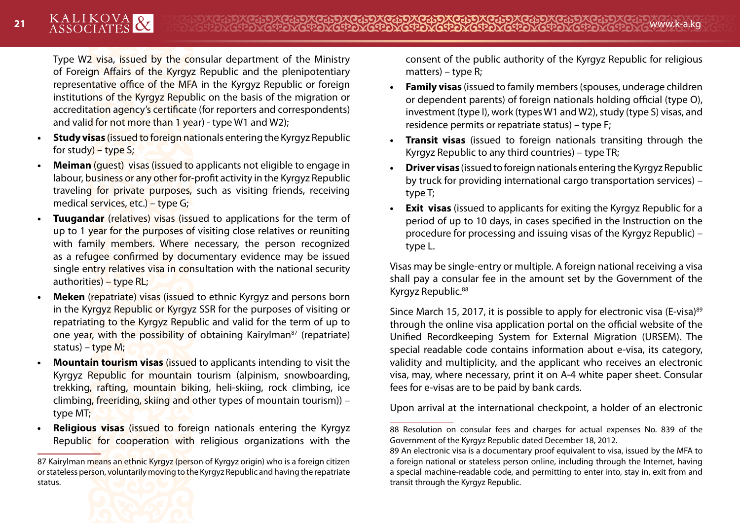Type W2 visa, issued by the consular department of the Ministry of Foreign Affairs of the Kyrgyz Republic and the plenipotentiary representative office of the MFA in the Kyrgyz Republic or foreign institutions of the Kyrgyz Republic on the basis of the migration or accreditation agency's certificate (for reporters and correspondents) and valid for not more than 1 year) - type W1 and W2);

- **• Study visas** (issued to foreign nationals entering the Kyrgyz Republic for study) – type S;
- **• Meiman** (guest) visas (issued to applicants not eligible to engage in labour, business or any other for-profit activity in the Kyrgyz Republic traveling for private purposes, such as visiting friends, receiving medical services, etc.) – type G;
- **Tuugandar** (relatives) visas (issued to applications for the term of up to 1 year for the purposes of visiting close relatives or reuniting with family members. Where necessary, the person recognized as a refugee confirmed by documentary evidence may be issued single entry relatives visa in consultation with the national security authorities) – type RL;
- **• Meken** (repatriate) visas (issued to ethnic Kyrgyz and persons born in the Kyrgyz Republic or Kyrgyz SSR for the purposes of visiting or repatriating to the Kyrgyz Republic and valid for the term of up to one year, with the possibility of obtaining Kairylman<sup>87</sup> (repatriate) status) – type M;
- **• Mountain tourism visas** (issued to applicants intending to visit the Kyrgyz Republic for mountain tourism (alpinism, snowboarding, trekking, rafting, mountain biking, heli-skiing, rock climbing, ice climbing, freeriding, skiing and other types of mountain tourism)) – type MT;
- **• Religious visas** (issued to foreign nationals entering the Kyrgyz Republic for cooperation with religious organizations with the

consent of the public authority of the Kyrgyz Republic for religious matters) – type R;

- **• Family visas** (issued to family members (spouses, underage children or dependent parents) of foreign nationals holding official (type O), investment (type I), work (types W1 and W2), study (type S) visas, and residence permits or repatriate status) – type F;
- **• Transit visas** (issued to foreign nationals transiting through the Kyrgyz Republic to any third countries) – type TR;
- **• Driver visas** (issued to foreign nationals entering the Kyrgyz Republic by truck for providing international cargo transportation services) – type T;
- **• Exit visas** (issued to applicants for exiting the Kyrgyz Republic for a period of up to 10 days, in cases specified in the Instruction on the procedure for processing and issuing visas of the Kyrgyz Republic) – type L.

Visas may be single-entry or multiple. A foreign national receiving a visa shall pay a consular fee in the amount set by the Government of the Kyrgyz Republic.<sup>88</sup>

Since March 15, 2017, it is possible to apply for electronic visa (E-visa)<sup>89</sup> through the online visa application portal on the official website of the Unified Recordkeeping System for External Migration (URSEM). The special readable code contains information about e-visa, its category, validity and multiplicity, and the applicant who receives an electronic visa, may, where necessary, print it on A-4 white paper sheet. Consular fees for e-visas are to be paid by bank cards.

Upon arrival at the international checkpoint, a holder of an electronic



<sup>87</sup> Kairylman means an ethnic Kyrgyz (person of Kyrgyz origin) who is a foreign citizen or stateless person, voluntarily moving to the Kyrgyz Republic and having the repatriate status.

<sup>88</sup> Resolution on consular fees and charges for actual expenses No. 839 of the Government of the Kyrgyz Republic dated December 18, 2012.

<sup>89</sup> An electronic visa is a documentary proof equivalent to visa, issued by the MFA to a foreign national or stateless person online, including through the Internet, having a special machine-readable code, and permitting to enter into, stay in, exit from and transit through the Kyrgyz Republic.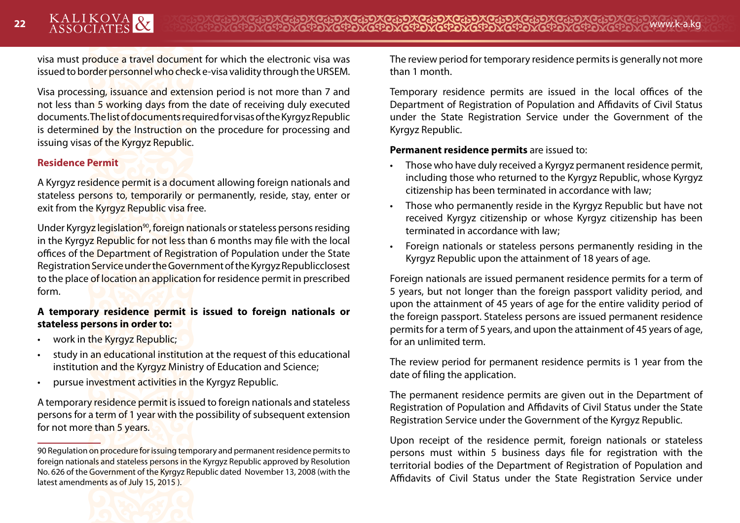visa must produce a travel document for which the electronic visa was issued to border personnel who check e-visa validity through the URSEM.

Visa processing, issuance and extension period is not more than 7 and not less than 5 working days from the date of receiving duly executed documents. The list of documents required for visas of the Kyrgyz Republic is determined by the Instruction on the procedure for processing and issuing visas of the Kyrgyz Republic.

#### **Residence Permit**

A Kyrgyz residence permit is a document allowing foreign nationals and stateless persons to, temporarily or permanently, reside, stay, enter or exit from the Kyrgyz Republic visa free.

Under Kyrgyz legislation<sup>90</sup>, foreign nationals or stateless persons residing in the Kyrgyz Republic for not less than 6 months may file with the local offices of the Department of Registration of Population under the State Registration Service under the Government of the Kyrgyz Republicclosest to the place of location an application for residence permit in prescribed form.

#### **A temporary residence permit is issued to foreign nationals or stateless persons in order to:**

- work in the Kyrgyz Republic;
- study in an educational institution at the request of this educational institution and the Kyrgyz Ministry of Education and Science;
- pursue investment activities in the Kyrgyz Republic.

A temporary residence permit is issued to foreign nationals and stateless persons for a term of 1 year with the possibility of subsequent extension for not more than 5 years.

The review period for temporary residence permits is generally not more than 1 month.

Temporary residence permits are issued in the local offices of the Department of Registration of Population and Affidavits of Civil Status under the State Registration Service under the Government of the Kyrgyz Republic.

#### **Permanent residence permits** are issued to:

- Those who have duly received a Kyrgyz permanent residence permit, including those who returned to the Kyrgyz Republic, whose Kyrgyz citizenship has been terminated in accordance with law;
- Those who permanently reside in the Kyrgyz Republic but have not received Kyrgyz citizenship or whose Kyrgyz citizenship has been terminated in accordance with law;
- Foreign nationals or stateless persons permanently residing in the Kyrgyz Republic upon the attainment of 18 years of age.

Foreign nationals are issued permanent residence permits for a term of 5 years, but not longer than the foreign passport validity period, and upon the attainment of 45 years of age for the entire validity period of the foreign passport. Stateless persons are issued permanent residence permits for a term of 5 years, and upon the attainment of 45 years of age, for an unlimited term.

The review period for permanent residence permits is 1 year from the date of filing the application.

The permanent residence permits are given out in the Department of Registration of Population and Affidavits of Civil Status under the State Registration Service under the Government of the Kyrgyz Republic.

Upon receipt of the residence permit, foreign nationals or stateless persons must within 5 business days file for registration with the territorial bodies of the Department of Registration of Population and Affidavits of Civil Status under the State Registration Service under

<sup>90</sup> Regulation on procedure for issuing temporary and permanent residence permits to foreign nationals and stateless persons in the Kyrgyz Republic approved by Resolution No. 626 of the Government of the Kyrgyz Republic dated November 13, 2008 (with the latest amendments as of July 15, 2015 ).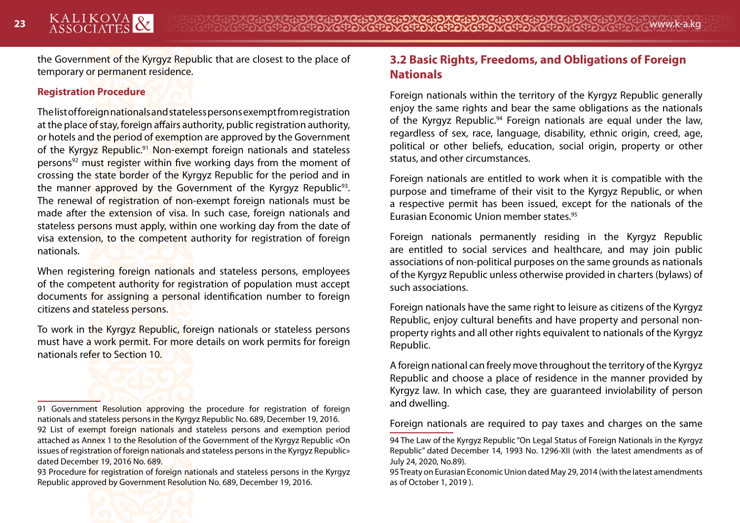the Government of the Kyrgyz Republic that are closest to the place of temporary or permanent residence.

#### **Registration Procedure**

The list of foreign nationals and stateless persons exempt from registration at the place of stay, foreign affairs authority, public registration authority, or hotels and the period of exemption are approved by the Government of the Kyrgyz Republic.<sup>91</sup> Non-exempt foreign nationals and stateless persons<sup>92</sup> must register within five working days from the moment of crossing the state border of the Kyrgyz Republic for the period and in the manner approved by the Government of the Kyrgyz Republic<sup>93</sup>. The renewal of registration of non-exempt foreign nationals must be made after the extension of visa. In such case, foreign nationals and stateless persons must apply, within one working day from the date of visa extension, to the competent authority for registration of foreign nationals.

When registering foreign nationals and stateless persons, employees of the competent authority for registration of population must accept documents for assigning a personal identification number to foreign citizens and stateless persons.

To work in the Kyrgyz Republic, foreign nationals or stateless persons must have a work permit. For more details on work permits for foreign nationals refer to Section 10.

# **3.2 Basic Rights, Freedoms, and Obligations of Foreign Nationals**

Foreign nationals within the territory of the Kyrgyz Republic generally enjoy the same rights and bear the same obligations as the nationals of the Kyrgyz Republic.<sup>94</sup> Foreign nationals are equal under the law, regardless of sex, race, language, disability, ethnic origin, creed, age, political or other beliefs, education, social origin, property or other status, and other circumstances.

Foreign nationals are entitled to work when it is compatible with the purpose and timeframe of their visit to the Kyrgyz Republic, or when a respective permit has been issued, except for the nationals of the Eurasian Economic Union member states.95

Foreign nationals permanently residing in the Kyrgyz Republic are entitled to social services and healthcare, and may join public associations of non-political purposes on the same grounds as nationals of the Kyrgyz Republic unless otherwise provided in charters (bylaws) of such associations.

Foreign nationals have the same right to leisure as citizens of the Kyrgyz Republic, enjoy cultural benefits and have property and personal nonproperty rights and all other rights equivalent to nationals of the Kyrgyz Republic.

A foreign national can freely move throughout the territory of the Kyrgyz Republic and choose a place of residence in the manner provided by Kyrgyz law. In which case, they are guaranteed inviolability of person and dwelling.

Foreign nationals are required to pay taxes and charges on the same

<sup>91</sup> Government Resolution approving the procedure for registration of foreign nationals and stateless persons in the Kyrgyz Republic No. 689, December 19, 2016. 92 List of exempt foreign nationals and stateless persons and exemption period attached as Annex 1 to the Resolution of the Government of the Kyrgyz Republic «On issues of registration of foreign nationals and stateless persons in the Kyrgyz Republic» dated December 19, 2016 No. 689.

<sup>93</sup> Procedure for registration of foreign nationals and stateless persons in the Kyrgyz Republic approved by Government Resolution No. 689, December 19, 2016.

<sup>94</sup> The Law of the Kyrgyz Republic "On Legal Status of Foreign Nationals in the Kyrgyz Republic" dated December 14, 1993 No. 1296-XII (with the latest amendments as of July 24, 2020, No.89).

<sup>95</sup> Treaty on Eurasian Economic Union dated May 29, 2014 (with the latest amendments as of October 1, 2019 ).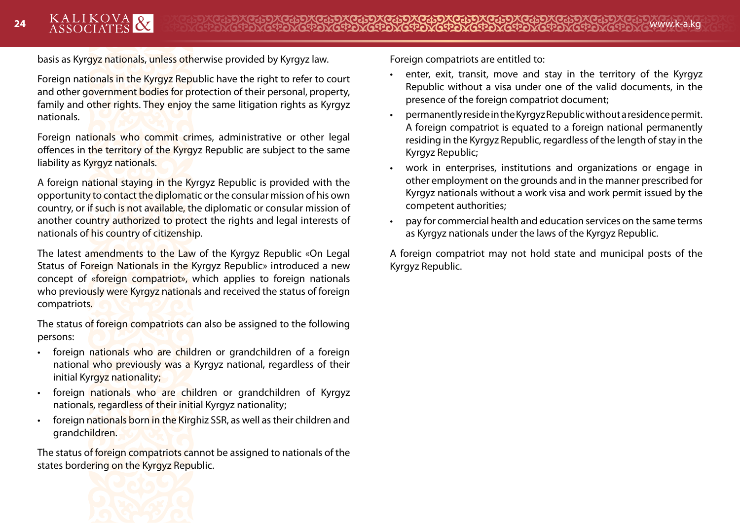basis as Kyrgyz nationals, unless otherwise provided by Kyrgyz law.

Foreign nationals in the Kyrgyz Republic have the right to refer to court and other government bodies for protection of their personal, property, family and other rights. They enjoy the same litigation rights as Kyrgyz nationals.

Foreign nationals who commit crimes, administrative or other legal offences in the territory of the Kyrgyz Republic are subject to the same liability as Kyrgyz nationals.

A foreign national staying in the Kyrgyz Republic is provided with the opportunity to contact the diplomatic or the consular mission of his own country, or if such is not available, the diplomatic or consular mission of another country authorized to protect the rights and legal interests of nationals of his country of citizenship.

The latest amendments to the Law of the Kyrgyz Republic «On Legal Status of Foreign Nationals in the Kyrgyz Republic» introduced a new concept of «foreign compatriot», which applies to foreign nationals who previously were Kyrgyz nationals and received the status of foreign compatriots.

The status of foreign compatriots can also be assigned to the following persons:

- foreign nationals who are children or grandchildren of a foreign national who previously was a Kyrgyz national, regardless of their initial Kyrgyz nationality;
- foreign nationals who are children or grandchildren of Kyrgyz nationals, regardless of their initial Kyrgyz nationality;
- foreign nationals born in the Kirghiz SSR, as well as their children and grandchildren.

The status of foreign compatriots cannot be assigned to nationals of the states bordering on the Kyrgyz Republic.



Foreign compatriots are entitled to:

- enter, exit, transit, move and stay in the territory of the Kyrgyz Republic without a visa under one of the valid documents, in the presence of the foreign compatriot document;
- permanently reside in the Kyrgyz Republic without a residence permit. A foreign compatriot is equated to a foreign national permanently residing in the Kyrgyz Republic, regardless of the length of stay in the Kyrgyz Republic;
- work in enterprises, institutions and organizations or engage in other employment on the grounds and in the manner prescribed for Kyrgyz nationals without a work visa and work permit issued by the competent authorities;
- pay for commercial health and education services on the same terms as Kyrgyz nationals under the laws of the Kyrgyz Republic.

A foreign compatriot may not hold state and municipal posts of the Kyrgyz Republic.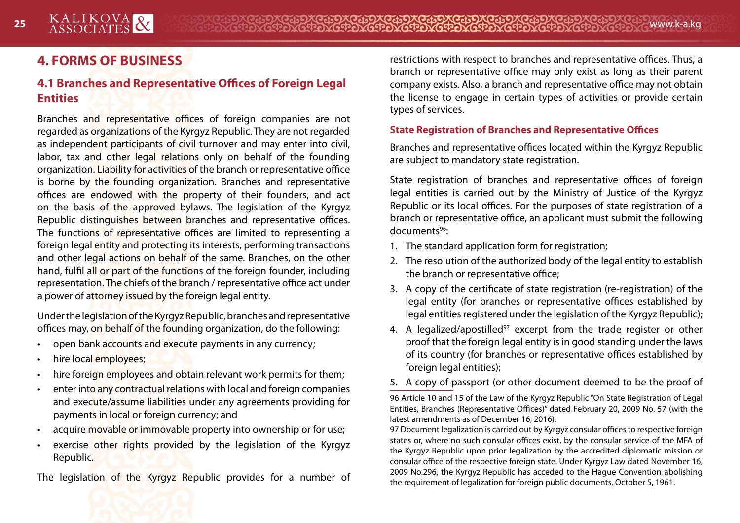# **4. FORMS OF BUSINESS**

# **4.1 Branches and Representative Offices of Foreign Legal Entities**

Branches and representative offices of foreign companies are not regarded as organizations of the Kyrgyz Republic. They are not regarded as independent participants of civil turnover and may enter into civil, labor, tax and other legal relations only on behalf of the founding organization. Liability for activities of the branch or representative office is borne by the founding organization. Branches and representative offices are endowed with the property of their founders, and act on the basis of the approved bylaws. The legislation of the Kyrgyz Republic distinguishes between branches and representative offices. The functions of representative offices are limited to representing a foreign legal entity and protecting its interests, performing transactions and other legal actions on behalf of the same. Branches, on the other hand, fulfil all or part of the functions of the foreign founder, including representation. The chiefs of the branch / representative office act under a power of attorney issued by the foreign legal entity.

Under the legislation of the Kyrgyz Republic, branches and representative offices may, on behalf of the founding organization, do the following:

- open bank accounts and execute payments in any currency;
- hire local employees;
- hire foreign employees and obtain relevant work permits for them;
- enter into any contractual relations with local and foreign companies and execute/assume liabilities under any agreements providing for payments in local or foreign currency; and
- acquire movable or immovable property into ownership or for use;
- exercise other rights provided by the legislation of the Kyrgyz Republic.

The legislation of the Kyrgyz Republic provides for a number of

restrictions with respect to branches and representative offices. Thus, a branch or representative office may only exist as long as their parent company exists. Also, a branch and representative office may not obtain the license to engage in certain types of activities or provide certain types of services.

#### **State Registration of Branches and Representative Offices**

Branches and representative offices located within the Kyrgyz Republic are subject to mandatory state registration.

State registration of branches and representative offices of foreign legal entities is carried out by the Ministry of Justice of the Kyrgyz Republic or its local offices. For the purposes of state registration of a branch or representative office, an applicant must submit the following documents<sup>96</sup>:

- 1. The standard application form for registration;
- 2. The resolution of the authorized body of the legal entity to establish the branch or representative office;
- 3. A copy of the certificate of state registration (re-registration) of the legal entity (for branches or representative offices established by legal entities registered under the legislation of the Kyrgyz Republic);
- 4. A legalized/apostilled<sup>97</sup> excerpt from the trade register or other proof that the foreign legal entity is in good standing under the laws of its country (for branches or representative offices established by foreign legal entities);
- 5. A copy of passport (or other document deemed to be the proof of

96 Article 10 and 15 of the Law of the Kyrgyz Republic "On State Registration of Legal Entities, Branches (Representative Offices)" dated February 20, 2009 No. 57 (with the latest amendments as of December 16, 2016).

97 Document legalization is carried out by Kyrgyz consular offices to respective foreign states or, where no such consular offices exist, by the consular service of the MFA of the Kyrgyz Republic upon prior legalization by the accredited diplomatic mission or consular office of the respective foreign state. Under Kyrgyz Law dated November 16, 2009 No.296, the Kyrgyz Republic has acceded to the Hague Convention abolishing the requirement of legalization for foreign public documents, October 5, 1961.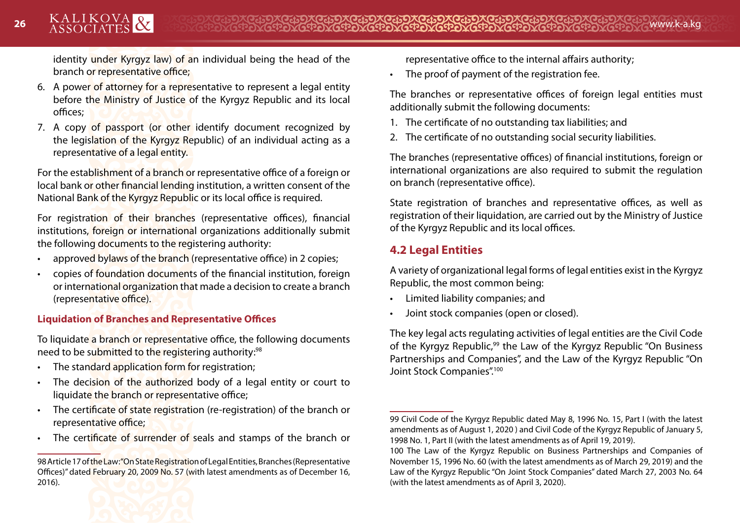identity under Kyrgyz law) of an individual being the head of the branch or representative office;

- 6. A power of attorney for a representative to represent a legal entity before the Ministry of Justice of the Kyrgyz Republic and its local offices;
- 7. A copy of passport (or other identify document recognized by the legislation of the Kyrgyz Republic) of an individual acting as a representative of a legal entity.

For the establishment of a branch or representative office of a foreign or local bank or other financial lending institution, a written consent of the National Bank of the Kyrgyz Republic or its local office is required.

For registration of their branches (representative offices), financial institutions, foreign or international organizations additionally submit the following documents to the registering authority:

- approved bylaws of the branch (representative office) in 2 copies;
- copies of foundation documents of the financial institution, foreign or international organization that made a decision to create a branch (representative office).

#### **Liquidation of Branches and Representative Offices**

To liquidate a branch or representative office, the following documents need to be submitted to the registering authority:98

- The standard application form for registration;
- The decision of the authorized body of a legal entity or court to liquidate the branch or representative office;
- The certificate of state registration (re-registration) of the branch or representative office;
- The certificate of surrender of seals and stamps of the branch or

<sup>98</sup> Article 17 of the Law: "On State Registration of Legal Entities, Branches (Representative Offices)" dated February 20, 2009 No. 57 (with latest amendments as of December 16, 2016).



representative office to the internal affairs authority;

• The proof of payment of the registration fee.

The branches or representative offices of foreign legal entities must additionally submit the following documents:

- 1. The certificate of no outstanding tax liabilities; and
- 2. The certificate of no outstanding social security liabilities.

The branches (representative offices) of financial institutions, foreign or international organizations are also required to submit the regulation on branch (representative office).

State registration of branches and representative offices, as well as registration of their liquidation, are carried out by the Ministry of Justice of the Kyrgyz Republic and its local offices.

# **4.2 Legal Entities**

A variety of organizational legal forms of legal entities exist in the Kyrgyz Republic, the most common being:

- Limited liability companies; and
- Joint stock companies (open or closed).

The key legal acts regulating activities of legal entities are the Civil Code of the Kyrgyz Republic,<sup>99</sup> the Law of the Kyrgyz Republic "On Business" Partnerships and Companies", and the Law of the Kyrgyz Republic "On Joint Stock Companies".<sup>100</sup>

<sup>99</sup> Civil Code of the Kyrgyz Republic dated May 8, 1996 No. 15, Part I (with the latest amendments as of August 1, 2020 ) and Civil Code of the Kyrgyz Republic of January 5, 1998 No. 1, Part II (with the latest amendments as of April 19, 2019).

<sup>100</sup> The Law of the Kyrgyz Republic on Business Partnerships and Companies of November 15, 1996 No. 60 (with the latest amendments as of March 29, 2019) and the Law of the Kyrgyz Republic "On Joint Stock Companies" dated March 27, 2003 No. 64 (with the latest amendments as of April 3, 2020).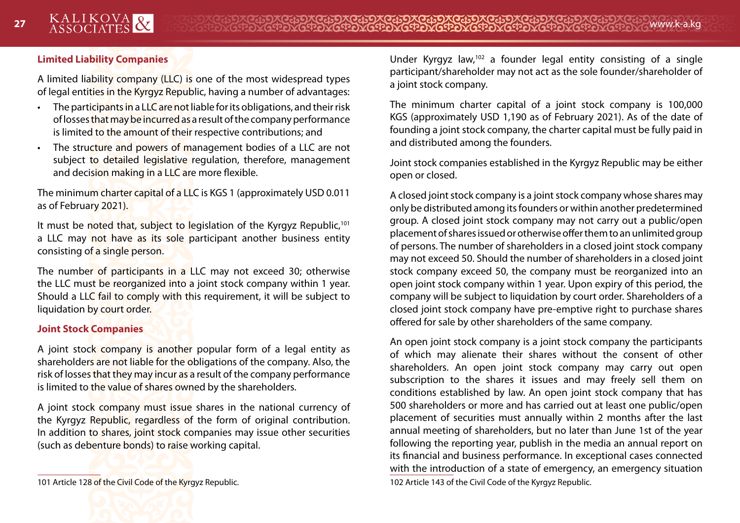#### **Limited Liability Companies**

A limited liability company (LLC) is one of the most widespread types of legal entities in the Kyrgyz Republic, having a number of advantages:

- The participants in a LLC are not liable for its obligations, and their risk of losses that may be incurred as a result of the company performance is limited to the amount of their respective contributions; and
- The structure and powers of management bodies of a LLC are not subject to detailed legislative regulation, therefore, management and decision making in a LLC are more flexible.

The minimum charter capital of a LLC is KGS 1 (approximately USD 0.011 as of February 2021).

It must be noted that, subject to legislation of the Kyrgyz Republic,<sup>101</sup> a LLC may not have as its sole participant another business entity consisting of a single person.

The number of participants in a LLC may not exceed 30; otherwise the LLC must be reorganized into a joint stock company within 1 year. Should a LLC fail to comply with this requirement, it will be subject to liquidation by court order.

#### **Joint Stock Companies**

A joint stock company is another popular form of a legal entity as shareholders are not liable for the obligations of the company. Also, the risk of losses that they may incur as a result of the company performance is limited to the value of shares owned by the shareholders.

A joint stock company must issue shares in the national currency of the Kyrgyz Republic, regardless of the form of original contribution. In addition to shares, joint stock companies may issue other securities (such as debenture bonds) to raise working capital.

Under Kyrgyz law,102 a founder legal entity consisting of a single participant/shareholder may not act as the sole founder/shareholder of a joint stock company.

The minimum charter capital of a joint stock company is 100,000 KGS (approximately USD 1,190 as of February 2021). As of the date of founding a joint stock company, the charter capital must be fully paid in and distributed among the founders.

Joint stock companies established in the Kyrgyz Republic may be either open or closed.

A closed joint stock company is a joint stock company whose shares may only be distributed among its founders or within another predetermined group. A closed joint stock company may not carry out a public/open placement of shares issued or otherwise offer them to an unlimited group of persons. The number of shareholders in a closed joint stock company may not exceed 50. Should the number of shareholders in a closed joint stock company exceed 50, the company must be reorganized into an open joint stock company within 1 year. Upon expiry of this period, the company will be subject to liquidation by court order. Shareholders of a closed joint stock company have pre-emptive right to purchase shares offered for sale by other shareholders of the same company.

An open joint stock company is a joint stock company the participants of which may alienate their shares without the consent of other shareholders. An open joint stock company may carry out open subscription to the shares it issues and may freely sell them on conditions established by law. An open joint stock company that has 500 shareholders or more and has carried out at least one public/open placement of securities must annually within 2 months after the last annual meeting of shareholders, but no later than June 1st of the year following the reporting year, publish in the media an annual report on its financial and business performance. In exceptional cases connected with the introduction of a state of emergency, an emergency situation 102 Article 143 of the Civil Code of the Kyrgyz Republic.

<sup>101</sup> Article 128 of the Civil Code of the Kyrgyz Republic.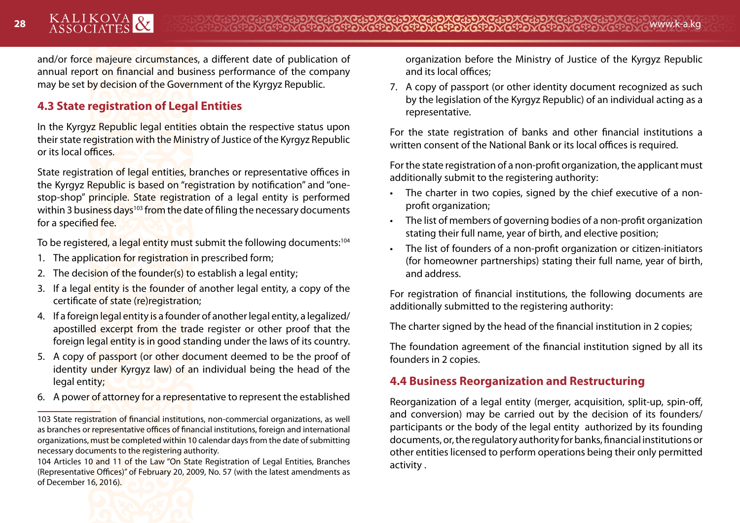28 ASSOCIATES **XX** WWW.k-a.kg

and/or force majeure circumstances, a different date of publication of annual report on financial and business performance of the company may be set by decision of the Government of the Kyrgyz Republic.

# **4.3 State registration of Legal Entities**

In the Kyrgyz Republic legal entities obtain the respective status upon their state registration with the Ministry of Justice of the Kyrgyz Republic or its local offices.

State registration of legal entities, branches or representative offices in the Kyrgyz Republic is based on "registration by notification" and "onestop-shop" principle. State registration of a legal entity is performed within 3 business days<sup>103</sup> from the date of filing the necessary documents for a specified fee.

To be registered, a legal entity must submit the following documents:<sup>104</sup>

- 1. The application for registration in prescribed form;
- 2. The decision of the founder(s) to establish a legal entity;
- 3. If a legal entity is the founder of another legal entity, a copy of the certificate of state (re)registration;
- 4. If a foreign legal entity is a founder of another legal entity, a legalized/ apostilled excerpt from the trade register or other proof that the foreign legal entity is in good standing under the laws of its country.
- 5. A copy of passport (or other document deemed to be the proof of identity under Kyrgyz law) of an individual being the head of the legal entity;
- 6. A power of attorney for a representative to represent the established

organization before the Ministry of Justice of the Kyrgyz Republic and its local offices;

7. A copy of passport (or other identity document recognized as such by the legislation of the Kyrgyz Republic) of an individual acting as a representative.

For the state registration of banks and other financial institutions a written consent of the National Bank or its local offices is required.

For the state registration of a non-profit organization, the applicant must additionally submit to the registering authority:

- The charter in two copies, signed by the chief executive of a nonprofit organization;
- The list of members of governing bodies of a non-profit organization stating their full name, year of birth, and elective position;
- The list of founders of a non-profit organization or citizen-initiators (for homeowner partnerships) stating their full name, year of birth, and address.

For registration of financial institutions, the following documents are additionally submitted to the registering authority:

The charter signed by the head of the financial institution in 2 copies;

The foundation agreement of the financial institution signed by all its founders in 2 copies.

# **4.4 Business Reorganization and Restructuring**

Reorganization of a legal entity (merger, acquisition, split-up, spin-off, and conversion) may be carried out by the decision of its founders/ participants or the body of the legal entity authorized by its founding documents, or, the regulatory authority for banks, financial institutions or other entities licensed to perform operations being their only permitted activity .

<sup>103</sup> State registration of financial institutions, non-commercial organizations, as well as branches or representative offices of financial institutions, foreign and international organizations, must be completed within 10 calendar days from the date of submitting necessary documents to the registering authority.

<sup>104</sup> Articles 10 and 11 of the Law "On State Registration of Legal Entities, Branches (Representative Offices)" of February 20, 2009, No. 57 (with the latest amendments as of December 16, 2016).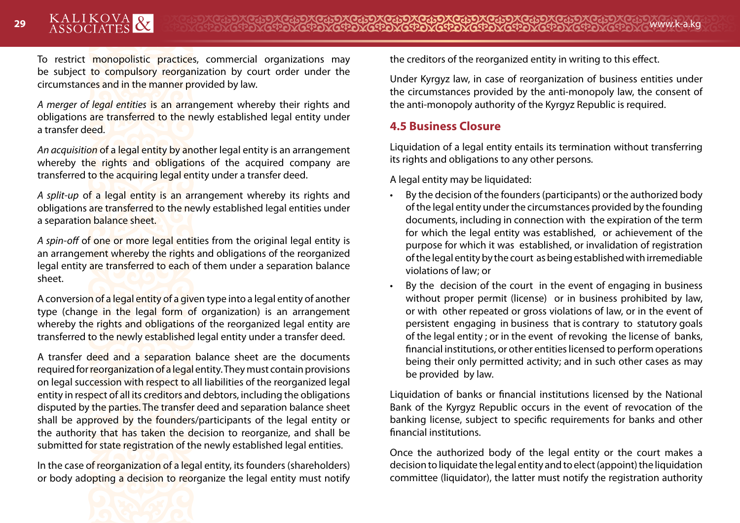To restrict monopolistic practices, commercial organizations may be subject to compulsory reorganization by court order under the circumstances and in the manner provided by law.

*A merger of legal entities* is an arrangement whereby their rights and obligations are transferred to the newly established legal entity under a transfer deed.

*An acquisition* of a legal entity by another legal entity is an arrangement whereby the rights and obligations of the acquired company are transferred to the acquiring legal entity under a transfer deed.

*A split-up* of a legal entity is an arrangement whereby its rights and obligations are transferred to the newly established legal entities under a separation balance sheet.

*A spin-off* of one or more legal entities from the original legal entity is an arrangement whereby the rights and obligations of the reorganized legal entity are transferred to each of them under a separation balance sheet.

A conversion of a legal entity of a given type into a legal entity of another type (change in the legal form of organization) is an arrangement whereby the rights and obligations of the reorganized legal entity are transferred to the newly established legal entity under a transfer deed.

A transfer deed and a separation balance sheet are the documents required for reorganization of a legal entity. They must contain provisions on legal succession with respect to all liabilities of the reorganized legal entity in respect of all its creditors and debtors, including the obligations disputed by the parties. The transfer deed and separation balance sheet shall be approved by the founders/participants of the legal entity or the authority that has taken the decision to reorganize, and shall be submitted for state registration of the newly established legal entities.

In the case of reorganization of a legal entity, its founders (shareholders) or body adopting a decision to reorganize the legal entity must notify the creditors of the reorganized entity in writing to this effect.

Under Kyrgyz law, in case of reorganization of business entities under the circumstances provided by the anti-monopoly law, the consent of the anti-monopoly authority of the Kyrgyz Republic is required.

#### **4.5 Business Closure**

Liquidation of a legal entity entails its termination without transferring its rights and obligations to any other persons.

A legal entity may be liquidated:

- By the decision of the founders (participants) or the authorized body of the legal entity under the circumstances provided by the founding documents, including in connection with the expiration of the term for which the legal entity was established, or achievement of the purpose for which it was established, or invalidation of registration of the legal entity by the court as being established with irremediable violations of law; or
- By the decision of the court in the event of engaging in business without proper permit (license) or in business prohibited by law, or with other repeated or gross violations of law, or in the event of persistent engaging in business that is contrary to statutory goals of the legal entity ; or in the event of revoking the license of banks, financial institutions, or other entities licensed to perform operations being their only permitted activity; and in such other cases as may be provided by law.

Liquidation of banks or financial institutions licensed by the National Bank of the Kyrgyz Republic occurs in the event of revocation of the banking license, subject to specific requirements for banks and other financial institutions.

Once the authorized body of the legal entity or the court makes a decision to liquidate the legal entity and to elect (appoint) the liquidation committee (liquidator), the latter must notify the registration authority

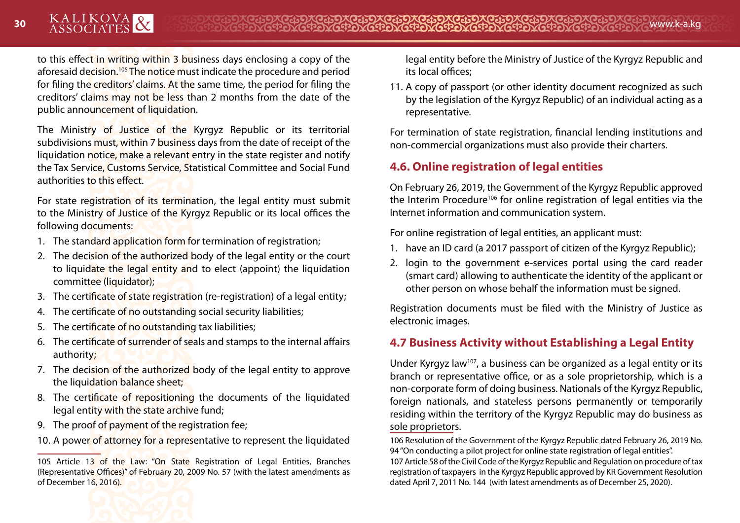to this effect in writing within 3 business days enclosing a copy of the aforesaid decision.<sup>105</sup> The notice must indicate the procedure and period for filing the creditors' claims. At the same time, the period for filing the creditors' claims may not be less than 2 months from the date of the public announcement of liquidation.

The Ministry of Justice of the Kyrgyz Republic or its territorial subdivisions must, within 7 business days from the date of receipt of the liquidation notice, make a relevant entry in the state register and notify the Tax Service, Customs Service, Statistical Committee and Social Fund authorities to this effect.

For state registration of its termination, the legal entity must submit to the Ministry of Justice of the Kyrgyz Republic or its local offices the following documents:

- 1. The standard application form for termination of registration:
- 2. The decision of the authorized body of the legal entity or the court to liquidate the legal entity and to elect (appoint) the liquidation committee (liquidator);
- 3. The certificate of state registration (re-registration) of a legal entity;
- 4. The certificate of no outstanding social security liabilities;
- 5. The certificate of no outstanding tax liabilities;
- 6. The certificate of surrender of seals and stamps to the internal affairs authority;
- 7. The decision of the authorized body of the legal entity to approve the liquidation balance sheet;
- 8. The certificate of repositioning the documents of the liquidated legal entity with the state archive fund;
- 9. The proof of payment of the registration fee;
- 10. A power of attorney for a representative to represent the liquidated



11. A copy of passport (or other identity document recognized as such by the legislation of the Kyrgyz Republic) of an individual acting as a representative.

For termination of state registration, financial lending institutions and non-commercial organizations must also provide their charters.

# **4.6. Online registration of legal entities**

On February 26, 2019, the Government of the Kyrgyz Republic approved the Interim Procedure<sup>106</sup> for online registration of legal entities via the Internet information and communication system.

For online registration of legal entities, an applicant must:

- 1. have an ID card (a 2017 passport of citizen of the Kyrgyz Republic);
- 2. login to the government e-services portal using the card reader (smart card) allowing to authenticate the identity of the applicant or other person on whose behalf the information must be signed.

Registration documents must be filed with the Ministry of Justice as electronic images.

# **4.7 Business Activity without Establishing a Legal Entity**

Under Kyrgyz law<sup>107</sup>, a business can be organized as a legal entity or its branch or representative office, or as a sole proprietorship, which is a non-corporate form of doing business. Nationals of the Kyrgyz Republic, foreign nationals, and stateless persons permanently or temporarily residing within the territory of the Kyrgyz Republic may do business as sole proprietors.

106 Resolution of the Government of the Kyrgyz Republic dated February 26, 2019 No. 94 "On conducting a pilot project for online state registration of legal entities".

107 Article 58 of the Civil Code of the Kyrgyz Republic and Regulation on procedure of tax registration of taxpayers in the Kyrgyz Republic approved by KR Government Resolution dated April 7, 2011 No. 144 (with latest amendments as of December 25, 2020).

<sup>105</sup> Article 13 of the Law: "On State Registration of Legal Entities, Branches (Representative Offices)" of February 20, 2009 No. 57 (with the latest amendments as of December 16, 2016).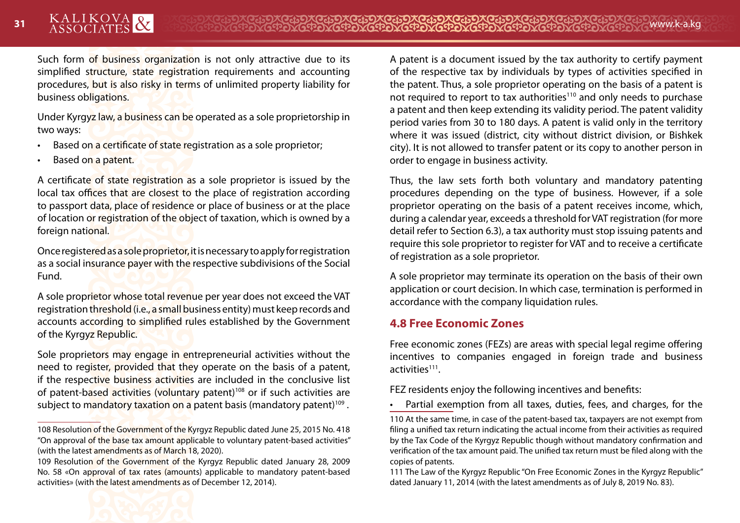Such form of business organization is not only attractive due to its simplified structure, state registration requirements and accounting procedures, but is also risky in terms of unlimited property liability for business obligations.

Under Kyrgyz law, a business can be operated as a sole proprietorship in two ways:

- Based on a certificate of state registration as a sole proprietor;
- Based on a patent.

A certificate of state registration as a sole proprietor is issued by the local tax offices that are closest to the place of registration according to passport data, place of residence or place of business or at the place of location or registration of the object of taxation, which is owned by a foreign national.

Once registered as a sole proprietor, it is necessary to apply for registration as a social insurance payer with the respective subdivisions of the Social Fund.

A sole proprietor whose total revenue per year does not exceed the VAT registration threshold (i.e., a small business entity) must keep records and accounts according to simplified rules established by the Government of the Kyrgyz Republic.

Sole proprietors may engage in entrepreneurial activities without the need to register, provided that they operate on the basis of a patent, if the respective business activities are included in the conclusive list of patent-based activities (voluntary patent)108 or if such activities are subject to mandatory taxation on a patent basis (mandatory patent)<sup>109</sup>.

A patent is a document issued by the tax authority to certify payment of the respective tax by individuals by types of activities specified in the patent. Thus, a sole proprietor operating on the basis of a patent is not required to report to tax authorities<sup>110</sup> and only needs to purchase a patent and then keep extending its validity period. The patent validity period varies from 30 to 180 days. A patent is valid only in the territory where it was issued (district, city without district division, or Bishkek city). It is not allowed to transfer patent or its copy to another person in order to engage in business activity.

Thus, the law sets forth both voluntary and mandatory patenting procedures depending on the type of business. However, if a sole proprietor operating on the basis of a patent receives income, which, during a calendar year, exceeds a threshold for VAT registration (for more detail refer to Section 6.3), a tax authority must stop issuing patents and require this sole proprietor to register for VAT and to receive a certificate of registration as a sole proprietor.

A sole proprietor may terminate its operation on the basis of their own application or court decision. In which case, termination is performed in accordance with the company liquidation rules.

# **4.8 Free Economic Zones**

Free economic zones (FEZs) are areas with special legal regime offering incentives to companies engaged in foreign trade and business activities111.

FEZ residents enjoy the following incentives and benefits:

Partial exemption from all taxes, duties, fees, and charges, for the

110 At the same time, in case of the patent-based tax, taxpayers are not exempt from filing a unified tax return indicating the actual income from their activities as required by the Tax Code of the Kyrgyz Republic though without mandatory confirmation and verification of the tax amount paid. The unified tax return must be filed along with the copies of patents.

111 The Law of the Kyrgyz Republic "On Free Economic Zones in the Kyrgyz Republic" dated January 11, 2014 (with the latest amendments as of July 8, 2019 No. 83).

<sup>108</sup> Resolution of the Government of the Kyrgyz Republic dated June 25, 2015 No. 418 "On approval of the base tax amount applicable to voluntary patent-based activities" (with the latest amendments as of March 18, 2020).

<sup>109</sup> Resolution of the Government of the Kyrgyz Republic dated January 28, 2009 No. 58 «On approval of tax rates (amounts) applicable to mandatory patent-based activities» (with the latest amendments as of December 12, 2014).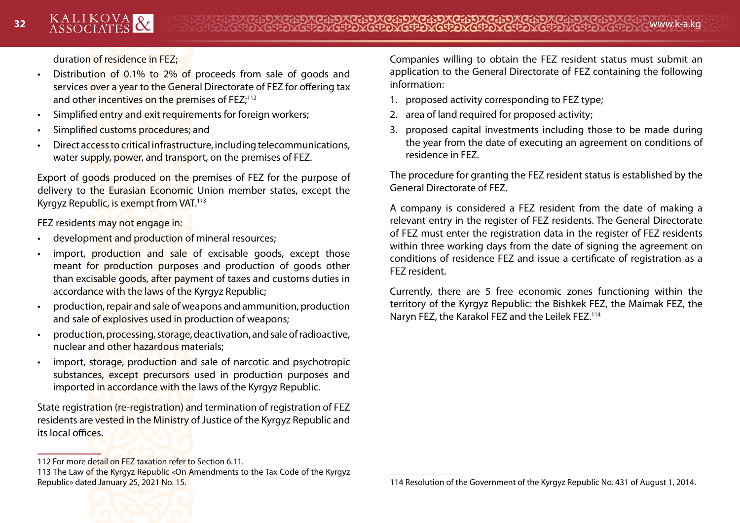duration of residence in FEZ;

- Distribution of 0.1% to 2% of proceeds from sale of goods and services over a year to the General Directorate of FEZ for offering tax and other incentives on the premises of FEZ;<sup>112</sup>
- Simplified entry and exit requirements for foreign workers;
- Simplified customs procedures; and
- Direct access to critical infrastructure, including telecommunications, water supply, power, and transport, on the premises of FEZ.

Export of goods produced on the premises of FEZ for the purpose of delivery to the Eurasian Economic Union member states, except the Kyrgyz Republic, is exempt from VAT.113

FEZ residents may not engage in:

- development and production of mineral resources;
- import, production and sale of excisable goods, except those meant for production purposes and production of goods other than excisable goods, after payment of taxes and customs duties in accordance with the laws of the Kyrgyz Republic;
- production, repair and sale of weapons and ammunition, production and sale of explosives used in production of weapons;
- production, processing, storage, deactivation, and sale of radioactive, nuclear and other hazardous materials;
- import, storage, production and sale of narcotic and psychotropic substances, except precursors used in production purposes and imported in accordance with the laws of the Kyrgyz Republic.

State registration (re-registration) and termination of registration of FEZ residents are vested in the Ministry of Justice of the Kyrgyz Republic and its local offices.

Companies willing to obtain the FEZ resident status must submit an application to the General Directorate of FEZ containing the following information:

- 1. proposed activity corresponding to FEZ type;
- 2. area of land required for proposed activity;
- 3. proposed capital investments including those to be made during the year from the date of executing an agreement on conditions of residence in FEZ.

The procedure for granting the FEZ resident status is established by the General Directorate of FEZ.

A company is considered a FEZ resident from the date of making a relevant entry in the register of FEZ residents. The General Directorate of FEZ must enter the registration data in the register of FEZ residents within three working days from the date of signing the agreement on conditions of residence FEZ and issue a certificate of registration as a FEZ resident.

Currently, there are 5 free economic zones functioning within the territory of the Kyrgyz Republic: the Bishkek FEZ, the Maimak FEZ, the Naryn FEZ, the Karakol FEZ and the Leilek FEZ.114

<sup>112</sup> For more detail on FEZ taxation refer to Section 6.11.

<sup>113</sup> The Law of the Kyrgyz Republic «On Amendments to the Tax Code of the Kyrgyz Republic» dated January 25, 2021 No. 15.

<sup>114</sup> Resolution of the Government of the Kyrgyz Republic No. 431 of August 1, 2014.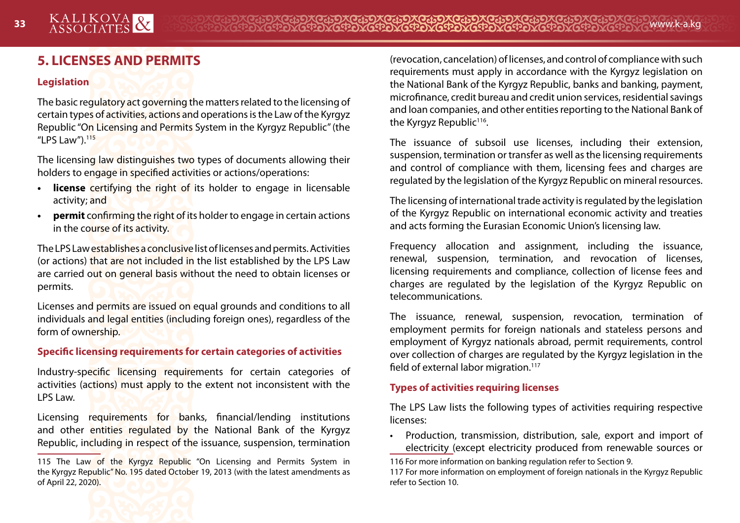# **5. LICENSES AND PERMITS**

#### **Legislation**

The basic regulatory act governing the matters related to the licensing of certain types of activities, actions and operations is the Law of the Kyrgyz Republic "On Licensing and Permits System in the Kyrgyz Republic" (the "LPS Law"). $^{115}$ 

The licensing law distinguishes two types of documents allowing their holders to engage in specified activities or actions/operations:

- **license** certifying the right of its holder to engage in licensable activity; and
- **• permit** confirming the right of its holder to engage in certain actions in the course of its activity.

The LPS Law establishes a conclusive list of licenses and permits. Activities (or actions) that are not included in the list established by the LPS Law are carried out on general basis without the need to obtain licenses or permits.

Licenses and permits are issued on equal grounds and conditions to all individuals and legal entities (including foreign ones), regardless of the form of ownership.

#### **Specific licensing requirements for certain categories of activities**

Industry-specific licensing requirements for certain categories of activities (actions) must apply to the extent not inconsistent with the LPS Law.

Licensing requirements for banks, financial/lending institutions and other entities regulated by the National Bank of the Kyrgyz Republic, including in respect of the issuance, suspension, termination

(revocation, cancelation) of licenses, and control of compliance with such requirements must apply in accordance with the Kyrgyz legislation on the National Bank of the Kyrgyz Republic, banks and banking, payment, microfinance, credit bureau and credit union services, residential savings and loan companies, and other entities reporting to the National Bank of the Kyrgyz Republic<sup>116</sup>.

The issuance of subsoil use licenses, including their extension, suspension, termination or transfer as well as the licensing requirements and control of compliance with them, licensing fees and charges are regulated by the legislation of the Kyrgyz Republic on mineral resources.

The licensing of international trade activity is regulated by the legislation of the Kyrgyz Republic on international economic activity and treaties and acts forming the Eurasian Economic Union's licensing law.

Frequency allocation and assignment, including the issuance, renewal, suspension, termination, and revocation of licenses, licensing requirements and compliance, collection of license fees and charges are regulated by the legislation of the Kyrgyz Republic on telecommunications.

The issuance, renewal, suspension, revocation, termination of employment permits for foreign nationals and stateless persons and employment of Kyrgyz nationals abroad, permit requirements, control over collection of charges are regulated by the Kyrgyz legislation in the field of external labor migration.<sup>117</sup>

#### **Types of activities requiring licenses**

The LPS Law lists the following types of activities requiring respective licenses:

• Production, transmission, distribution, sale, export and import of electricity (except electricity produced from renewable sources or



<sup>115</sup> The Law of the Kyrgyz Republic "On Licensing and Permits System in the Kyrgyz Republic" No. 195 dated October 19, 2013 (with the latest amendments as of April 22, 2020).

<sup>116</sup> For more information on banking regulation refer to Section 9.

<sup>117</sup> For more information on employment of foreign nationals in the Kyrgyz Republic refer to Section 10.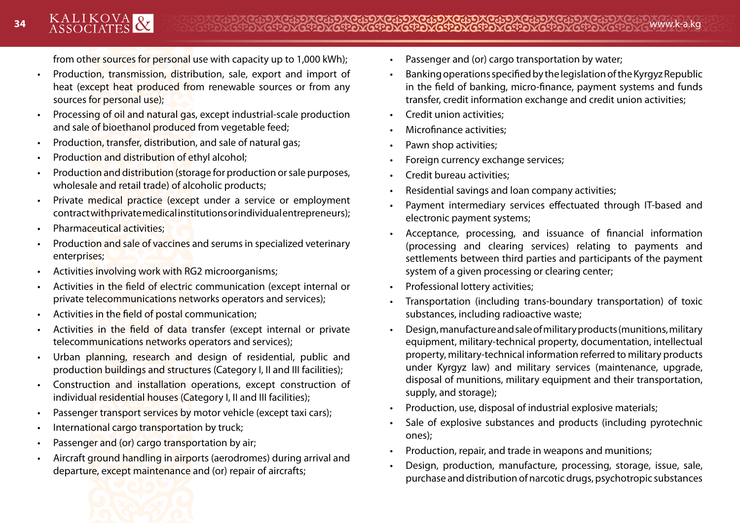from other sources for personal use with capacity up to 1,000 kWh);

- Production, transmission, distribution, sale, export and import of heat (except heat produced from renewable sources or from any sources for personal use);
- Processing of oil and natural gas, except industrial-scale production and sale of bioethanol produced from vegetable feed;
- Production, transfer, distribution, and sale of natural gas;
- Production and distribution of ethyl alcohol;
- Production and distribution (storage for production or sale purposes, wholesale and retail trade) of alcoholic products;
- Private medical practice (except under a service or employment contract with private medical institutions or individual entrepreneurs);
- Pharmaceutical activities;
- Production and sale of vaccines and serums in specialized veterinary enterprises;
- Activities involving work with RG2 microorganisms;
- Activities in the field of electric communication (except internal or private telecommunications networks operators and services);
- Activities in the field of postal communication;
- Activities in the field of data transfer (except internal or private telecommunications networks operators and services);
- Urban planning, research and design of residential, public and production buildings and structures (Category I, II and III facilities);
- Construction and installation operations, except construction of individual residential houses (Category I, II and III facilities);
- Passenger transport services by motor vehicle (except taxi cars);
- International cargo transportation by truck;
- Passenger and (or) cargo transportation by air;
- Aircraft ground handling in airports (aerodromes) during arrival and departure, except maintenance and (or) repair of aircrafts;



- Banking operations specified by the legislation of the Kyrgyz Republic in the field of banking, micro-finance, payment systems and funds transfer, credit information exchange and credit union activities;
- Credit union activities;
- Microfinance activities;
- Pawn shop activities;
- Foreign currency exchange services;
- Credit bureau activities;
- Residential savings and loan company activities;
- Payment intermediary services effectuated through IT-based and electronic payment systems;
- Acceptance, processing, and issuance of financial information (processing and clearing services) relating to payments and settlements between third parties and participants of the payment system of a given processing or clearing center;
- Professional lottery activities;
- Transportation (including trans-boundary transportation) of toxic substances, including radioactive waste;
- Design, manufacture and sale of military products (munitions, military equipment, military-technical property, documentation, intellectual property, military-technical information referred to military products under Kyrgyz law) and military services (maintenance, upgrade, disposal of munitions, military equipment and their transportation, supply, and storage);
- Production, use, disposal of industrial explosive materials;
- Sale of explosive substances and products (including pyrotechnic ones);
- Production, repair, and trade in weapons and munitions;
- Design, production, manufacture, processing, storage, issue, sale, purchase and distribution of narcotic drugs, psychotropic substances

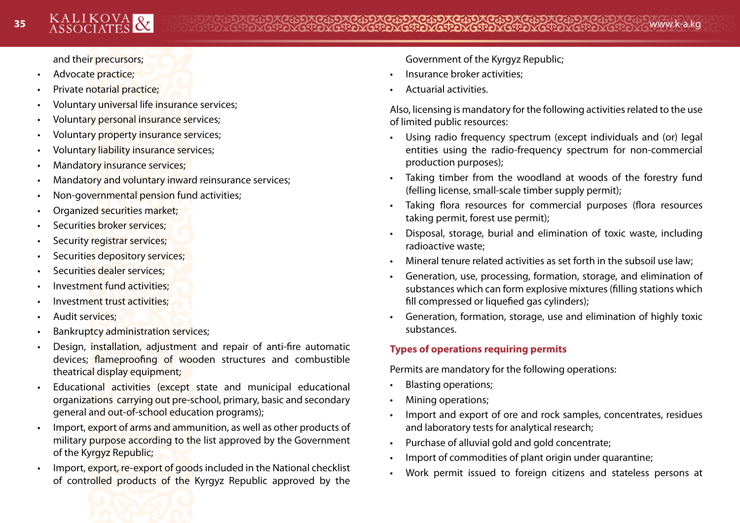and their precursors;

- Advocate practice;
- Private notarial practice;
- Voluntary universal life insurance services;
- Voluntary personal insurance services;
- Voluntary property insurance services;
- Voluntary liability insurance services;
- Mandatory insurance services;
- Mandatory and voluntary inward reinsurance services;
- Non-governmental pension fund activities;
- Organized securities market;
- Securities broker services;
- Security registrar services;
- Securities depository services;
- Securities dealer services;
- Investment fund activities;
- Investment trust activities:
- Audit services;
- Bankruptcy administration services;
- Design, installation, adjustment and repair of anti-fire automatic devices; flameproofing of wooden structures and combustible theatrical display equipment;
- Educational activities (except state and municipal educational organizations carrying out pre-school, primary, basic and secondary general and out-of-school education programs);
- Import, export of arms and ammunition, as well as other products of military purpose according to the list approved by the Government of the Kyrgyz Republic;
- Import, export, re-export of goods included in the National checklist of controlled products of the Kyrgyz Republic approved by the

Government of the Kyrgyz Republic;

- Insurance broker activities;
- Actuarial activities.

Also, licensing is mandatory for the following activities related to the use of limited public resources:

- Using radio frequency spectrum (except individuals and (or) legal entities using the radio-frequency spectrum for non-commercial production purposes);
- Taking timber from the woodland at woods of the forestry fund (felling license, small-scale timber supply permit);
- Taking flora resources for commercial purposes (flora resources taking permit, forest use permit);
- Disposal, storage, burial and elimination of toxic waste, including radioactive waste;
- Mineral tenure related activities as set forth in the subsoil use law;
- Generation, use, processing, formation, storage, and elimination of substances which can form explosive mixtures (filling stations which fill compressed or liquefied gas cylinders);
- Generation, formation, storage, use and elimination of highly toxic substances.

# **Types of operations requiring permits**

Permits are mandatory for the following operations:

- Blasting operations;
- Mining operations;
- Import and export of ore and rock samples, concentrates, residues and laboratory tests for analytical research;
- Purchase of alluvial gold and gold concentrate;
- Import of commodities of plant origin under quarantine;
- Work permit issued to foreign citizens and stateless persons at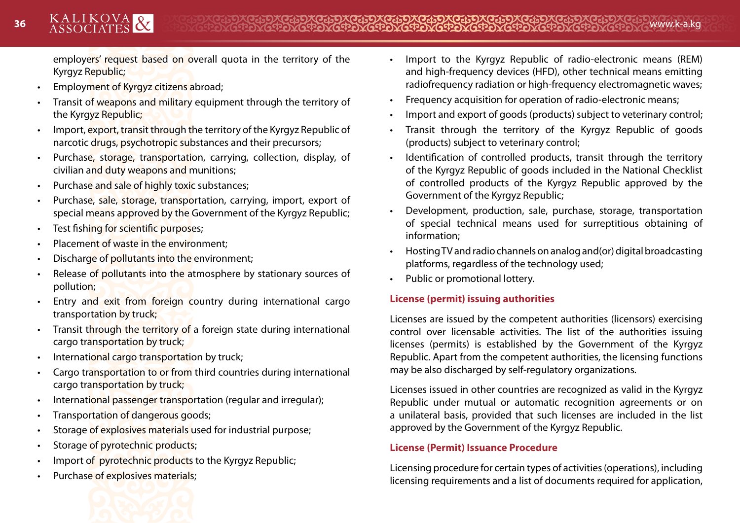employers' request based on overall quota in the territory of the Kyrgyz Republic;

- Employment of Kyrgyz citizens abroad;
- Transit of weapons and military equipment through the territory of the Kyrgyz Republic;
- Import, export, transit through the territory of the Kyrgyz Republic of narcotic drugs, psychotropic substances and their precursors;
- Purchase, storage, transportation, carrying, collection, display, of civilian and duty weapons and munitions;
- Purchase and sale of highly toxic substances;
- Purchase, sale, storage, transportation, carrying, import, export of special means approved by the Government of the Kyrgyz Republic;
- Test fishing for scientific purposes;
- Placement of waste in the environment;
- Discharge of pollutants into the environment;
- Release of pollutants into the atmosphere by stationary sources of pollution;
- Entry and exit from foreign country during international cargo transportation by truck;
- Transit through the territory of a foreign state during international cargo transportation by truck;
- International cargo transportation by truck;
- Cargo transportation to or from third countries during international cargo transportation by truck;
- International passenger transportation (regular and irregular);
- Transportation of dangerous goods;
- Storage of explosives materials used for industrial purpose;
- Storage of pyrotechnic products;
- Import of pyrotechnic products to the Kyrgyz Republic;
- Purchase of explosives materials;



- Import to the Kyrgyz Republic of radio-electronic means (REM) and high-frequency devices (HFD), other technical means emitting radiofrequency radiation or high-frequency electromagnetic waves;
- Frequency acquisition for operation of radio-electronic means;
- Import and export of goods (products) subject to veterinary control;
- Transit through the territory of the Kyrgyz Republic of goods (products) subject to veterinary control;
- Identification of controlled products, transit through the territory of the Kyrgyz Republic of goods included in the National Checklist of controlled products of the Kyrgyz Republic approved by the Government of the Kyrgyz Republic;
- Development, production, sale, purchase, storage, transportation of special technical means used for surreptitious obtaining of information;
- Hosting TV and radio channels on analog and(or) digital broadcasting platforms, regardless of the technology used;
- Public or promotional lottery.

# **License (permit) issuing authorities**

Licenses are issued by the competent authorities (licensors) exercising control over licensable activities. The list of the authorities issuing licenses (permits) is established by the Government of the Kyrgyz Republic. Apart from the competent authorities, the licensing functions may be also discharged by self-regulatory organizations.

Licenses issued in other countries are recognized as valid in the Kyrgyz Republic under mutual or automatic recognition agreements or on a unilateral basis, provided that such licenses are included in the list approved by the Government of the Kyrgyz Republic.

#### **License (Permit) Issuance Procedure**

Licensing procedure for certain types of activities (operations), including licensing requirements and a list of documents required for application,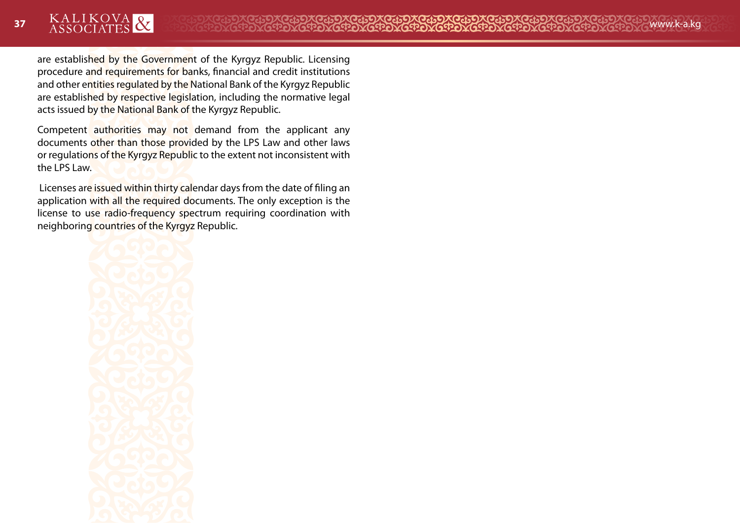are established by the Government of the Kyrgyz Republic. Licensing procedure and requirements for banks, financial and credit institutions and other entities regulated by the National Bank of the Kyrgyz Republic are established by respective legislation, including the normative legal acts issued by the National Bank of the Kyrgyz Republic.

Competent authorities may not demand from the applicant any documents other than those provided by the LPS Law and other laws or regulations of the Kyrgyz Republic to the extent not inconsistent with the LPS Law.

Licenses are issued within thirty calendar days from the date of filing an application with all the required documents. The only exception is the license to use radio-frequency spectrum requiring coordination with neighboring countries of the Kyrgyz Republic.

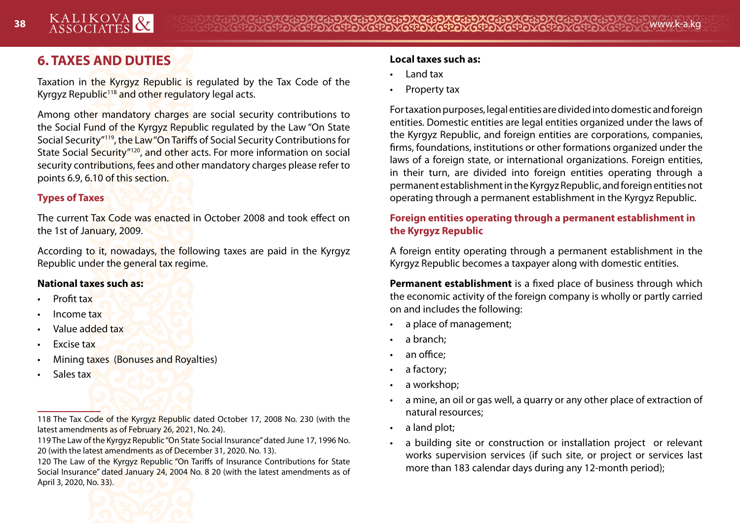# **6. TAXES AND DUTIES**

Taxation in the Kyrgyz Republic is regulated by the Tax Code of the Kyrgyz Republic<sup>118</sup> and other regulatory legal acts.

Among other mandatory charges are social security contributions to the Social Fund of the Kyrgyz Republic regulated by the Law "On State Social Security"119, the Law "On Tariffs of Social Security Contributions for State Social Security"120, and other acts. For more information on social security contributions, fees and other mandatory charges please refer to points 6.9, 6.10 of this section.

## **Types of Taxes**

The current Tax Code was enacted in October 2008 and took effect on the 1st of January, 2009.

According to it, nowadays, the following taxes are paid in the Kyrgyz Republic under the general tax regime.

#### **National taxes such as:**

- Profit tax
- Income tax
- Value added tax
- **Excise tax**
- Mining taxes (Bonuses and Royalties)
- Sales tax

118 The Tax Code of the Kyrgyz Republic dated October 17, 2008 No. 230 (with the latest amendments as of February 26, 2021, No. 24).

119 The Law of the Kyrgyz Republic "On State Social Insurance" dated June 17, 1996 No. 20 (with the latest amendments as of December 31, 2020. No. 13).

120 The Law of the Kyrgyz Republic "On Tariffs of Insurance Contributions for State Social Insurance" dated January 24, 2004 No. 8 20 (with the latest amendments as of April 3, 2020, No. 33).



#### **Local taxes such as:**

- Land tax
- Property tax

For taxation purposes, legal entities are divided into domestic and foreign entities. Domestic entities are legal entities organized under the laws of the Kyrgyz Republic, and foreign entities are corporations, companies, firms, foundations, institutions or other formations organized under the laws of a foreign state, or international organizations. Foreign entities, in their turn, are divided into foreign entities operating through a permanent establishment in the Kyrgyz Republic, and foreign entities not operating through a permanent establishment in the Kyrgyz Republic.

## **Foreign entities operating through a permanent establishment in the Kyrgyz Republic**

A foreign entity operating through a permanent establishment in the Kyrgyz Republic becomes a taxpayer along with domestic entities.

**Permanent establishment** is a fixed place of business through which the economic activity of the foreign company is wholly or partly carried on and includes the following:

- a place of management;
- a branch:
- an office:
- a factory;
- a workshop;
- a mine, an oil or gas well, a quarry or any other place of extraction of natural resources;
- a land plot;
- a building site or construction or installation project or relevant works supervision services (if such site, or project or services last more than 183 calendar days during any 12-month period);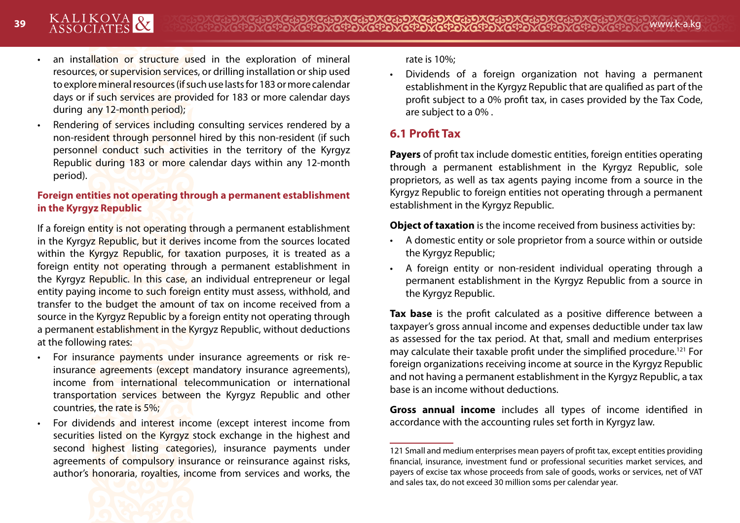- an installation or structure used in the exploration of mineral resources, or supervision services, or drilling installation or ship used to explore mineral resources (if such use lasts for 183 or more calendar days or if such services are provided for 183 or more calendar days during any 12-month period);
- Rendering of services including consulting services rendered by a non-resident through personnel hired by this non-resident (if such personnel conduct such activities in the territory of the Kyrgyz Republic during 183 or more calendar days within any 12-month period).

## **Foreign entities not operating through a permanent establishment in the Kyrgyz Republic**

If a foreign entity is not operating through a permanent establishment in the Kyrgyz Republic, but it derives income from the sources located within the Kyrgyz Republic, for taxation purposes, it is treated as a foreign entity not operating through a permanent establishment in the Kyrgyz Republic. In this case, an individual entrepreneur or legal entity paying income to such foreign entity must assess, withhold, and transfer to the budget the amount of tax on income received from a source in the Kyrgyz Republic by a foreign entity not operating through a permanent establishment in the Kyrgyz Republic, without deductions at the following rates:

- For insurance payments under insurance agreements or risk reinsurance agreements (except mandatory insurance agreements), income from international telecommunication or international transportation services between the Kyrgyz Republic and other countries, the rate is 5%;
- For dividends and interest income (except interest income from securities listed on the Kyrgyz stock exchange in the highest and second highest listing categories), insurance payments under agreements of compulsory insurance or reinsurance against risks, author's honoraria, royalties, income from services and works, the

rate is 10%;

• Dividends of a foreign organization not having a permanent establishment in the Kyrgyz Republic that are qualified as part of the profit subject to a 0% profit tax, in cases provided by the Tax Code, are subject to a 0% .

# **6.1 Profit Tax**

**Payers** of profit tax include domestic entities, foreign entities operating through a permanent establishment in the Kyrgyz Republic, sole proprietors, as well as tax agents paying income from a source in the Kyrgyz Republic to foreign entities not operating through a permanent establishment in the Kyrgyz Republic.

**Object of taxation** is the income received from business activities by:

- A domestic entity or sole proprietor from a source within or outside the Kyrgyz Republic;
- A foreign entity or non-resident individual operating through a permanent establishment in the Kyrgyz Republic from a source in the Kyrgyz Republic.

**Tax base** is the profit calculated as a positive difference between a taxpayer's gross annual income and expenses deductible under tax law as assessed for the tax period. At that, small and medium enterprises may calculate their taxable profit under the simplified procedure.121 For foreign organizations receiving income at source in the Kyrgyz Republic and not having a permanent establishment in the Kyrgyz Republic, a tax base is an income without deductions.

**Gross annual income** includes all types of income identified in accordance with the accounting rules set forth in Kyrgyz law.



<sup>121</sup> Small and medium enterprises mean payers of profit tax, except entities providing financial, insurance, investment fund or professional securities market services, and payers of excise tax whose proceeds from sale of goods, works or services, net of VAT and sales tax, do not exceed 30 million soms per calendar year.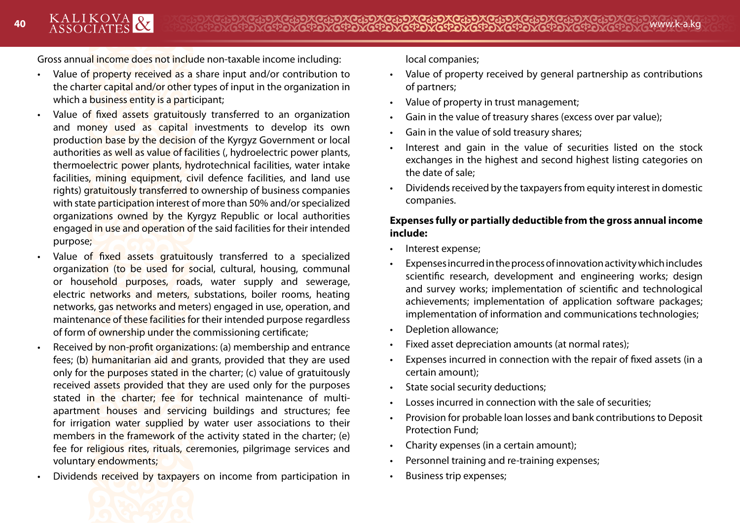Gross annual income does not include non-taxable income including:

- Value of property received as a share input and/or contribution to the charter capital and/or other types of input in the organization in which a business entity is a participant;
- Value of fixed assets gratuitously transferred to an organization and money used as capital investments to develop its own production base by the decision of the Kyrgyz Government or local authorities as well as value of facilities (, hydroelectric power plants, thermoelectric power plants, hydrotechnical facilities, water intake facilities, mining equipment, civil defence facilities, and land use rights) gratuitously transferred to ownership of business companies with state participation interest of more than 50% and/or specialized organizations owned by the Kyrgyz Republic or local authorities engaged in use and operation of the said facilities for their intended purpose;
- Value of fixed assets gratuitously transferred to a specialized organization (to be used for social, cultural, housing, communal or household purposes, roads, water supply and sewerage, electric networks and meters, substations, boiler rooms, heating networks, gas networks and meters) engaged in use, operation, and maintenance of these facilities for their intended purpose regardless of form of ownership under the commissioning certificate;
- Received by non-profit organizations: (a) membership and entrance fees; (b) humanitarian aid and grants, provided that they are used only for the purposes stated in the charter; (c) value of gratuitously received assets provided that they are used only for the purposes stated in the charter; fee for technical maintenance of multiapartment houses and servicing buildings and structures; fee for irrigation water supplied by water user associations to their members in the framework of the activity stated in the charter; (e) fee for religious rites, rituals, ceremonies, pilgrimage services and voluntary endowments;
- Dividends received by taxpayers on income from participation in

local companies;

- Value of property received by general partnership as contributions of partners;
- Value of property in trust management;
- Gain in the value of treasury shares (excess over par value);
- Gain in the value of sold treasury shares;
- Interest and gain in the value of securities listed on the stock exchanges in the highest and second highest listing categories on the date of sale;
- Dividends received by the taxpayers from equity interest in domestic companies.

## **Expenses fully or partially deductible from the gross annual income include:**

- Interest expense;
- Expenses incurred in the process of innovation activity which includes scientific research, development and engineering works; design and survey works; implementation of scientific and technological achievements; implementation of application software packages; implementation of information and communications technologies;
- Depletion allowance;
- Fixed asset depreciation amounts (at normal rates);
- Expenses incurred in connection with the repair of fixed assets (in a certain amount);
- State social security deductions;
- Losses incurred in connection with the sale of securities;
- Provision for probable loan losses and bank contributions to Deposit Protection Fund;
- Charity expenses (in a certain amount);
- Personnel training and re-training expenses;
- Business trip expenses;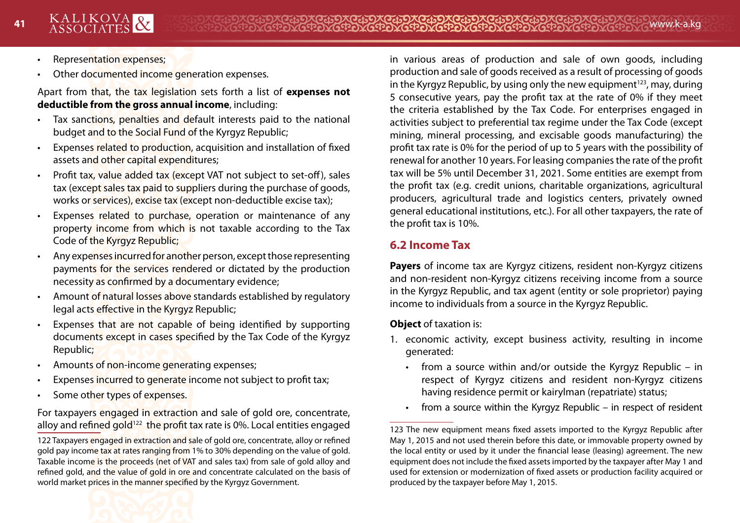- Representation expenses;
- Other documented income generation expenses.

Apart from that, the tax legislation sets forth a list of **expenses not deductible from the gross annual income**, including:

- Tax sanctions, penalties and default interests paid to the national budget and to the Social Fund of the Kyrgyz Republic;
- Expenses related to production, acquisition and installation of fixed assets and other capital expenditures;
- Profit tax, value added tax (except VAT not subject to set-off), sales tax (except sales tax paid to suppliers during the purchase of goods, works or services), excise tax (except non-deductible excise tax);
- Expenses related to purchase, operation or maintenance of any property income from which is not taxable according to the Tax Code of the Kyrgyz Republic;
- Any expenses incurred for another person, except those representing payments for the services rendered or dictated by the production necessity as confirmed by a documentary evidence;
- Amount of natural losses above standards established by regulatory legal acts effective in the Kyrgyz Republic;
- Expenses that are not capable of being identified by supporting documents except in cases specified by the Tax Code of the Kyrgyz Republic;
- Amounts of non-income generating expenses;
- Expenses incurred to generate income not subject to profit tax;
- Some other types of expenses.

For taxpayers engaged in extraction and sale of gold ore, concentrate, alloy and refined gold<sup>122</sup> the profit tax rate is 0%. Local entities engaged

122 Taxpayers engaged in extraction and sale of gold ore, concentrate, alloy or refined gold pay income tax at rates ranging from 1% to 30% depending on the value of gold. Taxable income is the proceeds (net of VAT and sales tax) from sale of gold alloy and refined gold, and the value of gold in ore and concentrate calculated on the basis of world market prices in the manner specified by the Kyrgyz Government.

in various areas of production and sale of own goods, including production and sale of goods received as a result of processing of goods in the Kyrgyz Republic, by using only the new equipment<sup>123</sup>, may, during 5 consecutive years, pay the profit tax at the rate of 0% if they meet the criteria established by the Tax Code. For enterprises engaged in activities subject to preferential tax regime under the Tax Code (except mining, mineral processing, and excisable goods manufacturing) the profit tax rate is 0% for the period of up to 5 years with the possibility of renewal for another 10 years. For leasing companies the rate of the profit tax will be 5% until December 31, 2021. Some entities are exempt from the profit tax (e.g. credit unions, charitable organizations, agricultural producers, agricultural trade and logistics centers, privately owned general educational institutions, etc.). For all other taxpayers, the rate of the profit tax is 10%.

# **6.2 Income Tax**

**Payers** of income tax are Kyrgyz citizens, resident non-Kyrgyz citizens and non-resident non-Kyrgyz citizens receiving income from a source in the Kyrgyz Republic, and tax agent (entity or sole proprietor) paying income to individuals from a source in the Kyrgyz Republic.

**Object** of taxation is:

- 1. economic activity, except business activity, resulting in income generated:
	- from a source within and/or outside the Kyrgyz Republic in respect of Kyrgyz citizens and resident non-Kyrgyz citizens having residence permit or kairylman (repatriate) status;
	- from a source within the Kyrgyz Republic  $-$  in respect of resident

<sup>123</sup> The new equipment means fixed assets imported to the Kyrgyz Republic after May 1, 2015 and not used therein before this date, or immovable property owned by the local entity or used by it under the financial lease (leasing) agreement. The new equipment does not include the fixed assets imported by the taxpayer after May 1 and used for extension or modernization of fixed assets or production facility acquired or produced by the taxpayer before May 1, 2015.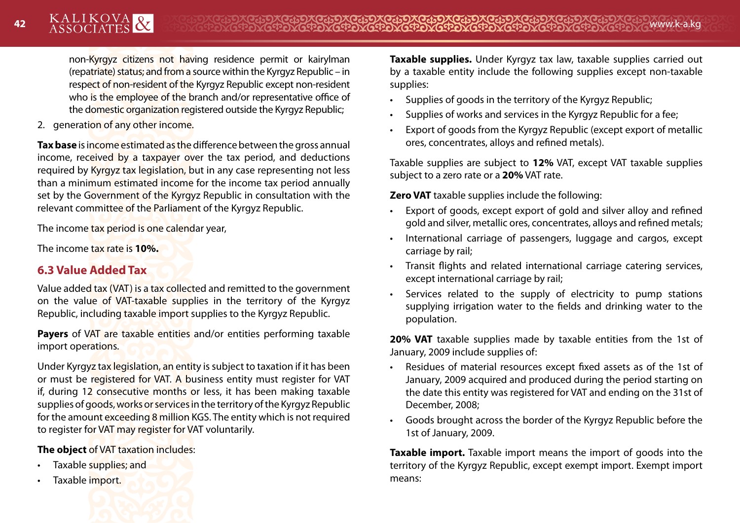non-Kyrgyz citizens not having residence permit or kairylman (repatriate) status; and from a source within the Kyrgyz Republic – in respect of non-resident of the Kyrgyz Republic except non-resident who is the employee of the branch and/or representative office of the domestic organization registered outside the Kyrgyz Republic;

2. generation of any other income.

**Tax base** is income estimated as the difference between the gross annual income, received by a taxpayer over the tax period, and deductions required by Kyrgyz tax legislation, but in any case representing not less than a minimum estimated income for the income tax period annually set by the Government of the Kyrgyz Republic in consultation with the relevant committee of the Parliament of the Kyrgyz Republic.

The income tax period is one calendar year,

The income tax rate is **10%.**

# **6.3 Value Added Tax**

Value added tax (VAT) is a tax collected and remitted to the government on the value of VAT-taxable supplies in the territory of the Kyrgyz Republic, including taxable import supplies to the Kyrgyz Republic.

**Payers** of VAT are taxable entities and/or entities performing taxable import operations.

Under Kyrgyz tax legislation, an entity is subject to taxation if it has been or must be registered for VAT. A business entity must register for VAT if, during 12 consecutive months or less, it has been making taxable supplies of goods, works or services in the territory of the Kyrgyz Republic for the amount exceeding 8 million KGS. The entity which is not required to register for VAT may register for VAT voluntarily.

**The object** of VAT taxation includes:

- Taxable supplies; and
- Taxable import.

**Taxable supplies.** Under Kyrgyz tax law, taxable supplies carried out by a taxable entity include the following supplies except non-taxable supplies:

- Supplies of goods in the territory of the Kyrgyz Republic;
- Supplies of works and services in the Kyrgyz Republic for a fee;
- Export of goods from the Kyrgyz Republic (except export of metallic ores, concentrates, alloys and refined metals).

Taxable supplies are subject to **12%** VAT, except VAT taxable supplies subject to a zero rate or a **20%** VAT rate.

**Zero VAT** taxable supplies include the following:

- Export of goods, except export of gold and silver alloy and refined gold and silver, metallic ores, concentrates, alloys and refined metals;
- International carriage of passengers, luggage and cargos, except carriage by rail;
- Transit flights and related international carriage catering services, except international carriage by rail;
- Services related to the supply of electricity to pump stations supplying irrigation water to the fields and drinking water to the population.

**20% VAT** taxable supplies made by taxable entities from the 1st of January, 2009 include supplies of:

- Residues of material resources except fixed assets as of the 1st of January, 2009 acquired and produced during the period starting on the date this entity was registered for VAT and ending on the 31st of December, 2008;
- Goods brought across the border of the Kyrgyz Republic before the 1st of January, 2009.

**Taxable import.** Taxable import means the import of goods into the territory of the Kyrgyz Republic, except exempt import. Exempt import means: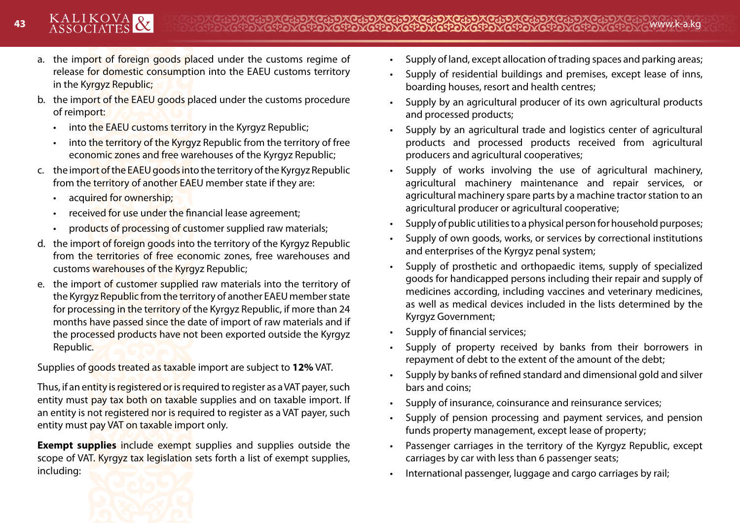- a. the import of foreign goods placed under the customs regime of release for domestic consumption into the EAEU customs territory in the Kyrgyz Republic;
- b. the import of the EAEU goods placed under the customs procedure of reimport:
	- into the EAEU customs territory in the Kyrgyz Republic;
	- into the territory of the Kyrgyz Republic from the territory of free economic zones and free warehouses of the Kyrgyz Republic;
- c. the import of the EAEU goods into the territory of the Kyrgyz Republic from the territory of another EAEU member state if they are:
	- acquired for ownership;
	- received for use under the financial lease agreement;
	- products of processing of customer supplied raw materials;
- d. the import of foreign goods into the territory of the Kyrgyz Republic from the territories of free economic zones, free warehouses and customs warehouses of the Kyrgyz Republic;
- e. the import of customer supplied raw materials into the territory of the Kyrgyz Republic from the territory of another EAEU member state for processing in the territory of the Kyrgyz Republic, if more than 24 months have passed since the date of import of raw materials and if the processed products have not been exported outside the Kyrgyz Republic.

Supplies of goods treated as taxable import are subject to **12%** VAT.

Thus, if an entity is registered or is required to register as a VAT payer, such entity must pay tax both on taxable supplies and on taxable import. If an entity is not registered nor is required to register as a VAT payer, such entity must pay VAT on taxable import only.

**Exempt supplies** include exempt supplies and supplies outside the scope of VAT. Kyrgyz tax legislation sets forth a list of exempt supplies, including:



- Supply of residential buildings and premises, except lease of inns, boarding houses, resort and health centres;
- Supply by an agricultural producer of its own agricultural products and processed products;
- Supply by an agricultural trade and logistics center of agricultural products and processed products received from agricultural producers and agricultural cooperatives;
- Supply of works involving the use of agricultural machinery, agricultural machinery maintenance and repair services, or agricultural machinery spare parts by a machine tractor station to an agricultural producer or agricultural cooperative;
- Supply of public utilities to a physical person for household purposes;
- Supply of own goods, works, or services by correctional institutions and enterprises of the Kyrgyz penal system;
- Supply of prosthetic and orthopaedic items, supply of specialized goods for handicapped persons including their repair and supply of medicines according, including vaccines and veterinary medicines, as well as medical devices included in the lists determined by the Kyrgyz Government;
- Supply of financial services;
- Supply of property received by banks from their borrowers in repayment of debt to the extent of the amount of the debt;
- Supply by banks of refined standard and dimensional gold and silver bars and coins;
- Supply of insurance, coinsurance and reinsurance services;
- Supply of pension processing and payment services, and pension funds property management, except lease of property;
- Passenger carriages in the territory of the Kyrgyz Republic, except carriages by car with less than 6 passenger seats;
- International passenger, luggage and cargo carriages by rail;

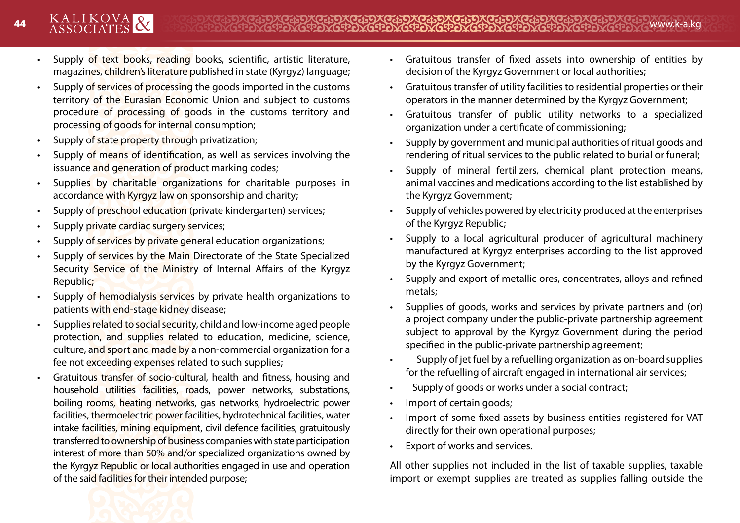- Supply of text books, reading books, scientific, artistic literature, magazines, children's literature published in state (Kyrgyz) language;
- Supply of services of processing the goods imported in the customs territory of the Eurasian Economic Union and subject to customs procedure of processing of goods in the customs territory and processing of goods for internal consumption;
- Supply of state property through privatization;
- Supply of means of identification, as well as services involving the issuance and generation of product marking codes;
- Supplies by charitable organizations for charitable purposes in accordance with Kyrgyz law on sponsorship and charity;
- Supply of preschool education (private kindergarten) services;
- Supply private cardiac surgery services;
- Supply of services by private general education organizations;
- Supply of services by the Main Directorate of the State Specialized Security Service of the Ministry of Internal Affairs of the Kyrgyz Republic;
- Supply of hemodialysis services by private health organizations to patients with end-stage kidney disease;
- Supplies related to social security, child and low-income aged people protection, and supplies related to education, medicine, science, culture, and sport and made by a non-commercial organization for a fee not exceeding expenses related to such supplies;
- Gratuitous transfer of socio-cultural, health and fitness, housing and household utilities facilities, roads, power networks, substations, boiling rooms, heating networks, gas networks, hydroelectric power facilities, thermoelectric power facilities, hydrotechnical facilities, water intake facilities, mining equipment, civil defence facilities, gratuitously transferred to ownership of business companies with state participation interest of more than 50% and/or specialized organizations owned by the Kyrgyz Republic or local authorities engaged in use and operation of the said facilities for their intended purpose;
- Gratuitous transfer of fixed assets into ownership of entities by decision of the Kyrgyz Government or local authorities;
- Gratuitous transfer of utility facilities to residential properties or their operators in the manner determined by the Kyrgyz Government;
- Gratuitous transfer of public utility networks to a specialized organization under a certificate of commissioning;
- Supply by government and municipal authorities of ritual goods and rendering of ritual services to the public related to burial or funeral;
- Supply of mineral fertilizers, chemical plant protection means, animal vaccines and medications according to the list established by the Kyrgyz Government;
- Supply of vehicles powered by electricity produced at the enterprises of the Kyrgyz Republic;
- Supply to a local agricultural producer of agricultural machinery manufactured at Kyrgyz enterprises according to the list approved by the Kyrgyz Government;
- Supply and export of metallic ores, concentrates, alloys and refined metals;
- Supplies of goods, works and services by private partners and (or) a project company under the public-private partnership agreement subject to approval by the Kyrgyz Government during the period specified in the public-private partnership agreement;
- Supply of jet fuel by a refuelling organization as on-board supplies for the refuelling of aircraft engaged in international air services;
- Supply of goods or works under a social contract;
- Import of certain goods;
- Import of some fixed assets by business entities registered for VAT directly for their own operational purposes;
- Export of works and services.

All other supplies not included in the list of taxable supplies, taxable import or exempt supplies are treated as supplies falling outside the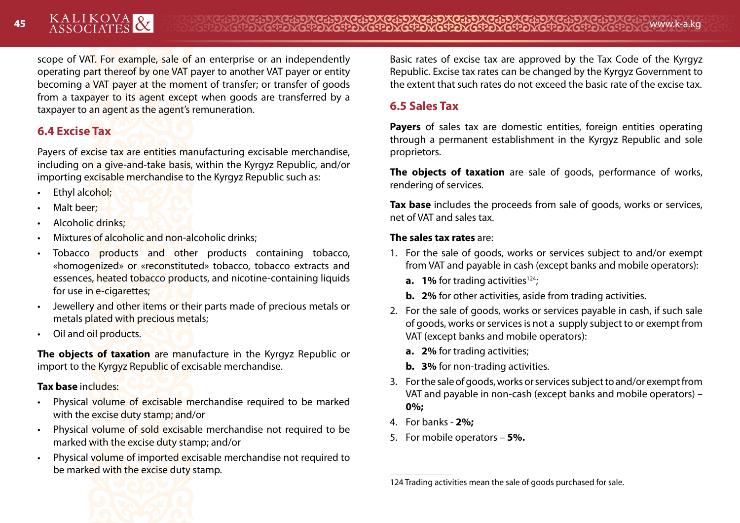scope of VAT. For example, sale of an enterprise or an independently operating part thereof by one VAT payer to another VAT payer or entity becoming a VAT payer at the moment of transfer; or transfer of goods from a taxpayer to its agent except when goods are transferred by a taxpayer to an agent as the agent's remuneration.

# **6.4 Excise Tax**

Payers of excise tax are entities manufacturing excisable merchandise, including on a give-and-take basis, within the Kyrgyz Republic, and/or importing excisable merchandise to the Kyrgyz Republic such as:

- Ethyl alcohol;
- Malt beer;
- Alcoholic drinks;
- Mixtures of alcoholic and non-alcoholic drinks;
- Tobacco products and other products containing tobacco, «homogenized» or «reconstituted» tobacco, tobacco extracts and essences, heated tobacco products, and nicotine-containing liquids for use in e-cigarettes;
- Jewellery and other items or their parts made of precious metals or metals plated with precious metals;
- Oil and oil products.

**The objects of taxation** are manufacture in the Kyrgyz Republic or import to the Kyrgyz Republic of excisable merchandise.

## **Tax base** includes:

- Physical volume of excisable merchandise required to be marked with the excise duty stamp; and/or
- Physical volume of sold excisable merchandise not required to be marked with the excise duty stamp; and/or
- Physical volume of imported excisable merchandise not required to be marked with the excise duty stamp.

Basic rates of excise tax are approved by the Tax Code of the Kyrgyz Republic. Excise tax rates can be changed by the Kyrgyz Government to the extent that such rates do not exceed the basic rate of the excise tax.

# **6.5 Sales Tax**

**Payers** of sales tax are domestic entities, foreign entities operating through a permanent establishment in the Kyrgyz Republic and sole proprietors.

**The objects of taxation** are sale of goods, performance of works, rendering of services.

**Tax base** includes the proceeds from sale of goods, works or services, net of VAT and sales tax.

## **The sales tax rates** are:

- 1. For the sale of goods, works or services subject to and/or exempt from VAT and payable in cash (except banks and mobile operators):
	- **a. 1%** for trading activities<sup>124</sup>;
	- **b. 2%** for other activities, aside from trading activities.
- 2. For the sale of goods, works or services payable in cash, if such sale of goods, works or services is not a supply subject to or exempt from VAT (except banks and mobile operators):
	- **a. 2%** for trading activities;
	- **b. 3%** for non-trading activities.
- 3. For the sale of goods, works or services subject to and/or exempt from VAT and payable in non-cash (except banks and mobile operators) – **0%;**
- 4. For banks **2%;**
- 5. For mobile operators **5%.**



<sup>124</sup> Trading activities mean the sale of goods purchased for sale.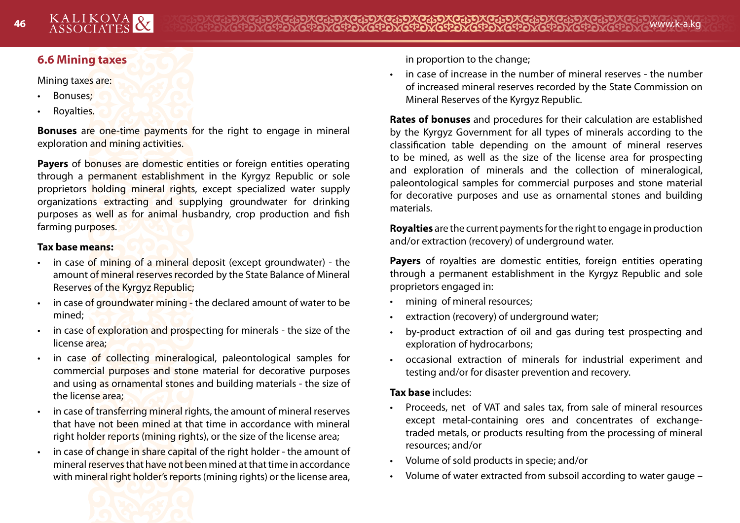# **6.6 Mining taxes**

#### Mining taxes are:

- Bonuses;
- Royalties.

**Bonuses** are one-time payments for the right to engage in mineral exploration and mining activities.

**Payers** of bonuses are domestic entities or foreign entities operating through a permanent establishment in the Kyrgyz Republic or sole proprietors holding mineral rights, except specialized water supply organizations extracting and supplying groundwater for drinking purposes as well as for animal husbandry, crop production and fish farming purposes.

#### **Tax base means:**

- in case of mining of a mineral deposit (except groundwater) the amount of mineral reserves recorded by the State Balance of Mineral Reserves of the Kyrgyz Republic;
- in case of groundwater mining the declared amount of water to be mined;
- in case of exploration and prospecting for minerals the size of the license area;
- in case of collecting mineralogical, paleontological samples for commercial purposes and stone material for decorative purposes and using as ornamental stones and building materials - the size of the license area;
- in case of transferring mineral rights, the amount of mineral reserves that have not been mined at that time in accordance with mineral right holder reports (mining rights), or the size of the license area;
- in case of change in share capital of the right holder the amount of mineral reserves that have not been mined at that time in accordance with mineral right holder's reports (mining rights) or the license area,

in proportion to the change;

• in case of increase in the number of mineral reserves - the number of increased mineral reserves recorded by the State Commission on Mineral Reserves of the Kyrgyz Republic.

**Rates of bonuses** and procedures for their calculation are established by the Kyrgyz Government for all types of minerals according to the classification table depending on the amount of mineral reserves to be mined, as well as the size of the license area for prospecting and exploration of minerals and the collection of mineralogical, paleontological samples for commercial purposes and stone material for decorative purposes and use as ornamental stones and building materials.

**Royalties** are the current payments for the right to engage in production and/or extraction (recovery) of underground water.

**Payers** of royalties are domestic entities, foreign entities operating through a permanent establishment in the Kyrgyz Republic and sole proprietors engaged in:

- mining of mineral resources:
- extraction (recovery) of underground water;
- by-product extraction of oil and gas during test prospecting and exploration of hydrocarbons;
- occasional extraction of minerals for industrial experiment and testing and/or for disaster prevention and recovery.

## **Tax base** includes:

- Proceeds, net of VAT and sales tax, from sale of mineral resources except metal-containing ores and concentrates of exchangetraded metals, or products resulting from the processing of mineral resources; and/or
- Volume of sold products in specie; and/or
- Volume of water extracted from subsoil according to water gauge –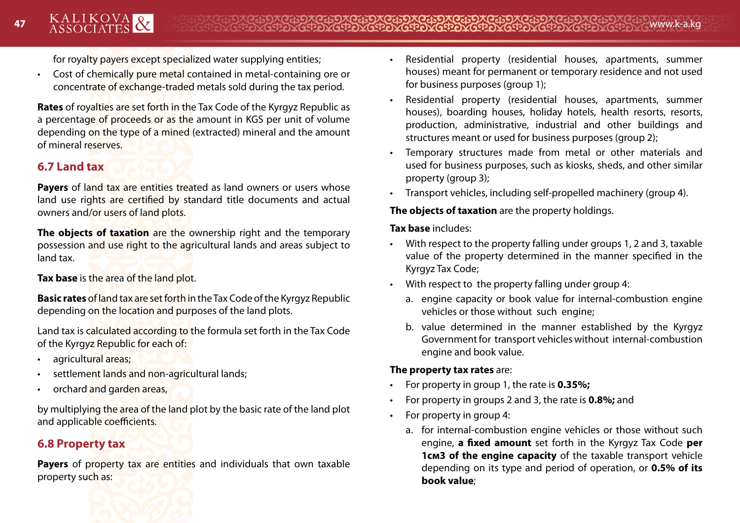for royalty payers except specialized water supplying entities;

• Cost of chemically pure metal contained in metal-containing ore or concentrate of exchange-traded metals sold during the tax period.

**Rates** of royalties are set forth in the Tax Code of the Kyrgyz Republic as a percentage of proceeds or as the amount in KGS per unit of volume depending on the type of a mined (extracted) mineral and the amount of mineral reserves.

# **6.7 Land tax**

**Payers** of land tax are entities treated as land owners or users whose land use rights are certified by standard title documents and actual owners and/or users of land plots.

**The objects of taxation** are the ownership right and the temporary possession and use right to the agricultural lands and areas subject to land tax.

**Tax base** is the area of the land plot.

**Basic rates** of land tax are set forth in the Tax Code of the Kyrgyz Republic depending on the location and purposes of the land plots.

Land tax is calculated according to the formula set forth in the Tax Code of the Kyrgyz Republic for each of:

- agricultural areas:
- settlement lands and non-agricultural lands;
- orchard and garden areas,

by multiplying the area of the land plot by the basic rate of the land plot and applicable coefficients.

# **6.8 Property tax**

**Payers** of property tax are entities and individuals that own taxable property such as:



- Residential property (residential houses, apartments, summer houses) meant for permanent or temporary residence and not used for business purposes (group 1);
- Residential property (residential houses, apartments, summer houses), boarding houses, holiday hotels, health resorts, resorts, production, administrative, industrial and other buildings and structures meant or used for business purposes (group 2);
- Temporary structures made from metal or other materials and used for business purposes, such as kiosks, sheds, and other similar property (group 3);
- Transport vehicles, including self-propelled machinery (group 4).

## **The objects of taxation** are the property holdings.

## **Tax base** includes:

- With respect to the property falling under groups 1, 2 and 3, taxable value of the property determined in the manner specified in the Kyrgyz Tax Code;
- With respect to the property falling under group 4:
	- a. engine capacity or book value for internal-combustion engine vehicles or those without such engine;
	- b. value determined in the manner established by the Kyrgyz Government for transport vehicles without internal-combustion engine and book value.

## **The property tax rates** are:

- For property in group 1, the rate is **0.35%;**
- For property in groups 2 and 3, the rate is **0.8%;** and
- For property in group 4:
	- a. for internal-combustion engine vehicles or those without such engine, **a fixed amount** set forth in the Kyrgyz Tax Code **per 1cm3 of the engine capacity** of the taxable transport vehicle depending on its type and period of operation, or **0.5% of its book value**;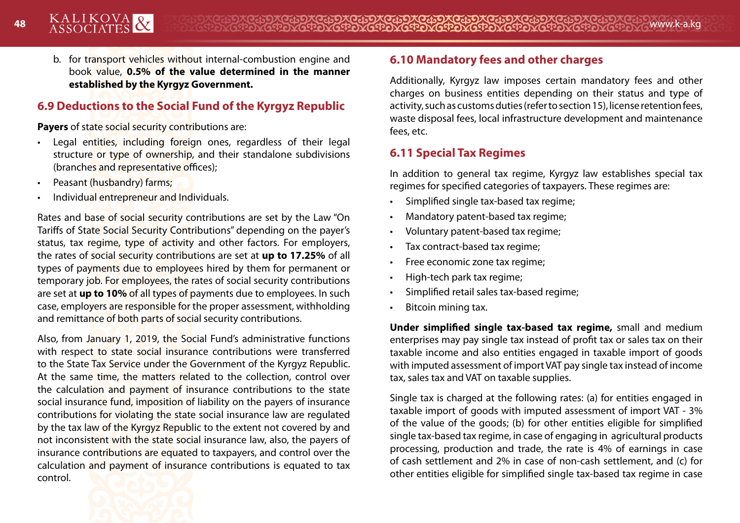b. for transport vehicles without internal-combustion engine and book value, **0.5% of the value determined in the manner established by the Kyrgyz Government.**

# **6.9 Deductions to the Social Fund of the Kyrgyz Republic**

**Payers** of state social security contributions are:

- Legal entities, including foreign ones, regardless of their legal structure or type of ownership, and their standalone subdivisions (branches and representative offices);
- Peasant (husbandry) farms;
- Individual entrepreneur and Individuals.

Rates and base of social security contributions are set by the Law "On Tariffs of State Social Security Contributions" depending on the payer's status, tax regime, type of activity and other factors. For employers, the rates of social security contributions are set at **up to 17.25%** of all types of payments due to employees hired by them for permanent or temporary job. For employees, the rates of social security contributions are set at **up to 10%** of all types of payments due to employees. In such case, employers are responsible for the proper assessment, withholding and remittance of both parts of social security contributions.

Also, from January 1, 2019, the Social Fund's administrative functions with respect to state social insurance contributions were transferred to the State Tax Service under the Government of the Kyrgyz Republic. At the same time, the matters related to the collection, control over the calculation and payment of insurance contributions to the state social insurance fund, imposition of liability on the payers of insurance contributions for violating the state social insurance law are regulated by the tax law of the Kyrgyz Republic to the extent not covered by and not inconsistent with the state social insurance law, also, the payers of insurance contributions are equated to taxpayers, and control over the calculation and payment of insurance contributions is equated to tax control.



# **6.10 Mandatory fees and other charges**

Additionally, Kyrgyz law imposes certain mandatory fees and other charges on business entities depending on their status and type of activity, such as customs duties (refer to section 15), license retention fees, waste disposal fees, local infrastructure development and maintenance fees, etc.

# **6.11 Special Tax Regimes**

In addition to general tax regime, Kyrgyz law establishes special tax regimes for specified categories of taxpayers. These regimes are:

- Simplified single tax-based tax regime;
- Mandatory patent-based tax regime;
- Voluntary patent-based tax regime;
- Tax contract-based tax regime;
- Free economic zone tax regime;
- High-tech park tax regime;
- Simplified retail sales tax-based regime;
- Bitcoin mining tax.

**Under simplified single tax-based tax regime,** small and medium enterprises may pay single tax instead of profit tax or sales tax on their taxable income and also entities engaged in taxable import of goods with imputed assessment of import VAT pay single tax instead of income tax, sales tax and VAT on taxable supplies.

Single tax is charged at the following rates: (a) for entities engaged in taxable import of goods with imputed assessment of import VAT - 3% of the value of the goods; (b) for other entities eligible for simplified single tax-based tax regime, in case of engaging in agricultural products processing, production and trade, the rate is 4% of earnings in case of cash settlement and 2% in case of non-cash settlement, and (c) for other entities eligible for simplified single tax-based tax regime in case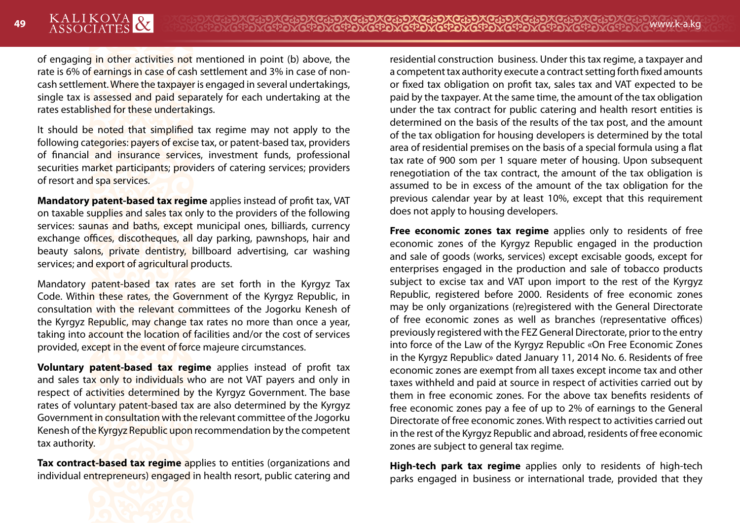of engaging in other activities not mentioned in point (b) above, the rate is 6% of earnings in case of cash settlement and 3% in case of noncash settlement. Where the taxpayer is engaged in several undertakings, single tax is assessed and paid separately for each undertaking at the rates established for these undertakings.

It should be noted that simplified tax regime may not apply to the following categories: payers of excise tax, or patent-based tax, providers of financial and insurance services, investment funds, professional securities market participants; providers of catering services; providers of resort and spa services.

**Mandatory patent-based tax regime** applies instead of profit tax, VAT on taxable supplies and sales tax only to the providers of the following services: saunas and baths, except municipal ones, billiards, currency exchange offices, discotheques, all day parking, pawnshops, hair and beauty salons, private dentistry, billboard advertising, car washing services; and export of agricultural products.

Mandatory patent-based tax rates are set forth in the Kyrgyz Tax Code. Within these rates, the Government of the Kyrgyz Republic, in consultation with the relevant committees of the Jogorku Kenesh of the Kyrgyz Republic, may change tax rates no more than once a year, taking into account the location of facilities and/or the cost of services provided, except in the event of force majeure circumstances.

**Voluntary patent-based tax regime** applies instead of profit tax and sales tax only to individuals who are not VAT payers and only in respect of activities determined by the Kyrgyz Government. The base rates of voluntary patent-based tax are also determined by the Kyrgyz Government in consultation with the relevant committee of the Jogorku Kenesh of the Kyrgyz Republic upon recommendation by the competent tax authority.

**Tax contract-based tax regime** applies to entities (organizations and individual entrepreneurs) engaged in health resort, public catering and residential construction business. Under this tax regime, a taxpayer and a competent tax authority execute a contract setting forth fixed amounts or fixed tax obligation on profit tax, sales tax and VAT expected to be paid by the taxpayer. At the same time, the amount of the tax obligation under the tax contract for public catering and health resort entities is determined on the basis of the results of the tax post, and the amount of the tax obligation for housing developers is determined by the total area of residential premises on the basis of a special formula using a flat tax rate of 900 som per 1 square meter of housing. Upon subsequent renegotiation of the tax contract, the amount of the tax obligation is assumed to be in excess of the amount of the tax obligation for the previous calendar year by at least 10%, except that this requirement does not apply to housing developers.

**Free economic zones tax regime** applies only to residents of free economic zones of the Kyrgyz Republic engaged in the production and sale of goods (works, services) except excisable goods, except for enterprises engaged in the production and sale of tobacco products subject to excise tax and VAT upon import to the rest of the Kyrgyz Republic, registered before 2000. Residents of free economic zones may be only organizations (re)registered with the General Directorate of free economic zones as well as branches (representative offices) previously registered with the FEZ General Directorate, prior to the entry into force of the Law of the Kyrgyz Republic «On Free Economic Zones in the Kyrgyz Republic» dated January 11, 2014 No. 6. Residents of free economic zones are exempt from all taxes except income tax and other taxes withheld and paid at source in respect of activities carried out by them in free economic zones. For the above tax benefits residents of free economic zones pay a fee of up to 2% of earnings to the General Directorate of free economic zones. With respect to activities carried out in the rest of the Kyrgyz Republic and abroad, residents of free economic zones are subject to general tax regime.

**High-tech park tax regime** applies only to residents of high-tech parks engaged in business or international trade, provided that they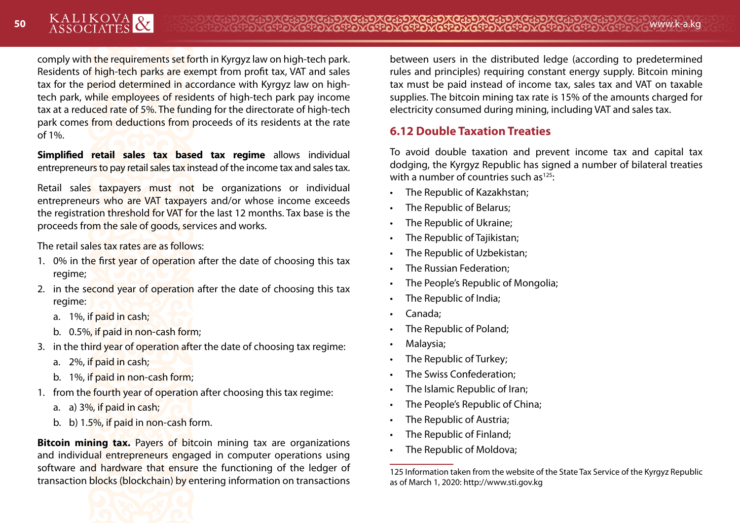comply with the requirements set forth in Kyrgyz law on high-tech park. Residents of high-tech parks are exempt from profit tax, VAT and sales tax for the period determined in accordance with Kyrgyz law on hightech park, while employees of residents of high-tech park pay income tax at a reduced rate of 5%. The funding for the directorate of high-tech park comes from deductions from proceeds of its residents at the rate of 1%.

**Simplified retail sales tax based tax regime** allows individual entrepreneurs to pay retail sales tax instead of the income tax and sales tax.

Retail sales taxpayers must not be organizations or individual entrepreneurs who are VAT taxpayers and/or whose income exceeds the registration threshold for VAT for the last 12 months. Tax base is the proceeds from the sale of goods, services and works.

The retail sales tax rates are as follows:

- 1. 0% in the first year of operation after the date of choosing this tax regime;
- 2. in the second year of operation after the date of choosing this tax regime:
	- a. 1%, if paid in cash;
	- b. 0.5%, if paid in non-cash form;
- 3. in the third year of operation after the date of choosing tax regime:
	- a. 2%, if paid in cash;
	- b. 1%, if paid in non-cash form;
- 1. from the fourth year of operation after choosing this tax regime:
	- a. a) 3%, if paid in cash;
	- b. b) 1.5%, if paid in non-cash form.

**Bitcoin mining tax.** Payers of bitcoin mining tax are organizations and individual entrepreneurs engaged in computer operations using software and hardware that ensure the functioning of the ledger of transaction blocks (blockchain) by entering information on transactions between users in the distributed ledge (according to predetermined rules and principles) requiring constant energy supply. Bitcoin mining tax must be paid instead of income tax, sales tax and VAT on taxable supplies. The bitcoin mining tax rate is 15% of the amounts charged for electricity consumed during mining, including VAT and sales tax.

# **6.12 Double Taxation Treaties**

To avoid double taxation and prevent income tax and capital tax dodging, the Kyrgyz Republic has signed a number of bilateral treaties with a number of countries such as $125$ :

- The Republic of Kazakhstan;
- The Republic of Belarus;
- The Republic of Ukraine;
- The Republic of Tajikistan;
- The Republic of Uzbekistan;
- The Russian Federation;
- The People's Republic of Mongolia;
- The Republic of India;
- Canada;
- The Republic of Poland;
- Malaysia;
- The Republic of Turkey;
- The Swiss Confederation;
- The Islamic Republic of Iran;
- The People's Republic of China;
- The Republic of Austria:
- The Republic of Finland;
- The Republic of Moldova:

<sup>125</sup> Information taken from the website of the State Tax Service of the Kyrgyz Republic as of March 1, 2020: http://www.sti.gov.kg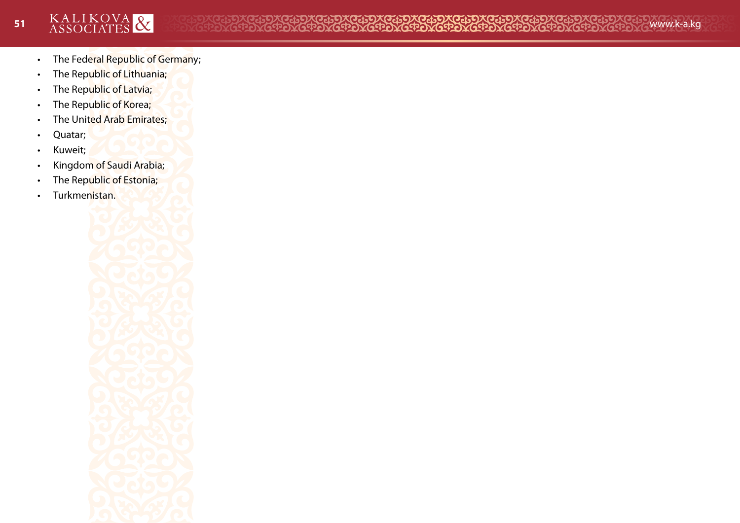- The Federal Republic of Germany;
- The Republic of Lithuania;
- The Republic of Latvia;
- The Republic of Korea;
- The United Arab Emirates;
- Quatar;
- Kuweit;
- Kingdom of Saudi Arabia;
- The Republic of Estonia;
- Turkmenistan.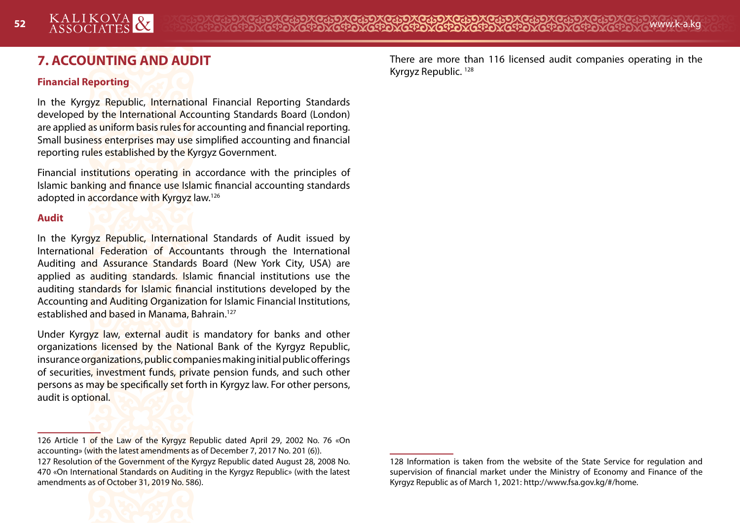# **7. ACCOUNTING AND AUDIT**

#### **Financial Reporting**

In the Kyrgyz Republic, International Financial Reporting Standards developed by the International Accounting Standards Board (London) are applied as uniform basis rules for accounting and financial reporting. Small business enterprises may use simplified accounting and financial reporting rules established by the Kyrgyz Government.

Financial institutions operating in accordance with the principles of Islamic banking and finance use Islamic financial accounting standards adopted in accordance with Kyrgyz law.126

#### **Audit**

In the Kyrgyz Republic, International Standards of Audit issued by International Federation of Accountants through the International Auditing and Assurance Standards Board (New York City, USA) are applied as auditing standards. Islamic financial institutions use the auditing standards for Islamic financial institutions developed by the Accounting and Auditing Organization for Islamic Financial Institutions, established and based in Manama, Bahrain.127

Under Kyrgyz law, external audit is mandatory for banks and other organizations licensed by the National Bank of the Kyrgyz Republic, insurance organizations, public companies making initial public offerings of securities, investment funds, private pension funds, and such other persons as may be specifically set forth in Kyrgyz law. For other persons, audit is optional.

<sup>126</sup> Article 1 of the Law of the Kyrgyz Republic dated April 29, 2002 No. 76 «On accounting» (with the latest amendments as of December 7, 2017 No. 201 (6)). 127 Resolution of the Government of the Kyrgyz Republic dated August 28, 2008 No. 470 «On International Standards on Auditing in the Kyrgyz Republic» (with the latest amendments as of October 31, 2019 No. 586).



There are more than 116 licensed audit companies operating in the Kyrgyz Republic. 128

<sup>128</sup> Information is taken from the website of the State Service for regulation and supervision of financial market under the Ministry of Economy and Finance of the Kyrgyz Republic as of March 1, 2021: http://www.fsa.gov.kg/#/home.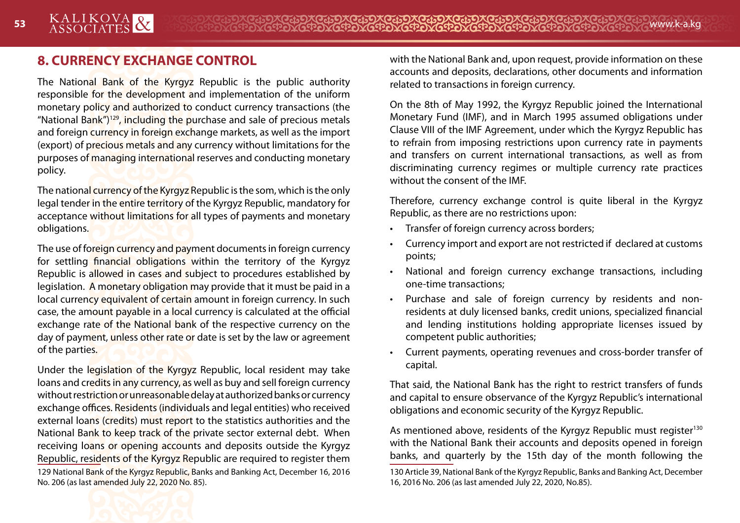# **8. CURRENCY EXCHANGE CONTROL**

The National Bank of the Kyrgyz Republic is the public authority responsible for the development and implementation of the uniform monetary policy and authorized to conduct currency transactions (the "National Bank")<sup>129</sup>, including the purchase and sale of precious metals and foreign currency in foreign exchange markets, as well as the import (export) of precious metals and any currency without limitations for the purposes of managing international reserves and conducting monetary policy.

The national currency of the Kyrgyz Republic is the som, which is the only legal tender in the entire territory of the Kyrgyz Republic, mandatory for acceptance without limitations for all types of payments and monetary obligations.

The use of foreign currency and payment documents in foreign currency for settling financial obligations within the territory of the Kyrgyz Republic is allowed in cases and subject to procedures established by legislation. A monetary obligation may provide that it must be paid in a local currency equivalent of certain amount in foreign currency. In such case, the amount payable in a local currency is calculated at the official exchange rate of the National bank of the respective currency on the day of payment, unless other rate or date is set by the law or agreement of the parties.

Under the legislation of the Kyrgyz Republic, local resident may take loans and credits in any currency, as well as buy and sell foreign currency without restriction or unreasonable delay at authorized banks or currency exchange offices. Residents (individuals and legal entities) who received external loans (credits) must report to the statistics authorities and the National Bank to keep track of the private sector external debt. When receiving loans or opening accounts and deposits outside the Kyrgyz Republic, residents of the Kyrgyz Republic are required to register them 129 National Bank of the Kyrgyz Republic, Banks and Banking Act, December 16, 2016 No. 206 (as last amended July 22, 2020 No. 85).

with the National Bank and, upon request, provide information on these accounts and deposits, declarations, other documents and information related to transactions in foreign currency.

On the 8th of May 1992, the Kyrgyz Republic joined the International Monetary Fund (IMF), and in March 1995 assumed obligations under Clause VIII of the IMF Agreement, under which the Kyrgyz Republic has to refrain from imposing restrictions upon currency rate in payments and transfers on current international transactions, as well as from discriminating currency regimes or multiple currency rate practices without the consent of the IMF.

Therefore, currency exchange control is quite liberal in the Kyrgyz Republic, as there are no restrictions upon:

- Transfer of foreign currency across borders;
- Currency import and export are not restricted if declared at customs points;
- National and foreign currency exchange transactions, including one-time transactions;
- Purchase and sale of foreign currency by residents and nonresidents at duly licensed banks, credit unions, specialized financial and lending institutions holding appropriate licenses issued by competent public authorities;
- Current payments, operating revenues and cross-border transfer of capital.

That said, the National Bank has the right to restrict transfers of funds and capital to ensure observance of the Kyrgyz Republic's international obligations and economic security of the Kyrgyz Republic.

As mentioned above, residents of the Kyrgyz Republic must register<sup>130</sup> with the National Bank their accounts and deposits opened in foreign banks, and quarterly by the 15th day of the month following the



<sup>130</sup> Article 39, National Bank of the Kyrgyz Republic, Banks and Banking Act, December 16, 2016 No. 206 (as last amended July 22, 2020, No.85).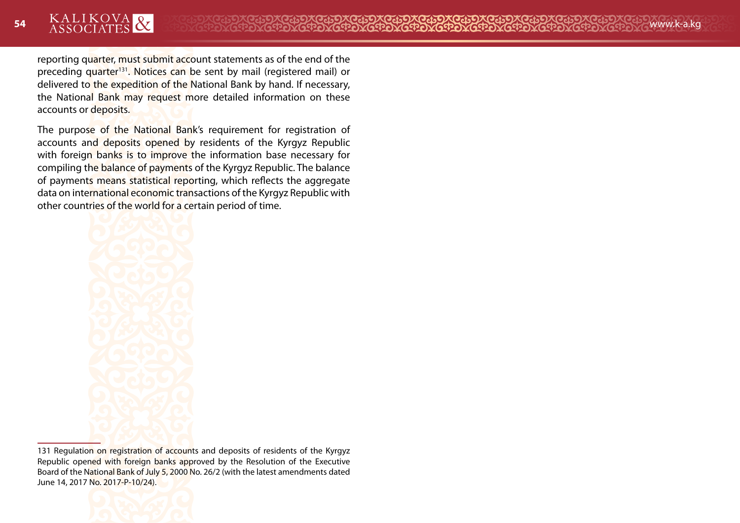reporting quarter, must submit account statements as of the end of the preceding quarter<sup>131</sup>. Notices can be sent by mail (registered mail) or delivered to the expedition of the National Bank by hand. If necessary, the National Bank may request more detailed information on these accounts or deposits.

The purpose of the National Bank's requirement for registration of accounts and deposits opened by residents of the Kyrgyz Republic with foreign banks is to improve the information base necessary for compiling the balance of payments of the Kyrgyz Republic. The balance of payments means statistical reporting, which reflects the aggregate data on international economic transactions of the Kyrgyz Republic with other countries of the world for a certain period of time.



131 Regulation on registration of accounts and deposits of residents of the Kyrgyz Republic opened with foreign banks approved by the Resolution of the Executive Board of the National Bank of July 5, 2000 No. 26/2 (with the latest amendments dated June 14, 2017 No. 2017-P-10/24).

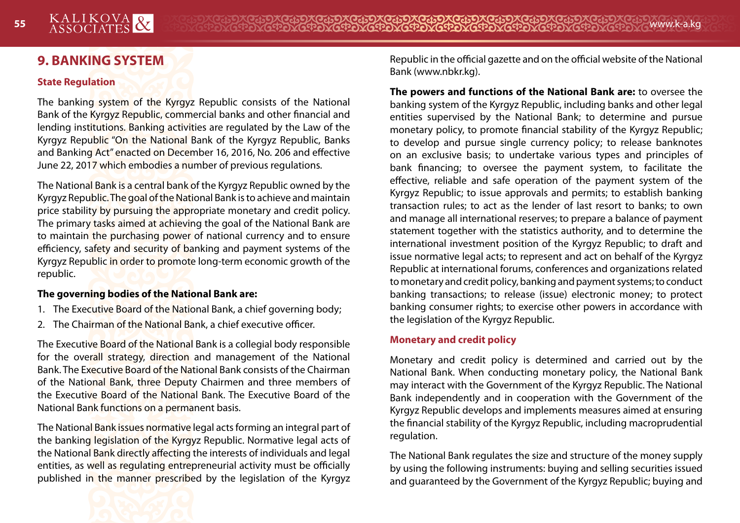# **9. BANKING SYSTEM**

#### **State Regulation**

The banking system of the Kyrgyz Republic consists of the National Bank of the Kyrgyz Republic, commercial banks and other financial and lending institutions. Banking activities are regulated by the Law of the Kyrgyz Republic "On the National Bank of the Kyrgyz Republic, Banks and Banking Act" enacted on December 16, 2016, No. 206 and effective June 22, 2017 which embodies a number of previous regulations.

The National Bank is a central bank of the Kyrgyz Republic owned by the Kyrgyz Republic. The goal of the National Bank is to achieve and maintain price stability by pursuing the appropriate monetary and credit policy. The primary tasks aimed at achieving the goal of the National Bank are to maintain the purchasing power of national currency and to ensure efficiency, safety and security of banking and payment systems of the Kyrgyz Republic in order to promote long-term economic growth of the republic.

#### **The governing bodies of the National Bank are:**

- 1. The Executive Board of the National Bank, a chief governing body;
- 2. The Chairman of the National Bank, a chief executive officer.

The Executive Board of the National Bank is a collegial body responsible for the overall strategy, direction and management of the National Bank. The Executive Board of the National Bank consists of the Chairman of the National Bank, three Deputy Chairmen and three members of the Executive Board of the National Bank. The Executive Board of the National Bank functions on a permanent basis.

The National Bank issues normative legal acts forming an integral part of the banking legislation of the Kyrgyz Republic. Normative legal acts of the National Bank directly affecting the interests of individuals and legal entities, as well as regulating entrepreneurial activity must be officially published in the manner prescribed by the legislation of the Kyrgyz Republic in the official gazette and on the official website of the National Bank (www.nbkr.kg).

**The powers and functions of the National Bank are:** to oversee the banking system of the Kyrgyz Republic, including banks and other legal entities supervised by the National Bank; to determine and pursue monetary policy, to promote financial stability of the Kyrgyz Republic; to develop and pursue single currency policy; to release banknotes on an exclusive basis; to undertake various types and principles of bank financing; to oversee the payment system, to facilitate the effective, reliable and safe operation of the payment system of the Kyrgyz Republic; to issue approvals and permits; to establish banking transaction rules; to act as the lender of last resort to banks; to own and manage all international reserves; to prepare a balance of payment statement together with the statistics authority, and to determine the international investment position of the Kyrgyz Republic; to draft and issue normative legal acts; to represent and act on behalf of the Kyrgyz Republic at international forums, conferences and organizations related to monetary and credit policy, banking and payment systems; to conduct banking transactions; to release (issue) electronic money; to protect banking consumer rights; to exercise other powers in accordance with the legislation of the Kyrgyz Republic.

## **Monetary and credit policy**

Monetary and credit policy is determined and carried out by the National Bank. When conducting monetary policy, the National Bank may interact with the Government of the Kyrgyz Republic. The National Bank independently and in cooperation with the Government of the Kyrgyz Republic develops and implements measures aimed at ensuring the financial stability of the Kyrgyz Republic, including macroprudential regulation.

The National Bank regulates the size and structure of the money supply by using the following instruments: buying and selling securities issued and guaranteed by the Government of the Kyrgyz Republic; buying and

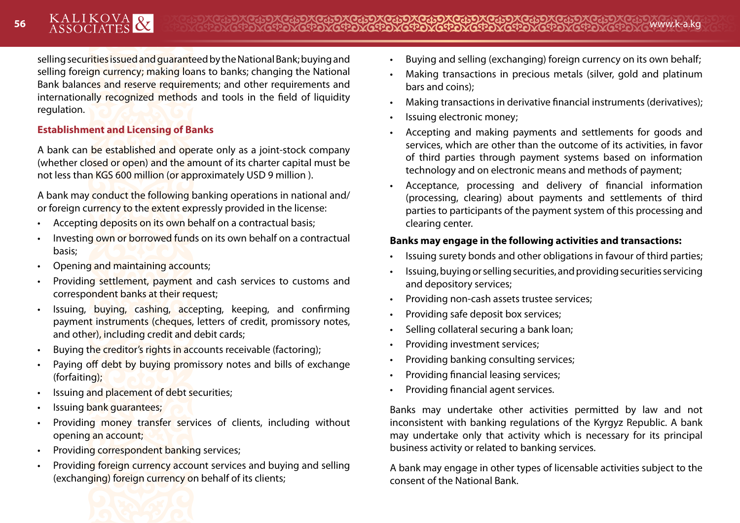selling securities issued and guaranteed by the National Bank; buying and selling foreign currency; making loans to banks; changing the National Bank balances and reserve requirements; and other requirements and internationally recognized methods and tools in the field of liquidity regulation.

## **Establishment and Licensing of Banks**

A bank can be established and operate only as a joint-stock company (whether closed or open) and the amount of its charter capital must be not less than KGS 600 million (or approximately USD 9 million ).

A bank may conduct the following banking operations in national and/ or foreign currency to the extent expressly provided in the license:

- Accepting deposits on its own behalf on a contractual basis;
- Investing own or borrowed funds on its own behalf on a contractual basis;
- Opening and maintaining accounts;
- Providing settlement, payment and cash services to customs and correspondent banks at their request;
- Issuing, buying, cashing, accepting, keeping, and confirming payment instruments (cheques, letters of credit, promissory notes, and other), including credit and debit cards;
- Buying the creditor's rights in accounts receivable (factoring);
- Paying off debt by buying promissory notes and bills of exchange (forfaiting);
- Issuing and placement of debt securities;
- Issuing bank guarantees;
- Providing money transfer services of clients, including without opening an account;
- Providing correspondent banking services;
- Providing foreign currency account services and buying and selling (exchanging) foreign currency on behalf of its clients;
- Buying and selling (exchanging) foreign currency on its own behalf;
- Making transactions in precious metals (silver, gold and platinum bars and coins);
- Making transactions in derivative financial instruments (derivatives);
- Issuing electronic money;
- Accepting and making payments and settlements for goods and services, which are other than the outcome of its activities, in favor of third parties through payment systems based on information technology and on electronic means and methods of payment;
- Acceptance, processing and delivery of financial information (processing, clearing) about payments and settlements of third parties to participants of the payment system of this processing and clearing center.

## **Banks may engage in the following activities and transactions:**

- Issuing surety bonds and other obligations in favour of third parties;
- Issuing, buying or selling securities, and providing securities servicing and depository services;
- Providing non-cash assets trustee services;
- Providing safe deposit box services;
- Selling collateral securing a bank loan;
- Providing investment services;
- Providing banking consulting services;
- Providing financial leasing services;
- Providing financial agent services.

Banks may undertake other activities permitted by law and not inconsistent with banking regulations of the Kyrgyz Republic. A bank may undertake only that activity which is necessary for its principal business activity or related to banking services.

A bank may engage in other types of licensable activities subject to the consent of the National Bank.

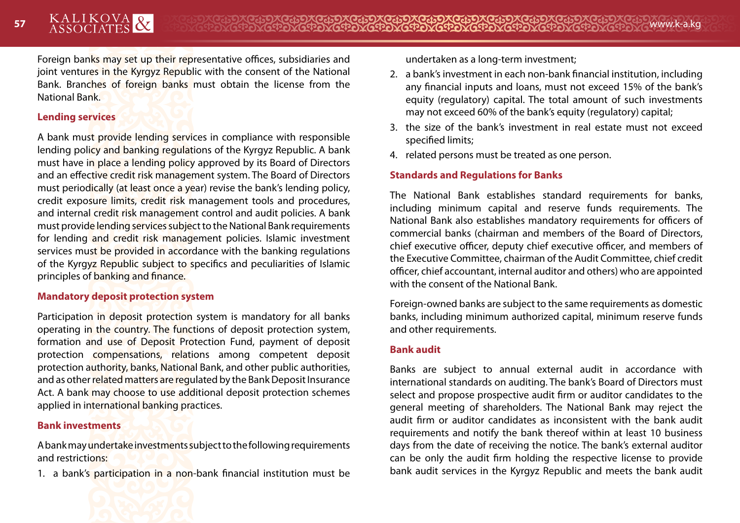Foreign banks may set up their representative offices, subsidiaries and joint ventures in the Kyrgyz Republic with the consent of the National Bank. Branches of foreign banks must obtain the license from the National Bank.

#### **Lending services**

A bank must provide lending services in compliance with responsible lending policy and banking regulations of the Kyrgyz Republic. A bank must have in place a lending policy approved by its Board of Directors and an effective credit risk management system. The Board of Directors must periodically (at least once a year) revise the bank's lending policy, credit exposure limits, credit risk management tools and procedures, and internal credit risk management control and audit policies. A bank must provide lending services subject to the National Bank requirements for lending and credit risk management policies. Islamic investment services must be provided in accordance with the banking regulations of the Kyrgyz Republic subject to specifics and peculiarities of Islamic principles of banking and finance.

#### **Mandatory deposit protection system**

Participation in deposit protection system is mandatory for all banks operating in the country. The functions of deposit protection system, formation and use of Deposit Protection Fund, payment of deposit protection compensations, relations among competent deposit protection authority, banks, National Bank, and other public authorities, and as other related matters are regulated by the Bank Deposit Insurance Act. A bank may choose to use additional deposit protection schemes applied in international banking practices.

## **Bank investments**

A bank may undertake investments subject to the following requirements and restrictions:

1. a bank's participation in a non-bank financial institution must be



- 2. a bank's investment in each non-bank financial institution, including any financial inputs and loans, must not exceed 15% of the bank's equity (regulatory) capital. The total amount of such investments may not exceed 60% of the bank's equity (regulatory) capital;
- 3. the size of the bank's investment in real estate must not exceed specified limits;
- 4. related persons must be treated as one person.

## **Standards and Regulations for Banks**

The National Bank establishes standard requirements for banks, including minimum capital and reserve funds requirements. The National Bank also establishes mandatory requirements for officers of commercial banks (chairman and members of the Board of Directors, chief executive officer, deputy chief executive officer, and members of the Executive Committee, chairman of the Audit Committee, chief credit officer, chief accountant, internal auditor and others) who are appointed with the consent of the National Bank.

Foreign-owned banks are subject to the same requirements as domestic banks, including minimum authorized capital, minimum reserve funds and other requirements.

#### **Bank audit**

Banks are subject to annual external audit in accordance with international standards on auditing. The bank's Board of Directors must select and propose prospective audit firm or auditor candidates to the general meeting of shareholders. The National Bank may reject the audit firm or auditor candidates as inconsistent with the bank audit requirements and notify the bank thereof within at least 10 business days from the date of receiving the notice. The bank's external auditor can be only the audit firm holding the respective license to provide bank audit services in the Kyrgyz Republic and meets the bank audit

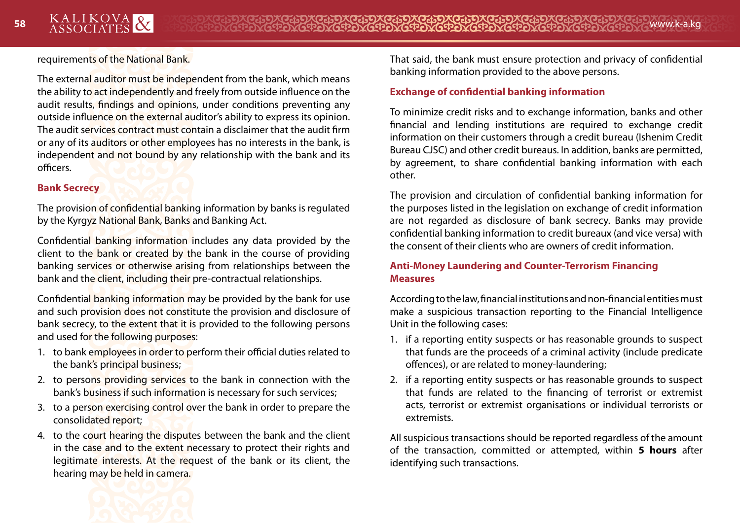requirements of the National Bank.

The external auditor must be independent from the bank, which means the ability to act independently and freely from outside influence on the audit results, findings and opinions, under conditions preventing any outside influence on the external auditor's ability to express its opinion. The audit services contract must contain a disclaimer that the audit firm or any of its auditors or other employees has no interests in the bank, is independent and not bound by any relationship with the bank and its officers.

#### **Bank Secrecy**

The provision of confidential banking information by banks is regulated by the Kyrgyz National Bank, Banks and Banking Act.

Confidential banking information includes any data provided by the client to the bank or created by the bank in the course of providing banking services or otherwise arising from relationships between the bank and the client, including their pre-contractual relationships.

Confidential banking information may be provided by the bank for use and such provision does not constitute the provision and disclosure of bank secrecy, to the extent that it is provided to the following persons and used for the following purposes:

- 1. to bank employees in order to perform their official duties related to the bank's principal business;
- 2. to persons providing services to the bank in connection with the bank's business if such information is necessary for such services;
- 3. to a person exercising control over the bank in order to prepare the consolidated report;
- 4. to the court hearing the disputes between the bank and the client in the case and to the extent necessary to protect their rights and legitimate interests. At the request of the bank or its client, the hearing may be held in camera.

That said, the bank must ensure protection and privacy of confidential banking information provided to the above persons.

#### **Exchange of confidential banking information**

To minimize credit risks and to exchange information, banks and other financial and lending institutions are required to exchange credit information on their customers through a credit bureau (Ishenim Credit Bureau CJSC) and other credit bureaus. In addition, banks are permitted, by agreement, to share confidential banking information with each other.

The provision and circulation of confidential banking information for the purposes listed in the legislation on exchange of credit information are not regarded as disclosure of bank secrecy. Banks may provide confidential banking information to credit bureaux (and vice versa) with the consent of their clients who are owners of credit information.

### **Anti-Money Laundering and Counter-Terrorism Financing Measures**

According to the law, financial institutions and non-financial entities must make a suspicious transaction reporting to the Financial Intelligence Unit in the following cases:

- 1. if a reporting entity suspects or has reasonable grounds to suspect that funds are the proceeds of a criminal activity (include predicate offences), or are related to money-laundering;
- 2. if a reporting entity suspects or has reasonable grounds to suspect that funds are related to the financing of terrorist or extremist acts, terrorist or extremist organisations or individual terrorists or extremists.

All suspicious transactions should be reported regardless of the amount of the transaction, committed or attempted, within **5 hours** after identifying such transactions.

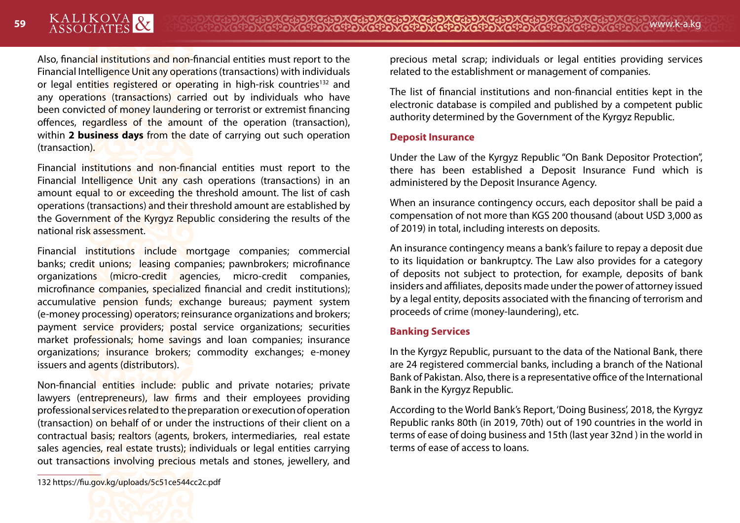Also, financial institutions and non-financial entities must report to the Financial Intelligence Unit any operations (transactions) with individuals or legal entities registered or operating in high-risk countries<sup>132</sup> and any operations (transactions) carried out by individuals who have been convicted of money laundering or terrorist or extremist financing offences, regardless of the amount of the operation (transaction), within **2 business days** from the date of carrying out such operation (transaction).

Financial institutions and non-financial entities must report to the Financial Intelligence Unit any cash operations (transactions) in an amount equal to or exceeding the threshold amount. The list of cash operations (transactions) and their threshold amount are established by the Government of the Kyrgyz Republic considering the results of the national risk assessment.

Financial institutions include mortgage companies; commercial banks; credit unions; leasing companies; pawnbrokers; microfinance organizations (micro-credit agencies, micro-credit companies, microfinance companies, specialized financial and credit institutions); accumulative pension funds; exchange bureaus; payment system (e-money processing) operators; reinsurance organizations and brokers; payment service providers; postal service organizations; securities market professionals; home savings and loan companies; insurance organizations; insurance brokers; commodity exchanges; e-money issuers and agents (distributors).

Non-financial entities include: public and private notaries; private lawyers (entrepreneurs), law firms and their employees providing professional services related to the preparation or execution of operation (transaction) on behalf of or under the instructions of their client on a contractual basis; realtors (agents, brokers, intermediaries, real estate sales agencies, real estate trusts); individuals or legal entities carrying out transactions involving precious metals and stones, jewellery, and precious metal scrap; individuals or legal entities providing services related to the establishment or management of companies.

The list of financial institutions and non-financial entities kept in the electronic database is compiled and published by a competent public authority determined by the Government of the Kyrgyz Republic.

#### **Deposit Insurance**

Under the Law of the Kyrgyz Republic "On Bank Depositor Protection", there has been established a Deposit Insurance Fund which is administered by the Deposit Insurance Agency.

When an insurance contingency occurs, each depositor shall be paid a compensation of not more than KGS 200 thousand (about USD 3,000 as of 2019) in total, including interests on deposits.

An insurance contingency means a bank's failure to repay a deposit due to its liquidation or bankruptcy. The Law also provides for a category of deposits not subject to protection, for example, deposits of bank insiders and affiliates, deposits made under the power of attorney issued by a legal entity, deposits associated with the financing of terrorism and proceeds of crime (money-laundering), etc.

#### **Banking Services**

In the Kyrgyz Republic, pursuant to the data of the National Bank, there are 24 registered commercial banks, including a branch of the National Bank of Pakistan. Also, there is a representative office of the International Bank in the Kyrgyz Republic.

According to the World Bank's Report, 'Doing Business', 2018, the Kyrgyz Republic ranks 80th (in 2019, 70th) out of 190 countries in the world in terms of ease of doing business and 15th (last year 32nd ) in the world in terms of ease of access to loans.

<sup>132</sup> https://fiu.gov.kg/uploads/5c51ce544cc2c.pdf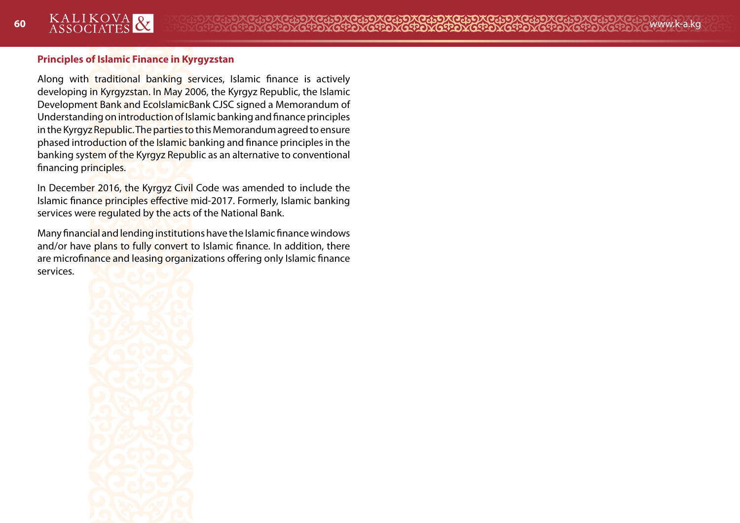## **Principles of Islamic Finance in Kyrgyzstan**

Along with traditional banking services, Islamic finance is actively developing in Kyrgyzstan. In May 2006, the Kyrgyz Republic, the Islamic Development Bank and EcoIslamicBank CJSC signed a Memorandum of Understanding on introduction of Islamic banking and finance principles in the Kyrgyz Republic. The parties to this Memorandum agreed to ensure phased introduction of the Islamic banking and finance principles in the banking system of the Kyrgyz Republic as an alternative to conventional financing principles.

In December 2016, the Kyrgyz Civil Code was amended to include the Islamic finance principles effective mid-2017. Formerly, Islamic banking services were regulated by the acts of the National Bank.

Many financial and lending institutions have the Islamic finance windows and/or have plans to fully convert to Islamic finance. In addition, there are microfinance and leasing organizations offering only Islamic finance services.

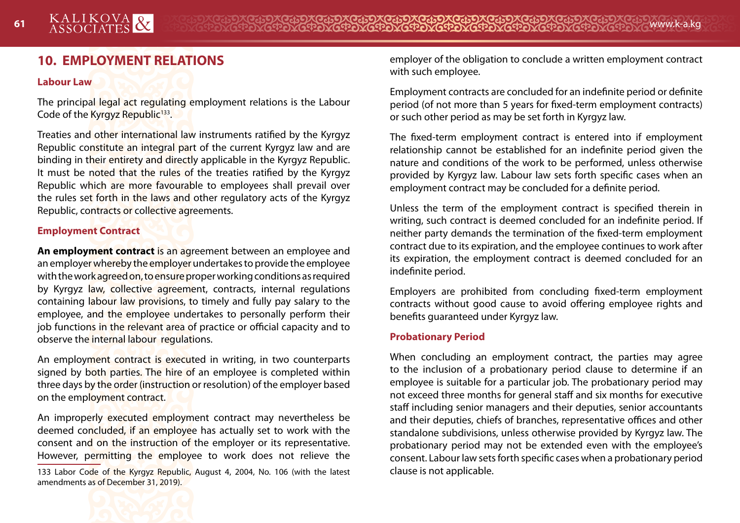# **10. EMPLOYMENT RELATIONS**

#### **Labour Law**

The principal legal act regulating employment relations is the Labour Code of the Kyrgyz Republic<sup>133</sup>.

Treaties and other international law instruments ratified by the Kyrgyz Republic constitute an integral part of the current Kyrgyz law and are binding in their entirety and directly applicable in the Kyrgyz Republic. It must be noted that the rules of the treaties ratified by the Kyrgyz Republic which are more favourable to employees shall prevail over the rules set forth in the laws and other regulatory acts of the Kyrgyz Republic, contracts or collective agreements.

#### **Employment Contract**

**An employment contract** is an agreement between an employee and an employer whereby the employer undertakes to provide the employee with the work agreed on, to ensure proper working conditions as required by Kyrgyz law, collective agreement, contracts, internal regulations containing labour law provisions, to timely and fully pay salary to the employee, and the employee undertakes to personally perform their job functions in the relevant area of practice or official capacity and to observe the internal labour regulations.

An employment contract is executed in writing, in two counterparts signed by both parties. The hire of an employee is completed within three days by the order (instruction or resolution) of the employer based on the employment contract.

An improperly executed employment contract may nevertheless be deemed concluded, if an employee has actually set to work with the consent and on the instruction of the employer or its representative. However, permitting the employee to work does not relieve the

133 Labor Code of the Kyrgyz Republic, August 4, 2004, No. 106 (with the latest amendments as of December 31, 2019).

employer of the obligation to conclude a written employment contract with such employee.

Employment contracts are concluded for an indefinite period or definite period (of not more than 5 years for fixed-term employment contracts) or such other period as may be set forth in Kyrgyz law.

The fixed-term employment contract is entered into if employment relationship cannot be established for an indefinite period given the nature and conditions of the work to be performed, unless otherwise provided by Kyrgyz law. Labour law sets forth specific cases when an employment contract may be concluded for a definite period.

Unless the term of the employment contract is specified therein in writing, such contract is deemed concluded for an indefinite period. If neither party demands the termination of the fixed-term employment contract due to its expiration, and the employee continues to work after its expiration, the employment contract is deemed concluded for an indefinite period.

Employers are prohibited from concluding fixed-term employment contracts without good cause to avoid offering employee rights and benefits guaranteed under Kyrgyz law.

#### **Probationary Period**

When concluding an employment contract, the parties may agree to the inclusion of a probationary period clause to determine if an employee is suitable for a particular job. The probationary period may not exceed three months for general staff and six months for executive staff including senior managers and their deputies, senior accountants and their deputies, chiefs of branches, representative offices and other standalone subdivisions, unless otherwise provided by Kyrgyz law. The probationary period may not be extended even with the employee's consent. Labour law sets forth specific cases when a probationary period clause is not applicable.

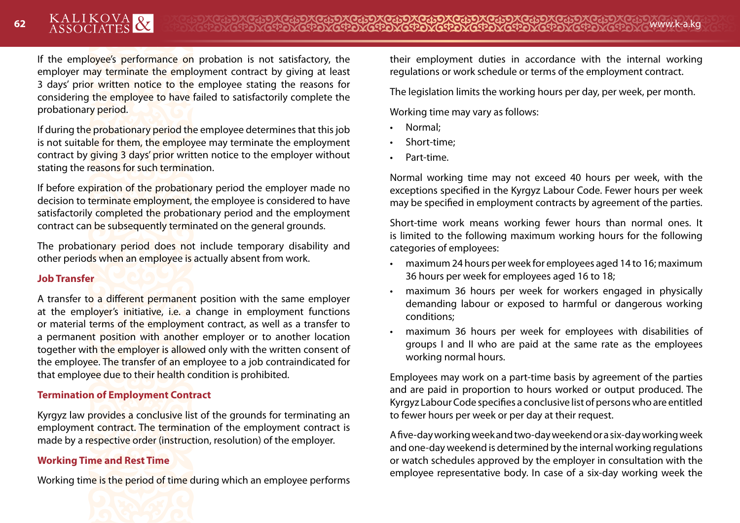If the employee's performance on probation is not satisfactory, the employer may terminate the employment contract by giving at least 3 days' prior written notice to the employee stating the reasons for considering the employee to have failed to satisfactorily complete the probationary period.

If during the probationary period the employee determines that this job is not suitable for them, the employee may terminate the employment contract by giving 3 days' prior written notice to the employer without stating the reasons for such termination.

If before expiration of the probationary period the employer made no decision to terminate employment, the employee is considered to have satisfactorily completed the probationary period and the employment contract can be subsequently terminated on the general grounds.

The probationary period does not include temporary disability and other periods when an employee is actually absent from work.

#### **Job Transfer**

A transfer to a different permanent position with the same employer at the employer's initiative, i.e. a change in employment functions or material terms of the employment contract, as well as a transfer to a permanent position with another employer or to another location together with the employer is allowed only with the written consent of the employee. The transfer of an employee to a job contraindicated for that employee due to their health condition is prohibited.

#### **Termination of Employment Contract**

Kyrgyz law provides a conclusive list of the grounds for terminating an employment contract. The termination of the employment contract is made by a respective order (instruction, resolution) of the employer.

## **Working Time and Rest Time**

Working time is the period of time during which an employee performs

their employment duties in accordance with the internal working regulations or work schedule or terms of the employment contract.

The legislation limits the working hours per day, per week, per month.

Working time may vary as follows:

- Normal;
- Short-time;
- Part-time.

Normal working time may not exceed 40 hours per week, with the exceptions specified in the Kyrgyz Labour Code. Fewer hours per week may be specified in employment contracts by agreement of the parties.

Short-time work means working fewer hours than normal ones. It is limited to the following maximum working hours for the following categories of employees:

- maximum 24 hours per week for employees aged 14 to 16; maximum 36 hours per week for employees aged 16 to 18;
- maximum 36 hours per week for workers engaged in physically demanding labour or exposed to harmful or dangerous working conditions;
- maximum 36 hours per week for employees with disabilities of groups I and II who are paid at the same rate as the employees working normal hours.

Employees may work on a part-time basis by agreement of the parties and are paid in proportion to hours worked or output produced. The Kyrgyz Labour Code specifies a conclusive list of persons who are entitled to fewer hours per week or per day at their request.

A five-day working week and two-day weekend or a six-day working week and one-day weekend is determined by the internal working regulations or watch schedules approved by the employer in consultation with the employee representative body. In case of a six-day working week the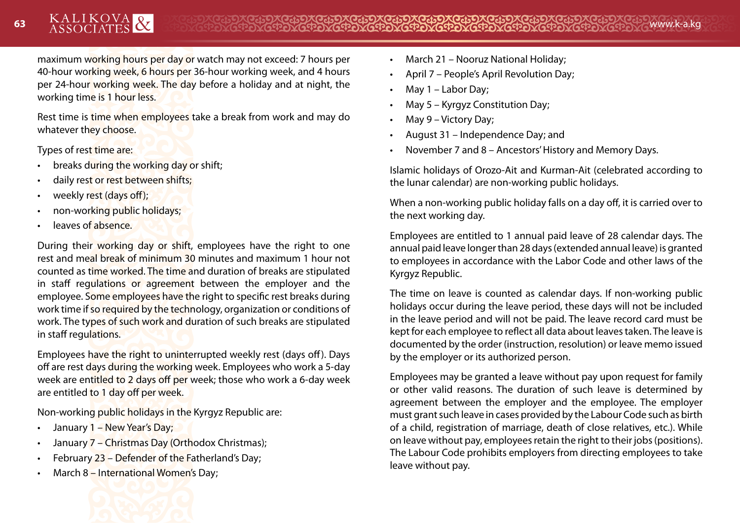maximum working hours per day or watch may not exceed: 7 hours per 40-hour working week, 6 hours per 36-hour working week, and 4 hours per 24-hour working week. The day before a holiday and at night, the working time is 1 hour less.

Rest time is time when employees take a break from work and may do whatever they choose.

Types of rest time are:

- breaks during the working day or shift;
- daily rest or rest between shifts:
- weekly rest (days off);
- non-working public holidays;
- leaves of absence.

During their working day or shift, employees have the right to one rest and meal break of minimum 30 minutes and maximum 1 hour not counted as time worked. The time and duration of breaks are stipulated in staff regulations or agreement between the employer and the employee. Some employees have the right to specific rest breaks during work time if so required by the technology, organization or conditions of work. The types of such work and duration of such breaks are stipulated in staff regulations.

Employees have the right to uninterrupted weekly rest (days off). Days off are rest days during the working week. Employees who work a 5-day week are entitled to 2 days off per week; those who work a 6-day week are entitled to 1 day off per week.

Non-working public holidays in the Kyrgyz Republic are:

- January 1 New Year's Day;
- January 7 Christmas Day (Orthodox Christmas);
- February 23 Defender of the Fatherland's Day;
- March 8 International Women's Day;



- March 21 Nooruz National Holiday;
- April 7 People's April Revolution Day;
- May 1 Labor Day;
- May 5 Kyrgyz Constitution Day;
- May 9 Victory Day;
- August 31 Independence Day; and
- November 7 and 8 Ancestors' History and Memory Days.

Islamic holidays of Orozo-Ait and Kurman-Ait (celebrated according to the lunar calendar) are non-working public holidays.

When a non-working public holiday falls on a day off, it is carried over to the next working day.

Employees are entitled to 1 annual paid leave of 28 calendar days. The annual paid leave longer than 28 days (extended annual leave) is granted to employees in accordance with the Labor Code and other laws of the Kyrgyz Republic.

The time on leave is counted as calendar days. If non-working public holidays occur during the leave period, these days will not be included in the leave period and will not be paid. The leave record card must be kept for each employee to reflect all data about leaves taken. The leave is documented by the order (instruction, resolution) or leave memo issued by the employer or its authorized person.

Employees may be granted a leave without pay upon request for family or other valid reasons. The duration of such leave is determined by agreement between the employer and the employee. The employer must grant such leave in cases provided by the Labour Code such as birth of a child, registration of marriage, death of close relatives, etc.). While on leave without pay, employees retain the right to their jobs (positions). The Labour Code prohibits employers from directing employees to take leave without pay.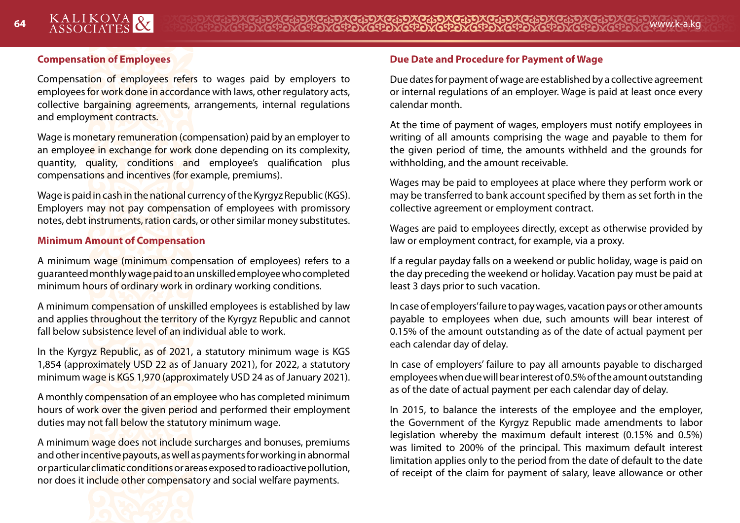### **Compensation of Employees**

Compensation of employees refers to wages paid by employers to employees for work done in accordance with laws, other regulatory acts, collective bargaining agreements, arrangements, internal regulations and employment contracts.

Wage is monetary remuneration (compensation) paid by an employer to an employee in exchange for work done depending on its complexity, quantity, quality, conditions and employee's qualification plus compensations and incentives (for example, premiums).

Wage is paid in cash in the national currency of the Kyrgyz Republic (KGS). Employers may not pay compensation of employees with promissory notes, debt instruments, ration cards, or other similar money substitutes.

#### **Minimum Amount of Compensation**

A minimum wage (minimum compensation of employees) refers to a guaranteed monthly wage paid to an unskilled employee who completed minimum hours of ordinary work in ordinary working conditions.

A minimum compensation of unskilled employees is established by law and applies throughout the territory of the Kyrgyz Republic and cannot fall below subsistence level of an individual able to work.

In the Kyrgyz Republic, as of 2021, a statutory minimum wage is KGS 1,854 (approximately USD 22 as of January 2021), for 2022, a statutory minimum wage is KGS 1,970 (approximately USD 24 as of January 2021).

A monthly compensation of an employee who has completed minimum hours of work over the given period and performed their employment duties may not fall below the statutory minimum wage.

A minimum wage does not include surcharges and bonuses, premiums and other incentive payouts, as well as payments for working in abnormal or particular climatic conditions or areas exposed to radioactive pollution, nor does it include other compensatory and social welfare payments.

### **Due Date and Procedure for Payment of Wage**

Due dates for payment of wage are established by a collective agreement or internal regulations of an employer. Wage is paid at least once every calendar month.

At the time of payment of wages, employers must notify employees in writing of all amounts comprising the wage and payable to them for the given period of time, the amounts withheld and the grounds for withholding, and the amount receivable.

Wages may be paid to employees at place where they perform work or may be transferred to bank account specified by them as set forth in the collective agreement or employment contract.

Wages are paid to employees directly, except as otherwise provided by law or employment contract, for example, via a proxy.

If a regular payday falls on a weekend or public holiday, wage is paid on the day preceding the weekend or holiday. Vacation pay must be paid at least 3 days prior to such vacation.

In case of employers' failure to pay wages, vacation pays or other amounts payable to employees when due, such amounts will bear interest of 0.15% of the amount outstanding as of the date of actual payment per each calendar day of delay.

In case of employers' failure to pay all amounts payable to discharged employees when due will bear interest of 0.5% of the amount outstanding as of the date of actual payment per each calendar day of delay.

In 2015, to balance the interests of the employee and the employer, the Government of the Kyrgyz Republic made amendments to labor legislation whereby the maximum default interest (0.15% and 0.5%) was limited to 200% of the principal. This maximum default interest limitation applies only to the period from the date of default to the date of receipt of the claim for payment of salary, leave allowance or other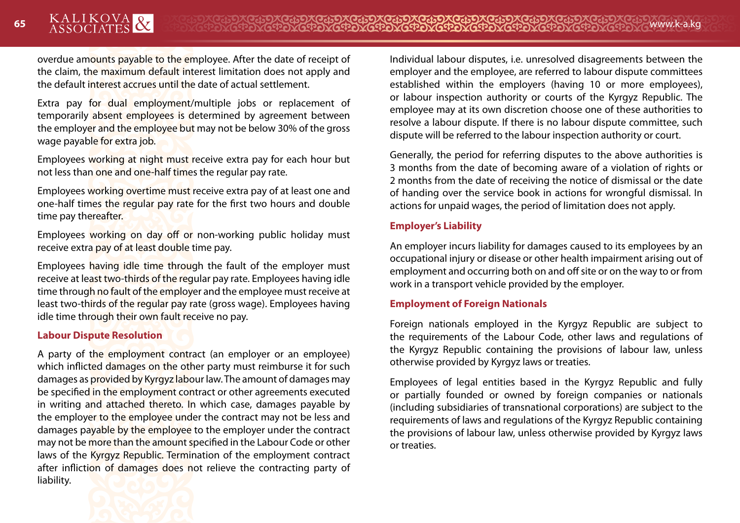overdue amounts payable to the employee. After the date of receipt of the claim, the maximum default interest limitation does not apply and the default interest accrues until the date of actual settlement.

Extra pay for dual employment/multiple jobs or replacement of temporarily absent employees is determined by agreement between the employer and the employee but may not be below 30% of the gross wage payable for extra job.

Employees working at night must receive extra pay for each hour but not less than one and one-half times the regular pay rate.

Employees working overtime must receive extra pay of at least one and one-half times the regular pay rate for the first two hours and double time pay thereafter.

Employees working on day off or non-working public holiday must receive extra pay of at least double time pay.

Employees having idle time through the fault of the employer must receive at least two-thirds of the regular pay rate. Employees having idle time through no fault of the employer and the employee must receive at least two-thirds of the regular pay rate (gross wage). Employees having idle time through their own fault receive no pay.

#### **Labour Dispute Resolution**

A party of the employment contract (an employer or an employee) which inflicted damages on the other party must reimburse it for such damages as provided by Kyrgyz labour law. The amount of damages may be specified in the employment contract or other agreements executed in writing and attached thereto. In which case, damages payable by the employer to the employee under the contract may not be less and damages payable by the employee to the employer under the contract may not be more than the amount specified in the Labour Code or other laws of the Kyrgyz Republic. Termination of the employment contract after infliction of damages does not relieve the contracting party of liability.



Generally, the period for referring disputes to the above authorities is 3 months from the date of becoming aware of a violation of rights or 2 months from the date of receiving the notice of dismissal or the date of handing over the service book in actions for wrongful dismissal. In actions for unpaid wages, the period of limitation does not apply.

#### **Employer's Liability**

An employer incurs liability for damages caused to its employees by an occupational injury or disease or other health impairment arising out of employment and occurring both on and off site or on the way to or from work in a transport vehicle provided by the employer.

#### **Employment of Foreign Nationals**

Foreign nationals employed in the Kyrgyz Republic are subject to the requirements of the Labour Code, other laws and regulations of the Kyrgyz Republic containing the provisions of labour law, unless otherwise provided by Kyrgyz laws or treaties.

Employees of legal entities based in the Kyrgyz Republic and fully or partially founded or owned by foreign companies or nationals (including subsidiaries of transnational corporations) are subject to the requirements of laws and regulations of the Kyrgyz Republic containing the provisions of labour law, unless otherwise provided by Kyrgyz laws or treaties.

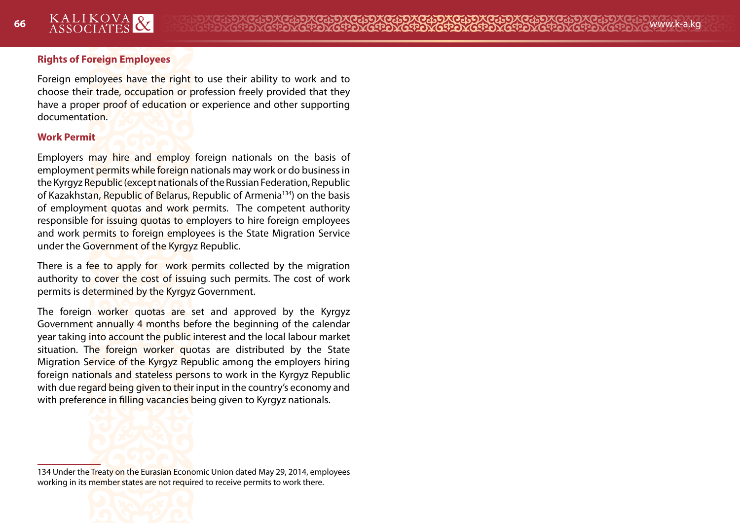#### **Rights of Foreign Employees**

Foreign employees have the right to use their ability to work and to choose their trade, occupation or profession freely provided that they have a proper proof of education or experience and other supporting documentation.

#### **Work Permit**

Employers may hire and employ foreign nationals on the basis of employment permits while foreign nationals may work or do business in the Kyrgyz Republic (except nationals of the Russian Federation, Republic of Kazakhstan, Republic of Belarus, Republic of Armenia134) on the basis of employment quotas and work permits. The competent authority responsible for issuing quotas to employers to hire foreign employees and work permits to foreign employees is the State Migration Service under the Government of the Kyrgyz Republic.

There is a fee to apply for work permits collected by the migration authority to cover the cost of issuing such permits. The cost of work permits is determined by the Kyrgyz Government.

The foreign worker quotas are set and approved by the Kyrgyz Government annually 4 months before the beginning of the calendar year taking into account the public interest and the local labour market situation. The foreign worker quotas are distributed by the State Migration Service of the Kyrgyz Republic among the employers hiring foreign nationals and stateless persons to work in the Kyrgyz Republic with due regard being given to their input in the country's economy and with preference in filling vacancies being given to Kyrgyz nationals.



134 Under the Treaty on the Eurasian Economic Union dated May 29, 2014, employees working in its member states are not required to receive permits to work there.

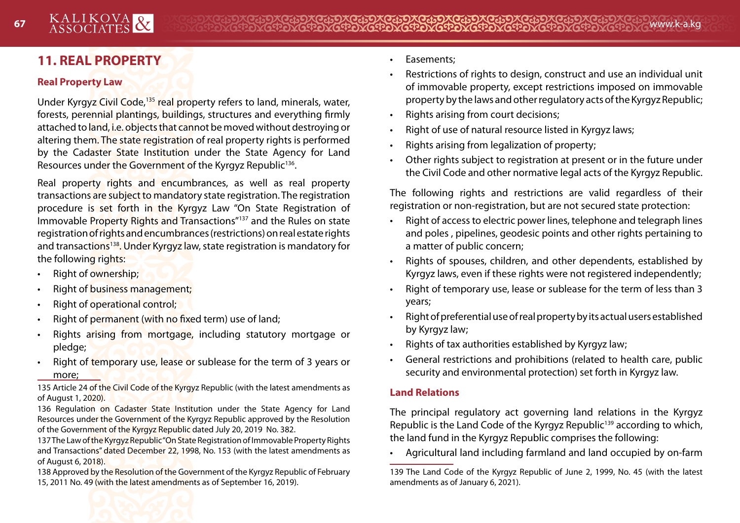# **11. REAL PROPERTY**

#### **Real Property Law**

Under Kyrgyz Civil Code,135 real property refers to land, minerals, water, forests, perennial plantings, buildings, structures and everything firmly attached to land, i.e. objects that cannot be moved without destroying or altering them. The state registration of real property rights is performed by the Cadaster State Institution under the State Agency for Land Resources under the Government of the Kyrgyz Republic<sup>136</sup>.

Real property rights and encumbrances, as well as real property transactions are subject to mandatory state registration. The registration procedure is set forth in the Kyrgyz Law "On State Registration of Immovable Property Rights and Transactions"137 and the Rules on state registration of rights and encumbrances (restrictions) on real estate rights and transactions<sup>138</sup>. Under Kyrgyz law, state registration is mandatory for the following rights:

- Right of ownership:
- Right of business management;
- Right of operational control;
- Right of permanent (with no fixed term) use of land;
- Rights arising from mortgage, including statutory mortgage or pledge;
- Right of temporary use, lease or sublease for the term of 3 years or more;

135 Article 24 of the Civil Code of the Kyrgyz Republic (with the latest amendments as of August 1, 2020).

136 Regulation on Cadaster State Institution under the State Agency for Land Resources under the Government of the Kyrgyz Republic approved by the Resolution of the Government of the Kyrgyz Republic dated July 20, 2019 No. 382.

137 The Law of the Kyrgyz Republic "On State Registration of Immovable Property Rights and Transactions" dated December 22, 1998, No. 153 (with the latest amendments as of August 6, 2018).

138 Approved by the Resolution of the Government of the Kyrgyz Republic of February 15, 2011 No. 49 (with the latest amendments as of September 16, 2019).

- Easements;
- Restrictions of rights to design, construct and use an individual unit of immovable property, except restrictions imposed on immovable property by the laws and other regulatory acts of the Kyrgyz Republic;
- Rights arising from court decisions;
- Right of use of natural resource listed in Kyrgyz laws;
- Rights arising from legalization of property;
- Other rights subject to registration at present or in the future under the Civil Code and other normative legal acts of the Kyrgyz Republic.

The following rights and restrictions are valid regardless of their registration or non-registration, but are not secured state protection:

- Right of access to electric power lines, telephone and telegraph lines and poles , pipelines, geodesic points and other rights pertaining to a matter of public concern;
- Rights of spouses, children, and other dependents, established by Kyrgyz laws, even if these rights were not registered independently;
- Right of temporary use, lease or sublease for the term of less than 3 years;
- Right of preferential use of real property by its actual users established by Kyrgyz law;
- Rights of tax authorities established by Kyrgyz law;
- General restrictions and prohibitions (related to health care, public security and environmental protection) set forth in Kyrgyz law.

# **Land Relations**

The principal regulatory act governing land relations in the Kyrgyz Republic is the Land Code of the Kyrgyz Republic<sup>139</sup> according to which, the land fund in the Kyrgyz Republic comprises the following:

• Agricultural land including farmland and land occupied by on-farm

<sup>139</sup> The Land Code of the Kyrgyz Republic of June 2, 1999, No. 45 (with the latest amendments as of January 6, 2021).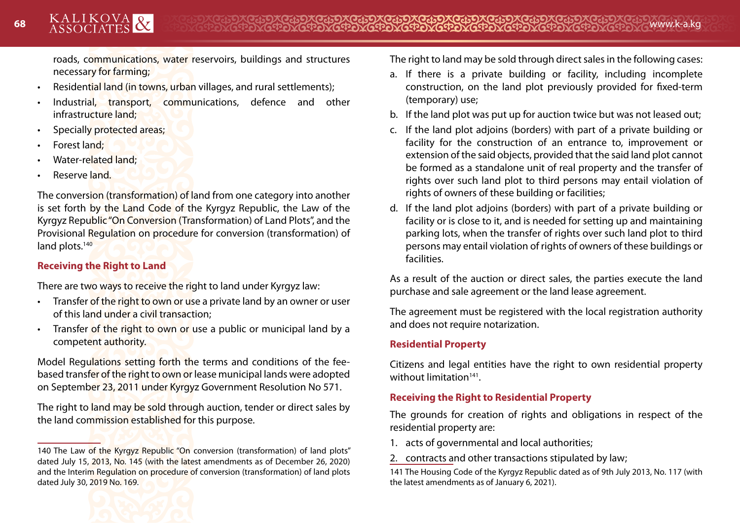roads, communications, water reservoirs, buildings and structures necessary for farming;

- Residential land (in towns, urban villages, and rural settlements);
- Industrial, transport, communications, defence and other infrastructure land;
- Specially protected areas;
- Forest land;
- Water-related land;
- Reserve land.

The conversion (transformation) of land from one category into another is set forth by the Land Code of the Kyrgyz Republic, the Law of the Kyrgyz Republic "On Conversion (Transformation) of Land Plots", and the Provisional Regulation on procedure for conversion (transformation) of land plots.<sup>140</sup>

# **Receiving the Right to Land**

There are two ways to receive the right to land under Kyrgyz law:

- **Fransfer of the right to own or use a private land by an owner or user** of this land under a civil transaction;
- Transfer of the right to own or use a public or municipal land by a competent authority.

Model Regulations setting forth the terms and conditions of the feebased transfer of the right to own or lease municipal lands were adopted on September 23, 2011 under Kyrgyz Government Resolution No 571.

The right to land may be sold through auction, tender or direct sales by the land commission established for this purpose.

The right to land may be sold through direct sales in the following cases:

- a. If there is a private building or facility, including incomplete construction, on the land plot previously provided for fixed-term (temporary) use;
- b. If the land plot was put up for auction twice but was not leased out;
- c. If the land plot adjoins (borders) with part of a private building or facility for the construction of an entrance to, improvement or extension of the said objects, provided that the said land plot cannot be formed as a standalone unit of real property and the transfer of rights over such land plot to third persons may entail violation of rights of owners of these building or facilities;
- d. If the land plot adjoins (borders) with part of a private building or facility or is close to it, and is needed for setting up and maintaining parking lots, when the transfer of rights over such land plot to third persons may entail violation of rights of owners of these buildings or facilities.

As a result of the auction or direct sales, the parties execute the land purchase and sale agreement or the land lease agreement.

The agreement must be registered with the local registration authority and does not require notarization.

# **Residential Property**

Citizens and legal entities have the right to own residential property without limitation141.

## **Receiving the Right to Residential Property**

The grounds for creation of rights and obligations in respect of the residential property are:

- 1. acts of governmental and local authorities;
- 2. contracts and other transactions stipulated by law;

141 The Housing Code of the Kyrgyz Republic dated as of 9th July 2013, No. 117 (with the latest amendments as of January 6, 2021).

<sup>140</sup> The Law of the Kyrgyz Republic "On conversion (transformation) of land plots" dated July 15, 2013, No. 145 (with the latest amendments as of December 26, 2020) and the Interim Regulation on procedure of conversion (transformation) of land plots dated July 30, 2019 No. 169.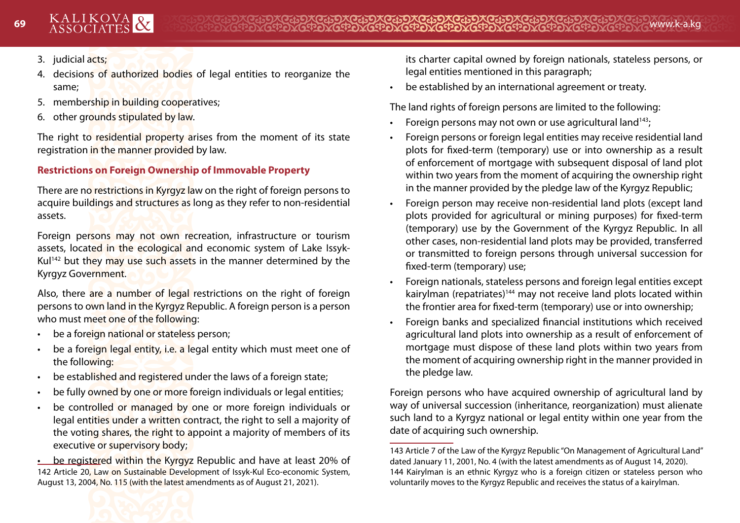- 3. judicial acts;
- 4. decisions of authorized bodies of legal entities to reorganize the same;
- 5. membership in building cooperatives;
- 6. other grounds stipulated by law.

The right to residential property arises from the moment of its state registration in the manner provided by law.

## **Restrictions on Foreign Ownership of Immovable Property**

There are no restrictions in Kyrgyz law on the right of foreign persons to acquire buildings and structures as long as they refer to non-residential assets.

Foreign persons may not own recreation, infrastructure or tourism assets, located in the ecological and economic system of Lake Issyk-Kul<sup>142</sup> but they may use such assets in the manner determined by the Kyrgyz Government.

Also, there are a number of legal restrictions on the right of foreign persons to own land in the Kyrgyz Republic. A foreign person is a person who must meet one of the following:

- be a foreign national or stateless person;
- be a foreign legal entity, i.e. a legal entity which must meet one of the following:
- be established and registered under the laws of a foreign state;
- be fully owned by one or more foreign individuals or legal entities;
- be controlled or managed by one or more foreign individuals or legal entities under a written contract, the right to sell a majority of the voting shares, the right to appoint a majority of members of its executive or supervisory body;

• be registered within the Kyrgyz Republic and have at least 20% of 142 Article 20, Law on Sustainable Development of Issyk-Kul Eco-economic System, August 13, 2004, No. 115 (with the latest amendments as of August 21, 2021).

its charter capital owned by foreign nationals, stateless persons, or legal entities mentioned in this paragraph;

• be established by an international agreement or treaty.

The land rights of foreign persons are limited to the following:

- Foreign persons may not own or use agricultural land<sup>143</sup>;
- Foreign persons or foreign legal entities may receive residential land plots for fixed-term (temporary) use or into ownership as a result of enforcement of mortgage with subsequent disposal of land plot within two years from the moment of acquiring the ownership right in the manner provided by the pledge law of the Kyrgyz Republic;
- Foreign person may receive non-residential land plots (except land plots provided for agricultural or mining purposes) for fixed-term (temporary) use by the Government of the Kyrgyz Republic. In all other cases, non-residential land plots may be provided, transferred or transmitted to foreign persons through universal succession for fixed-term (temporary) use;
- Foreign nationals, stateless persons and foreign legal entities except kairylman (repatriates)<sup>144</sup> may not receive land plots located within the frontier area for fixed-term (temporary) use or into ownership;
- Foreign banks and specialized financial institutions which received agricultural land plots into ownership as a result of enforcement of mortgage must dispose of these land plots within two years from the moment of acquiring ownership right in the manner provided in the pledge law.

Foreign persons who have acquired ownership of agricultural land by way of universal succession (inheritance, reorganization) must alienate such land to a Kyrgyz national or legal entity within one year from the date of acquiring such ownership.

<sup>143</sup> Article 7 of the Law of the Kyrgyz Republic "On Management of Agricultural Land" dated January 11, 2001, No. 4 (with the latest amendments as of August 14, 2020). 144 Kairylman is an ethnic Kyrgyz who is a foreign citizen or stateless person who voluntarily moves to the Kyrgyz Republic and receives the status of a kairylman.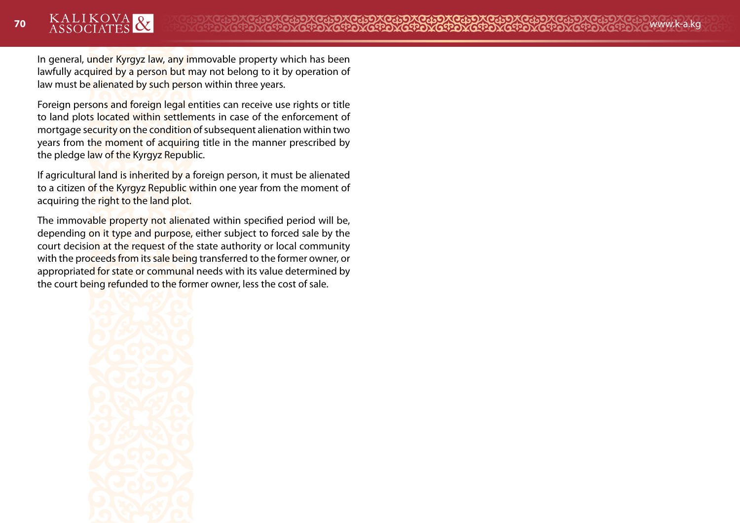In general, under Kyrgyz law, any immovable property which has been lawfully acquired by a person but may not belong to it by operation of law must be alienated by such person within three years.

Foreign persons and foreign legal entities can receive use rights or title to land plots located within settlements in case of the enforcement of mortgage security on the condition of subsequent alienation within two years from the moment of acquiring title in the manner prescribed by the pledge law of the Kyrgyz Republic.

If agricultural land is inherited by a foreign person, it must be alienated to a citizen of the Kyrgyz Republic within one year from the moment of acquiring the right to the land plot.

The immovable property not alienated within specified period will be, depending on it type and purpose, either subject to forced sale by the court decision at the request of the state authority or local community with the proceeds from its sale being transferred to the former owner, or appropriated for state or communal needs with its value determined by the court being refunded to the former owner, less the cost of sale.

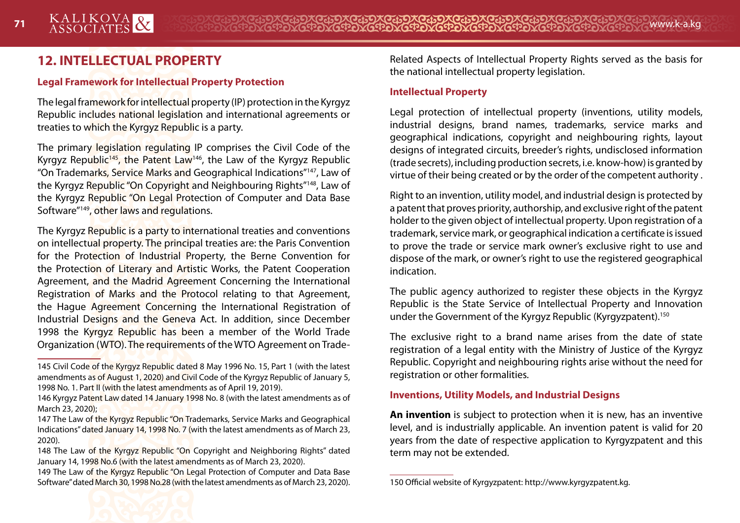# **12. INTELLECTUAL PROPERTY**

#### **Legal Framework for Intellectual Property Protection**

The legal framework for intellectual property (IP) protection in the Kyrgyz Republic includes national legislation and international agreements or treaties to which the Kyrgyz Republic is a party.

The primary legislation regulating IP comprises the Civil Code of the Kyrgyz Republic<sup>145</sup>, the Patent Law<sup>146</sup>, the Law of the Kyrgyz Republic "On Trademarks, Service Marks and Geographical Indications"147, Law of the Kyrgyz Republic "On Copyright and Neighbouring Rights"148, Law of the Kyrgyz Republic "On Legal Protection of Computer and Data Base Software"149, other laws and regulations.

The Kyrgyz Republic is a party to international treaties and conventions on intellectual property. The principal treaties are: the Paris Convention for the Protection of Industrial Property, the Berne Convention for the Protection of Literary and Artistic Works, the Patent Cooperation Agreement, and the Madrid Agreement Concerning the International Registration of Marks and the Protocol relating to that Agreement, the Hague Agreement Concerning the International Registration of Industrial Designs and the Geneva Act. In addition, since December 1998 the Kyrgyz Republic has been a member of the World Trade Organization (WTO). The requirements of the WTO Agreement on TradeRelated Aspects of Intellectual Property Rights served as the basis for the national intellectual property legislation.

#### **Intellectual Property**

Legal protection of intellectual property (inventions, utility models, industrial designs, brand names, trademarks, service marks and geographical indications, copyright and neighbouring rights, layout designs of integrated circuits, breeder's rights, undisclosed information (trade secrets), including production secrets, i.e. know-how) is granted by virtue of their being created or by the order of the competent authority .

Right to an invention, utility model, and industrial design is protected by a patent that proves priority, authorship, and exclusive right of the patent holder to the given object of intellectual property. Upon registration of a trademark, service mark, or geographical indication a certificate is issued to prove the trade or service mark owner's exclusive right to use and dispose of the mark, or owner's right to use the registered geographical indication.

The public agency authorized to register these objects in the Kyrgyz Republic is the State Service of Intellectual Property and Innovation under the Government of the Kyrgyz Republic (Kyrgyzpatent).150

The exclusive right to a brand name arises from the date of state registration of a legal entity with the Ministry of Justice of the Kyrgyz Republic. Copyright and neighbouring rights arise without the need for registration or other formalities.

#### **Inventions, Utility Models, and Industrial Designs**

**An invention** is subject to protection when it is new, has an inventive level, and is industrially applicable. An invention patent is valid for 20 years from the date of respective application to Kyrgyzpatent and this term may not be extended.



<sup>145</sup> Civil Code of the Kyrgyz Republic dated 8 May 1996 No. 15, Part 1 (with the latest amendments as of August 1, 2020) and Civil Code of the Kyrgyz Republic of January 5, 1998 No. 1. Part II (with the latest amendments as of April 19, 2019).

<sup>146</sup> Kyrgyz Patent Law dated 14 January 1998 No. 8 (with the latest amendments as of March 23, 2020);

<sup>147</sup> The Law of the Kyrgyz Republic "On Trademarks, Service Marks and Geographical Indications" dated January 14, 1998 No. 7 (with the latest amendments as of March 23, 2020).

<sup>148</sup> The Law of the Kyrgyz Republic "On Copyright and Neighboring Rights" dated January 14, 1998 No.6 (with the latest amendments as of March 23, 2020).

<sup>149</sup> The Law of the Kyrgyz Republic "On Legal Protection of Computer and Data Base Software" dated March 30, 1998 No.28 (with the latest amendments as of March 23, 2020).

<sup>150</sup> Official website of Kyrgyzpatent: http://www.kyrgyzpatent.kg.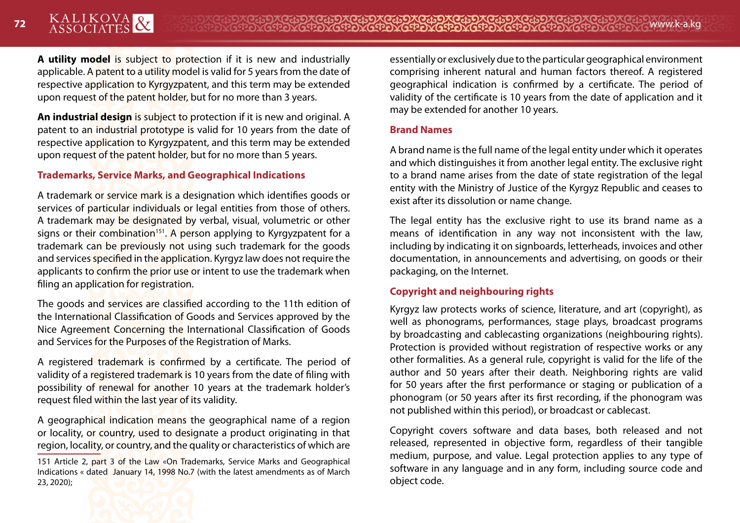**A utility model** is subject to protection if it is new and industrially applicable. A patent to a utility model is valid for 5 years from the date of respective application to Kyrgyzpatent, and this term may be extended upon request of the patent holder, but for no more than 3 years.

**An industrial design** is subject to protection if it is new and original. A patent to an industrial prototype is valid for 10 years from the date of respective application to Kyrgyzpatent, and this term may be extended upon request of the patent holder, but for no more than 5 years.

#### **Trademarks, Service Marks, and Geographical Indications**

A trademark or service mark is a designation which identifies goods or services of particular individuals or legal entities from those of others. A trademark may be designated by verbal, visual, volumetric or other signs or their combination<sup>151</sup>. A person applying to Kyrgyzpatent for a trademark can be previously not using such trademark for the goods and services specified in the application. Kyrgyz law does not require the applicants to confirm the prior use or intent to use the trademark when filing an application for registration.

The goods and services are classified according to the 11th edition of the International Classification of Goods and Services approved by the Nice Agreement Concerning the International Classification of Goods and Services for the Purposes of the Registration of Marks.

A registered trademark is confirmed by a certificate. The period of validity of a registered trademark is 10 years from the date of filing with possibility of renewal for another 10 years at the trademark holder's request filed within the last year of its validity.

A geographical indication means the geographical name of a region or locality, or country, used to designate a product originating in that region, locality, or country, and the quality or characteristics of which are

151 Article 2, part 3 of the Law «On Trademarks, Service Marks and Geographical Indications « dated January 14, 1998 No.7 (with the latest amendments as of March 23, 2020);



essentially or exclusively due to the particular geographical environment comprising inherent natural and human factors thereof. A registered geographical indication is confirmed by a certificate. The period of validity of the certificate is 10 years from the date of application and it may be extended for another 10 years.

#### **Brand Names**

A brand name is the full name of the legal entity under which it operates and which distinguishes it from another legal entity. The exclusive right to a brand name arises from the date of state registration of the legal entity with the Ministry of Justice of the Kyrgyz Republic and ceases to exist after its dissolution or name change.

The legal entity has the exclusive right to use its brand name as a means of identification in any way not inconsistent with the law, including by indicating it on signboards, letterheads, invoices and other documentation, in announcements and advertising, on goods or their packaging, on the Internet.

#### **Copyright and neighbouring rights**

Kyrgyz law protects works of science, literature, and art (copyright), as well as phonograms, performances, stage plays, broadcast programs by broadcasting and cablecasting organizations (neighbouring rights). Protection is provided without registration of respective works or any other formalities. As a general rule, copyright is valid for the life of the author and 50 years after their death. Neighboring rights are valid for 50 years after the first performance or staging or publication of a phonogram (or 50 years after its first recording, if the phonogram was not published within this period), or broadcast or cablecast.

Copyright covers software and data bases, both released and not released, represented in objective form, regardless of their tangible medium, purpose, and value. Legal protection applies to any type of software in any language and in any form, including source code and object code.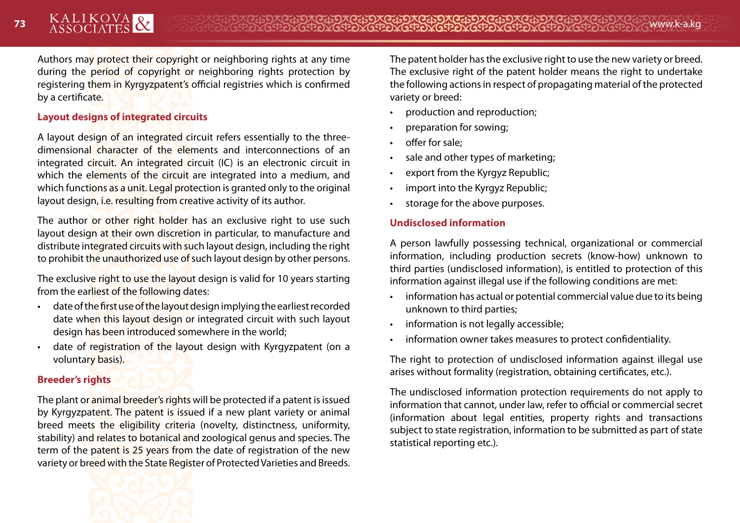Authors may protect their copyright or neighboring rights at any time during the period of copyright or neighboring rights protection by registering them in Kyrgyzpatent's official registries which is confirmed by a certificate.

#### **Layout designs of integrated circuits**

A layout design of an integrated circuit refers essentially to the threedimensional character of the elements and interconnections of an integrated circuit. An integrated circuit (IC) is an electronic circuit in which the elements of the circuit are integrated into a medium, and which functions as a unit. Legal protection is granted only to the original layout design, i.e. resulting from creative activity of its author.

The author or other right holder has an exclusive right to use such layout design at their own discretion in particular, to manufacture and distribute integrated circuits with such layout design, including the right to prohibit the unauthorized use of such layout design by other persons.

The exclusive right to use the layout design is valid for 10 years starting from the earliest of the following dates:

- date of the first use of the layout design implying the earliest recorded date when this layout design or integrated circuit with such layout design has been introduced somewhere in the world;
- date of registration of the layout design with Kyrgyzpatent (on a voluntary basis).

#### **Breeder's rights**

The plant or animal breeder's rights will be protected if a patent is issued by Kyrgyzpatent. The patent is issued if a new plant variety or animal breed meets the eligibility criteria (novelty, distinctness, uniformity, stability) and relates to botanical and zoological genus and species. The term of the patent is 25 years from the date of registration of the new variety or breed with the State Register of Protected Varieties and Breeds.



The patent holder has the exclusive right to use the new variety or breed. The exclusive right of the patent holder means the right to undertake the following actions in respect of propagating material of the protected variety or breed:

- production and reproduction;
- preparation for sowing;
- offer for sale;
- sale and other types of marketing;
- export from the Kyrgyz Republic;
- import into the Kyrgyz Republic;
- storage for the above purposes.

#### **Undisclosed information**

A person lawfully possessing technical, organizational or commercial information, including production secrets (know-how) unknown to third parties (undisclosed information), is entitled to protection of this information against illegal use if the following conditions are met:

- information has actual or potential commercial value due to its being unknown to third parties;
- information is not legally accessible;
- information owner takes measures to protect confidentiality.

The right to protection of undisclosed information against illegal use arises without formality (registration, obtaining certificates, etc.).

The undisclosed information protection requirements do not apply to information that cannot, under law, refer to official or commercial secret (information about legal entities, property rights and transactions subject to state registration, information to be submitted as part of state statistical reporting etc.).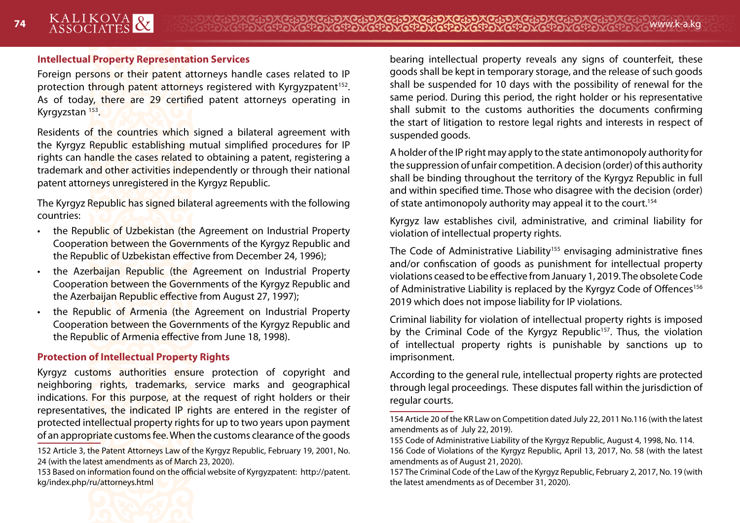#### **Intellectual Property Representation Services**

Foreign persons or their patent attorneys handle cases related to IP protection through patent attorneys registered with Kyrgyzpatent<sup>152</sup>. As of today, there are 29 certified patent attorneys operating in Kyrgyzstan<sup>153</sup>.

Residents of the countries which signed a bilateral agreement with the Kyrgyz Republic establishing mutual simplified procedures for IP rights can handle the cases related to obtaining a patent, registering a trademark and other activities independently or through their national patent attorneys unregistered in the Kyrgyz Republic.

The Kyrgyz Republic has signed bilateral agreements with the following countries:

- the Republic of Uzbekistan (the Agreement on Industrial Property Cooperation between the Governments of the Kyrgyz Republic and the Republic of Uzbekistan effective from December 24, 1996);
- the Azerbaijan Republic (the Agreement on Industrial Property Cooperation between the Governments of the Kyrgyz Republic and the Azerbaijan Republic effective from August 27, 1997);
- the Republic of Armenia (the Agreement on Industrial Property Cooperation between the Governments of the Kyrgyz Republic and the Republic of Armenia effective from June 18, 1998).

#### **Protection of Intellectual Property Rights**

Kyrgyz customs authorities ensure protection of copyright and neighboring rights, trademarks, service marks and geographical indications. For this purpose, at the request of right holders or their representatives, the indicated IP rights are entered in the register of protected intellectual property rights for up to two years upon payment of an appropriate customs fee. When the customs clearance of the goods

152 Article 3, the Patent Attorneys Law of the Kyrgyz Republic, February 19, 2001, No. 24 (with the latest amendments as of March 23, 2020).

153 Based on information found on the official website of Kyrgyzpatent: http://patent. kg/index.php/ru/attorneys.html



A holder of the IP right may apply to the state antimonopoly authority for the suppression of unfair competition. A decision (order) of this authority shall be binding throughout the territory of the Kyrgyz Republic in full and within specified time. Those who disagree with the decision (order) of state antimonopoly authority may appeal it to the court.<sup>154</sup>

Kyrgyz law establishes civil, administrative, and criminal liability for violation of intellectual property rights.

The Code of Administrative Liability<sup>155</sup> envisaging administrative fines and/or confiscation of goods as punishment for intellectual property violations ceased to be effective from January 1, 2019. The obsolete Code of Administrative Liability is replaced by the Kyrgyz Code of Offences<sup>156</sup> 2019 which does not impose liability for IP violations.

Criminal liability for violation of intellectual property rights is imposed by the Criminal Code of the Kyrgyz Republic<sup>157</sup>. Thus, the violation of intellectual property rights is punishable by sanctions up to imprisonment.

According to the general rule, intellectual property rights are protected through legal proceedings. These disputes fall within the jurisdiction of regular courts.



<sup>154</sup> Article 20 of the KR Law on Competition dated July 22, 2011 No.116 (with the latest amendments as of July 22, 2019).

<sup>155</sup> Code of Administrative Liability of the Kyrgyz Republic, August 4, 1998, No. 114. 156 Code of Violations of the Kyrgyz Republic, April 13, 2017, No. 58 (with the latest amendments as of August 21, 2020).

<sup>157</sup> The Criminal Code of the Law of the Kyrgyz Republic, February 2, 2017, No. 19 (with the latest amendments as of December 31, 2020).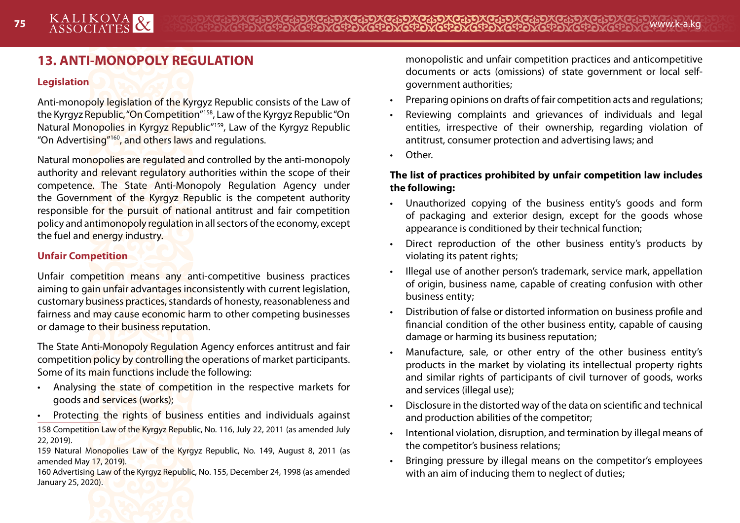# **13. ANTI-MONOPOLY REGULATION**

#### **Legislation**

Anti-monopoly legislation of the Kyrgyz Republic consists of the Law of the Kyrgyz Republic, "On Competition"158, Law of the Kyrgyz Republic "On Natural Monopolies in Kyrgyz Republic"159, Law of the Kyrgyz Republic "On Advertising"160, and others laws and regulations.

Natural monopolies are regulated and controlled by the anti-monopoly authority and relevant regulatory authorities within the scope of their competence. The State Anti-Monopoly Regulation Agency under the Government of the Kyrgyz Republic is the competent authority responsible for the pursuit of national antitrust and fair competition policy and antimonopoly regulation in all sectors of the economy, except the fuel and energy industry.

#### **Unfair Competition**

Unfair competition means any anti-competitive business practices aiming to gain unfair advantages inconsistently with current legislation, customary business practices, standards of honesty, reasonableness and fairness and may cause economic harm to other competing businesses or damage to their business reputation.

The State Anti-Monopoly Regulation Agency enforces antitrust and fair competition policy by controlling the operations of market participants. Some of its main functions include the following:

• Analysing the state of competition in the respective markets for goods and services (works);

• Protecting the rights of business entities and individuals against 158 Competition Law of the Kyrgyz Republic, No. 116, July 22, 2011 (as amended July 22, 2019).

159 Natural Monopolies Law of the Kyrgyz Republic, No. 149, August 8, 2011 (as amended May 17, 2019).

160 Advertising Law of the Kyrgyz Republic, No. 155, December 24, 1998 (as amended January 25, 2020).

monopolistic and unfair competition practices and anticompetitive documents or acts (omissions) of state government or local selfgovernment authorities;

- Preparing opinions on drafts of fair competition acts and regulations;
- Reviewing complaints and grievances of individuals and legal entities, irrespective of their ownership, regarding violation of antitrust, consumer protection and advertising laws; and
- Other.

#### **The list of practices prohibited by unfair competition law includes the following:**

- Unauthorized copying of the business entity's goods and form of packaging and exterior design, except for the goods whose appearance is conditioned by their technical function;
- Direct reproduction of the other business entity's products by violating its patent rights;
- Illegal use of another person's trademark, service mark, appellation of origin, business name, capable of creating confusion with other business entity;
- Distribution of false or distorted information on business profile and financial condition of the other business entity, capable of causing damage or harming its business reputation;
- Manufacture, sale, or other entry of the other business entity's products in the market by violating its intellectual property rights and similar rights of participants of civil turnover of goods, works and services (illegal use);
- Disclosure in the distorted way of the data on scientific and technical and production abilities of the competitor;
- Intentional violation, disruption, and termination by illegal means of the competitor's business relations;
- Bringing pressure by illegal means on the competitor's employees with an aim of inducing them to neglect of duties;

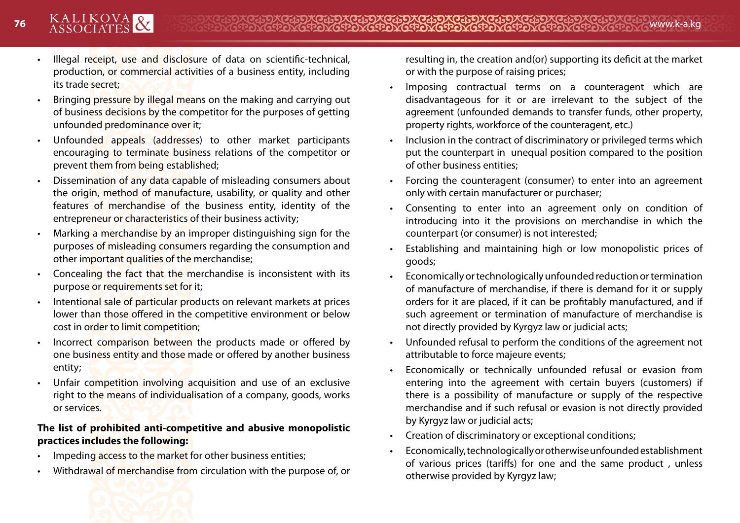- Illegal receipt, use and disclosure of data on scientific-technical, production, or commercial activities of a business entity, including its trade secret;
- Bringing pressure by illegal means on the making and carrying out of business decisions by the competitor for the purposes of getting unfounded predominance over it;
- Unfounded appeals (addresses) to other market participants encouraging to terminate business relations of the competitor or prevent them from being established;
- Dissemination of any data capable of misleading consumers about the origin, method of manufacture, usability, or quality and other features of merchandise of the business entity, identity of the entrepreneur or characteristics of their business activity;
- Marking a merchandise by an improper distinguishing sign for the purposes of misleading consumers regarding the consumption and other important qualities of the merchandise;
- Concealing the fact that the merchandise is inconsistent with its purpose or requirements set for it;
- Intentional sale of particular products on relevant markets at prices lower than those offered in the competitive environment or below cost in order to limit competition;
- Incorrect comparison between the products made or offered by one business entity and those made or offered by another business entity;
- Unfair competition involving acquisition and use of an exclusive right to the means of individualisation of a company, goods, works or services.

#### **The list of prohibited anti-competitive and abusive monopolistic practices includes the following:**

- Impeding access to the market for other business entities;
- Withdrawal of merchandise from circulation with the purpose of, or

resulting in, the creation and(or) supporting its deficit at the market or with the purpose of raising prices;

- Imposing contractual terms on a counteragent which are disadvantageous for it or are irrelevant to the subject of the agreement (unfounded demands to transfer funds, other property, property rights, workforce of the counteragent, etc.)
- Inclusion in the contract of discriminatory or privileged terms which put the counterpart in unequal position compared to the position of other business entities;
- Forcing the counteragent (consumer) to enter into an agreement only with certain manufacturer or purchaser;
- Consenting to enter into an agreement only on condition of introducing into it the provisions on merchandise in which the counterpart (or consumer) is not interested;
- Establishing and maintaining high or low monopolistic prices of goods;
- Economically or technologically unfounded reduction or termination of manufacture of merchandise, if there is demand for it or supply orders for it are placed, if it can be profitably manufactured, and if such agreement or termination of manufacture of merchandise is not directly provided by Kyrgyz law or judicial acts;
- Unfounded refusal to perform the conditions of the agreement not attributable to force majeure events;
- Economically or technically unfounded refusal or evasion from entering into the agreement with certain buyers (customers) if there is a possibility of manufacture or supply of the respective merchandise and if such refusal or evasion is not directly provided by Kyrgyz law or judicial acts;
- Creation of discriminatory or exceptional conditions;
- Economically, technologically or otherwise unfounded establishment of various prices (tariffs) for one and the same product , unless otherwise provided by Kyrgyz law;

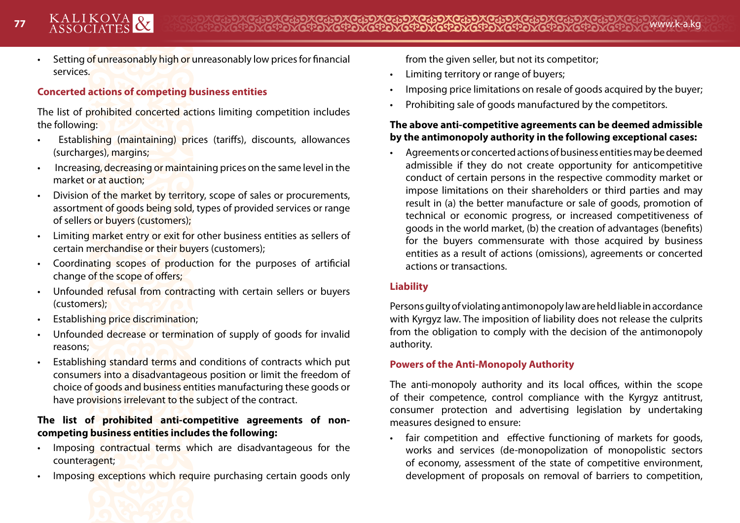• Setting of unreasonably high or unreasonably low prices for financial services.

#### **Concerted actions of competing business entities**

The list of prohibited concerted actions limiting competition includes the following:

- Establishing (maintaining) prices (tariffs), discounts, allowances (surcharges), margins;
- Increasing, decreasing or maintaining prices on the same level in the market or at auction;
- Division of the market by territory, scope of sales or procurements, assortment of goods being sold, types of provided services or range of sellers or buyers (customers);
- Limiting market entry or exit for other business entities as sellers of certain merchandise or their buyers (customers);
- Coordinating scopes of production for the purposes of artificial change of the scope of offers;
- Unfounded refusal from contracting with certain sellers or buyers (customers);
- Establishing price discrimination;
- Unfounded decrease or termination of supply of goods for invalid reasons;
- Establishing standard terms and conditions of contracts which put consumers into a disadvantageous position or limit the freedom of choice of goods and business entities manufacturing these goods or have provisions irrelevant to the subject of the contract.

#### **The list of prohibited anti-competitive agreements of noncompeting business entities includes the following:**

- Imposing contractual terms which are disadvantageous for the counteragent;
- Imposing exceptions which require purchasing certain goods only

from the given seller, but not its competitor;

- Limiting territory or range of buyers;
- Imposing price limitations on resale of goods acquired by the buyer;
- Prohibiting sale of goods manufactured by the competitors.

#### **The above anti-competitive agreements can be deemed admissible by the antimonopoly authority in the following exceptional cases:**

• Agreements or concerted actions of business entities may be deemed admissible if they do not create opportunity for anticompetitive conduct of certain persons in the respective commodity market or impose limitations on their shareholders or third parties and may result in (а) the better manufacture or sale of goods, promotion of technical or economic progress, or increased competitiveness of goods in the world market, (b) the creation of advantages (benefits) for the buyers commensurate with those acquired by business entities as a result of actions (omissions), agreements or concerted actions or transactions.

#### **Liability**

Persons guilty of violating antimonopoly law are held liable in accordance with Kyrgyz law. The imposition of liability does not release the culprits from the obligation to comply with the decision of the antimonopoly authority.

#### **Powers of the Anti-Monopoly Authority**

The anti-monopoly authority and its local offices, within the scope of their competence, control compliance with the Kyrgyz antitrust, consumer protection and advertising legislation by undertaking measures designed to ensure:

• fair competition and effective functioning of markets for goods, works and services (de-monopolization of monopolistic sectors of economy, assessment of the state of competitive environment, development of proposals on removal of barriers to competition,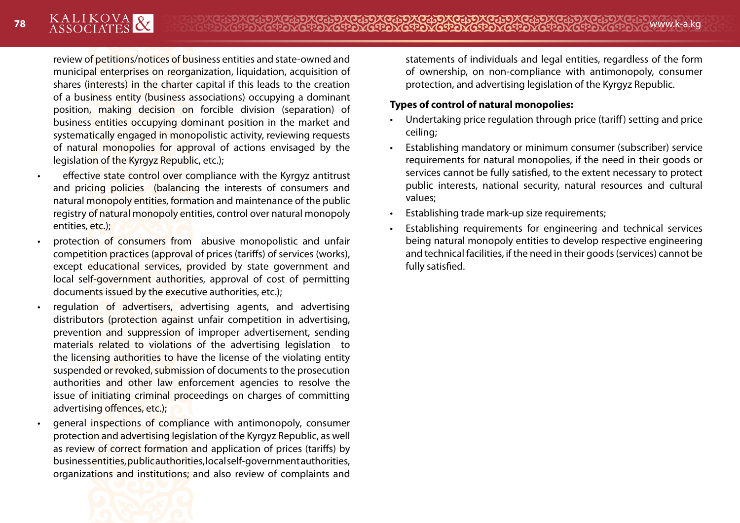review of petitions/notices of business entities and state-owned and municipal enterprises on reorganization, liquidation, acquisition of shares (interests) in the charter capital if this leads to the creation of a business entity (business associations) occupying a dominant position, making decision on forcible division (separation) of business entities occupying dominant position in the market and systematically engaged in monopolistic activity, reviewing requests of natural monopolies for approval of actions envisaged by the legislation of the Kyrgyz Republic, etc.);

- effective state control over compliance with the Kyrgyz antitrust and pricing policies (balancing the interests of consumers and natural monopoly entities, formation and maintenance of the public registry of natural monopoly entities, control over natural monopoly entities, etc.);
- protection of consumers from abusive monopolistic and unfair competition practices (approval of prices (tariffs) of services (works), except educational services, provided by state government and local self-government authorities, approval of cost of permitting documents issued by the executive authorities, etc.);
- regulation of advertisers, advertising agents, and advertising distributors (protection against unfair competition in advertising, prevention and suppression of improper advertisement, sending materials related to violations of the advertising legislation to the licensing authorities to have the license of the violating entity suspended or revoked, submission of documents to the prosecution authorities and other law enforcement agencies to resolve the issue of initiating criminal proceedings on charges of committing advertising offences, etc.);
- general inspections of compliance with antimonopoly, consumer protection and advertising legislation of the Kyrgyz Republic, as well as review of correct formation and application of prices (tariffs) by business entities, public authorities, local self-government authorities, organizations and institutions; and also review of complaints and



#### **Types of control of natural monopolies:**

- Undertaking price regulation through price (tariff) setting and price ceiling;
- Establishing mandatory or minimum consumer (subscriber) service requirements for natural monopolies, if the need in their goods or services cannot be fully satisfied, to the extent necessary to protect public interests, national security, natural resources and cultural values;
- Establishing trade mark-up size requirements;
- Establishing requirements for engineering and technical services being natural monopoly entities to develop respective engineering and technical facilities, if the need in their goods (services) cannot be fully satisfied.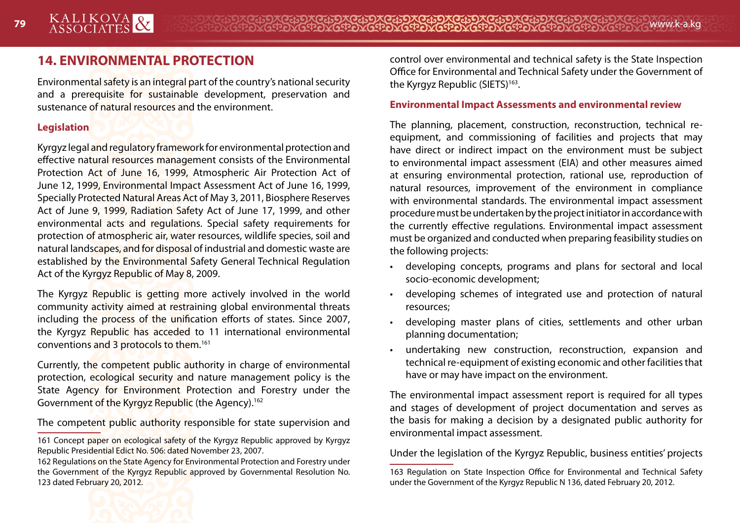# **14. ENVIRONMENTAL PROTECTION**

Environmental safety is an integral part of the country's national security and a prerequisite for sustainable development, preservation and sustenance of natural resources and the environment.

#### **Legislation**

Kyrgyz legal and regulatory framework for environmental protection and effective natural resources management consists of the Environmental Protection Act of June 16, 1999, Atmospheric Air Protection Act of June 12, 1999, Environmental Impact Assessment Act of June 16, 1999, Specially Protected Natural Areas Act of May 3, 2011, Biosphere Reserves Act of June 9, 1999, Radiation Safety Act of June 17, 1999, and other environmental acts and regulations. Special safety requirements for protection of atmospheric air, water resources, wildlife species, soil and natural landscapes, and for disposal of industrial and domestic waste are established by the Environmental Safety General Technical Regulation Act of the Kyrgyz Republic of May 8, 2009.

The Kyrgyz Republic is getting more actively involved in the world community activity aimed at restraining global environmental threats including the process of the unification efforts of states. Since 2007, the Kyrgyz Republic has acceded to 11 international environmental conventions and 3 protocols to them.161

Currently, the competent public authority in charge of environmental protection, ecological security and nature management policy is the State Agency for Environment Protection and Forestry under the Government of the Kyrgyz Republic (the Agency).162

The competent public authority responsible for state supervision and

162 Regulations on the State Agency for Environmental Protection and Forestry under the Government of the Kyrgyz Republic approved by Governmental Resolution No. 123 dated February 20, 2012.

control over environmental and technical safety is the State Inspection Office for Environmental and Technical Safety under the Government of the Kyrgyz Republic (SIETS)<sup>163</sup>.

#### **Environmental Impact Assessments and environmental review**

The planning, placement, construction, reconstruction, technical reequipment, and commissioning of facilities and projects that may have direct or indirect impact on the environment must be subject to environmental impact assessment (EIA) and other measures aimed at ensuring environmental protection, rational use, reproduction of natural resources, improvement of the environment in compliance with environmental standards. The environmental impact assessment procedure must be undertaken by the project initiator in accordance with the currently effective regulations. Environmental impact assessment must be organized and conducted when preparing feasibility studies on the following projects:

- developing concepts, programs and plans for sectoral and local socio-economic development;
- developing schemes of integrated use and protection of natural resources;
- developing master plans of cities, settlements and other urban planning documentation;
- undertaking new construction, reconstruction, expansion and technical re-equipment of existing economic and other facilities that have or may have impact on the environment.

The environmental impact assessment report is required for all types and stages of development of project documentation and serves as the basis for making a decision by a designated public authority for environmental impact assessment.

Under the legislation of the Kyrgyz Republic, business entities' projects



<sup>161</sup> Concept paper on ecological safety of the Kyrgyz Republic approved by Kyrgyz Republic Presidential Edict No. 506: dated November 23, 2007.

<sup>163</sup> Regulation on State Inspection Office for Environmental and Technical Safety under the Government of the Kyrgyz Republic N 136, dated February 20, 2012.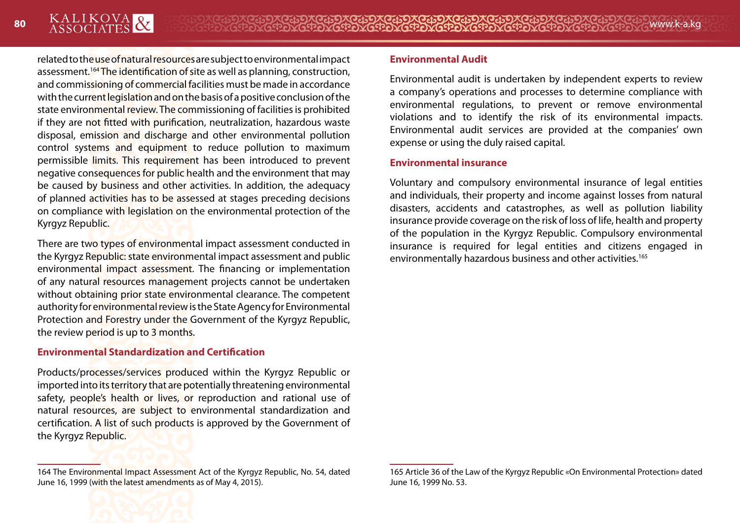related to the use of natural resources are subject to environmental impact assessment.164 The identification of site as well as planning, construction, and commissioning of commercial facilities must be made in accordance with the current legislation and on the basis of a positive conclusion of the state environmental review. The commissioning of facilities is prohibited if they are not fitted with purification, neutralization, hazardous waste disposal, emission and discharge and other environmental pollution control systems and equipment to reduce pollution to maximum permissible limits. This requirement has been introduced to prevent negative consequences for public health and the environment that may be caused by business and other activities. In addition, the adequacy of planned activities has to be assessed at stages preceding decisions on compliance with legislation on the environmental protection of the Kyrgyz Republic.

There are two types of environmental impact assessment conducted in the Kyrgyz Republic: state environmental impact assessment and public environmental impact assessment. The financing or implementation of any natural resources management projects cannot be undertaken without obtaining prior state environmental clearance. The competent authority for environmental review is the State Agency for Environmental Protection and Forestry under the Government of the Kyrgyz Republic, the review period is up to 3 months.

#### **Environmental Standardization and Certification**

Products/processes/services produced within the Kyrgyz Republic or imported into its territory that are potentially threatening environmental safety, people's health or lives, or reproduction and rational use of natural resources, are subject to environmental standardization and certification. A list of such products is approved by the Government of the Kyrgyz Republic.

#### **Environmental Audit**

Environmental audit is undertaken by independent experts to review a company's operations and processes to determine compliance with environmental regulations, to prevent or remove environmental violations and to identify the risk of its environmental impacts. Environmental audit services are provided at the companies' own expense or using the duly raised capital.

#### **Environmental insurance**

Voluntary and compulsory environmental insurance of legal entities and individuals, their property and income against losses from natural disasters, accidents and catastrophes, as well as pollution liability insurance provide coverage on the risk of loss of life, health and property of the population in the Kyrgyz Republic. Compulsory environmental insurance is required for legal entities and citizens engaged in environmentally hazardous business and other activities.165

<sup>164</sup> The Environmental Impact Assessment Act of the Kyrgyz Republic, No. 54, dated June 16, 1999 (with the latest amendments as of May 4, 2015).

<sup>165</sup> Article 36 of the Law of the Kyrgyz Republic «On Environmental Protection» dated June 16, 1999 No. 53.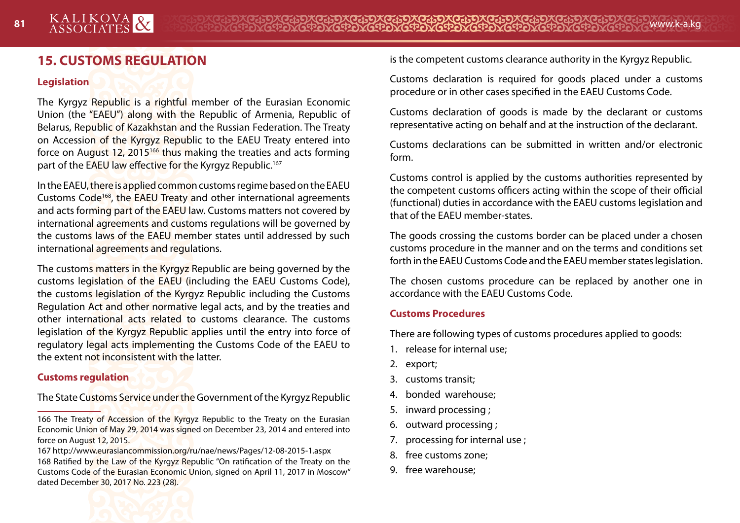# **15. CUSTOMS REGULATION**

#### **Legislation**

The Kyrgyz Republic is a rightful member of the Eurasian Economic Union (the "EAEU") along with the Republic of Armenia, Republic of Belarus, Republic of Kazakhstan and the Russian Federation. The Treaty on Accession of the Kyrgyz Republic to the EAEU Treaty entered into force on August 12, 2015166 thus making the treaties and acts forming part of the EAEU law effective for the Kyrgyz Republic.<sup>167</sup>

In the EAEU, there is applied common customs regime based on the EAEU Customs Code<sup>168</sup>, the EAEU Treaty and other international agreements and acts forming part of the EAEU law. Customs matters not covered by international agreements and customs regulations will be governed by the customs laws of the EAEU member states until addressed by such international agreements and regulations.

The customs matters in the Kyrgyz Republic are being governed by the customs legislation of the EAEU (including the EAEU Customs Code), the customs legislation of the Kyrgyz Republic including the Customs Regulation Act and other normative legal acts, and by the treaties and other international acts related to customs clearance. The customs legislation of the Kyrgyz Republic applies until the entry into force of regulatory legal acts implementing the Customs Code of the EAEU to the extent not inconsistent with the latter.

#### **Customs regulation**

The State Customs Service under the Government of the Kyrgyz Republic

166 The Treaty of Accession of the Kyrgyz Republic to the Treaty on the Eurasian Economic Union of May 29, 2014 was signed on December 23, 2014 and entered into force on August 12, 2015.

167 http://www.eurasiancommission.org/ru/nae/news/Pages/12-08-2015-1.aspx 168 Ratified by the Law of the Kyrgyz Republic "On ratification of the Treaty on the Customs Code of the Eurasian Economic Union, signed on April 11, 2017 in Moscow" dated December 30, 2017 No. 223 (28).

is the competent customs clearance authority in the Kyrgyz Republic.

Customs declaration is required for goods placed under a customs procedure or in other cases specified in the EAEU Customs Code.

Customs declaration of goods is made by the declarant or customs representative acting on behalf and at the instruction of the declarant.

Customs declarations can be submitted in written and/or electronic form.

Customs control is applied by the customs authorities represented by the competent customs officers acting within the scope of their official (functional) duties in accordance with the EAEU customs legislation and that of the EAEU member-states.

The goods crossing the customs border can be placed under a chosen customs procedure in the manner and on the terms and conditions set forth in the EAEU Customs Code and the EAEU member states legislation.

The chosen customs procedure can be replaced by another one in accordance with the EAEU Customs Code.

#### **Customs Procedures**

There are following types of customs procedures applied to goods:

- 1. release for internal use;
- 2. export;
- 3. customs transit;
- 4. bonded warehouse;
- 5. inward processing ;
- 6. outward processing ;
- 7. processing for internal use ;
- 8. free customs zone;
- 9. free warehouse;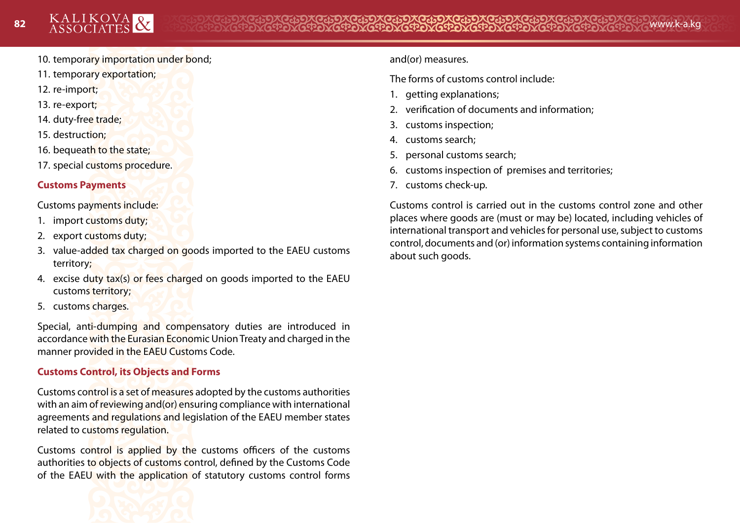- 10. temporary importation under bond;
- 11. temporary exportation;
- 12. re-import;
- 13. re-export;
- 14. duty-free trade;
- 15. destruction;
- 16. bequeath to the state;
- 17. special customs procedure.

#### **Customs Payments**

Customs payments include:

- 1. import customs duty;
- 2. export customs duty;
- 3. value-added tax charged on goods imported to the EAEU customs territory;
- 4. excise duty tax(s) or fees charged on goods imported to the EAEU customs territory;
- 5. customs charges.

Special, anti-dumping and compensatory duties are introduced in accordance with the Eurasian Economic Union Treaty and charged in the manner provided in the EAEU Customs Code.

#### **Customs Control, its Objects and Forms**

Customs control is a set of measures adopted by the customs authorities with an aim of reviewing and(or) ensuring compliance with international agreements and regulations and legislation of the EAEU member states related to customs regulation.

Customs control is applied by the customs officers of the customs authorities to objects of customs control, defined by the Customs Code of the EAEU with the application of statutory customs control forms



and(or) measures.

The forms of customs control include:

- 1. getting explanations;
- 2. verification of documents and information;
- 3. customs inspection;
- 4. customs search;
- 5. personal customs search;
- 6. customs inspection of premises and territories;
- 7. customs check-up.

Customs control is carried out in the customs control zone and other places where goods are (must or may be) located, including vehicles of international transport and vehicles for personal use, subject to customs control, documents and (or) information systems containing information about such goods.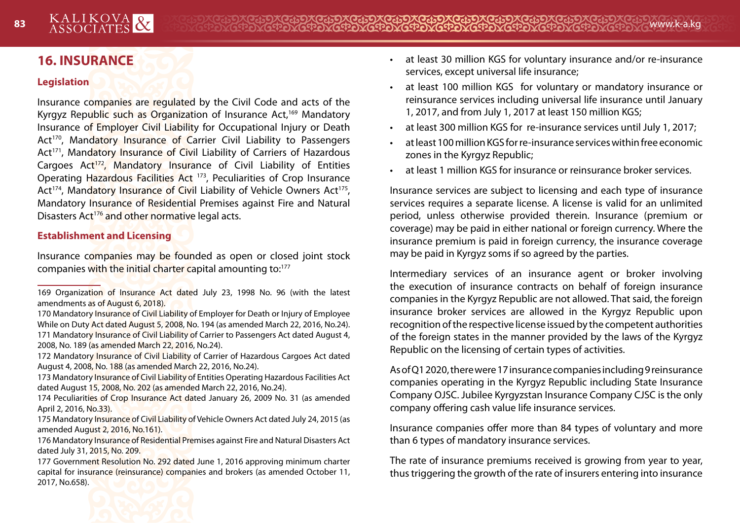# **16. INSURANCE**

#### **Legislation**

Insurance companies are regulated by the Civil Code and acts of the Kyrgyz Republic such as Organization of Insurance Act,<sup>169</sup> Mandatory Insurance of Employer Civil Liability for Occupational Injury or Death Act<sup>170</sup>, Mandatory Insurance of Carrier Civil Liability to Passengers Act<sup>171</sup>, Mandatory Insurance of Civil Liability of Carriers of Hazardous Cargoes Act<sup>172</sup>, Mandatory Insurance of Civil Liability of Entities Operating Hazardous Facilities Act 173, Peculiarities of Crop Insurance Act<sup>174</sup>, Mandatory Insurance of Civil Liability of Vehicle Owners Act<sup>175</sup>, Mandatory Insurance of Residential Premises against Fire and Natural Disasters Act<sup>176</sup> and other normative legal acts.

#### **Establishment and Licensing**

Insurance companies may be founded as open or closed joint stock companies with the initial charter capital amounting to:177

- 170 Mandatory Insurance of Civil Liability of Employer for Death or Injury of Employee While on Duty Act dated August 5, 2008, No. 194 (as amended March 22, 2016, No.24). 171 Mandatory Insurance of Civil Liability of Carrier to Passengers Act dated August 4, 2008, No. 189 (as amended March 22, 2016, No.24).
- 172 Mandatory Insurance of Civil Liability of Carrier of Hazardous Cargoes Act dated August 4, 2008, No. 188 (as amended March 22, 2016, No.24).
- 173 Mandatory Insurance of Civil Liability of Entities Operating Hazardous Facilities Act dated August 15, 2008, No. 202 (as amended March 22, 2016, No.24).
- 174 Peculiarities of Crop Insurance Act dated January 26, 2009 No. 31 (as amended April 2, 2016, No.33).
- 175 Mandatory Insurance of Civil Liability of Vehicle Owners Act dated July 24, 2015 (as amended August 2, 2016, No.161).
- 176 Mandatory Insurance of Residential Premises against Fire and Natural Disasters Act dated July 31, 2015, No. 209.
- 177 Government Resolution No. 292 dated June 1, 2016 approving minimum charter capital for insurance (reinsurance) companies and brokers (as amended October 11, 2017, No.658).
- at least 30 million KGS for voluntary insurance and/or re-insurance services, except universal life insurance;
- at least 100 million KGS for voluntary or mandatory insurance or reinsurance services including universal life insurance until January 1, 2017, and from July 1, 2017 at least 150 million KGS;
- at least 300 million KGS for re-insurance services until July 1, 2017;
- at least 100 million KGS for re-insurance services within free economic zones in the Kyrgyz Republic;
- at least 1 million KGS for insurance or reinsurance broker services.

Insurance services are subject to licensing and each type of insurance services requires a separate license. A license is valid for an unlimited period, unless otherwise provided therein. Insurance (premium or coverage) may be paid in either national or foreign currency. Where the insurance premium is paid in foreign currency, the insurance coverage may be paid in Kyrgyz soms if so agreed by the parties.

Intermediary services of an insurance agent or broker involving the execution of insurance contracts on behalf of foreign insurance companies in the Kyrgyz Republic are not allowed. That said, the foreign insurance broker services are allowed in the Kyrgyz Republic upon recognition of the respective license issued by the competent authorities of the foreign states in the manner provided by the laws of the Kyrgyz Republic on the licensing of certain types of activities.

As of Q1 2020, there were 17 insurance companies including 9 reinsurance companies operating in the Kyrgyz Republic including State Insurance Company OJSC. Jubilee Kyrgyzstan Insurance Company CJSC is the only company offering cash value life insurance services.

Insurance companies offer more than 84 types of voluntary and more than 6 types of mandatory insurance services.

The rate of insurance premiums received is growing from year to year, thus triggering the growth of the rate of insurers entering into insurance



<sup>169</sup> Organization of Insurance Act dated July 23, 1998 No. 96 (with the latest amendments as of August 6, 2018).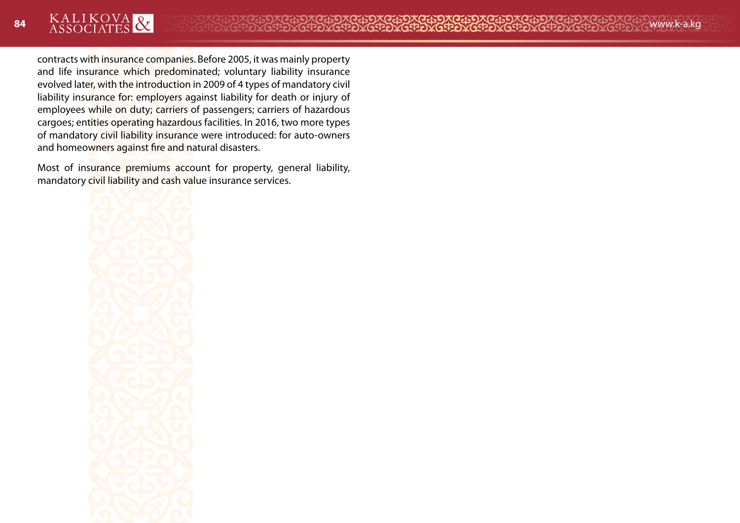contracts with insurance companies. Before 2005, it was mainly property and life insurance which predominated; voluntary liability insurance evolved later, with the introduction in 2009 of 4 types of mandatory civil liability insurance for: employers against liability for death or injury of employees while on duty; carriers of passengers; carriers of hazardous cargoes; entities operating hazardous facilities. In 2016, two more types of mandatory civil liability insurance were introduced: for auto-owners and homeowners against fire and natural disasters.

Most of insurance premiums account for property, general liability, mandatory civil liability and cash value insurance services.

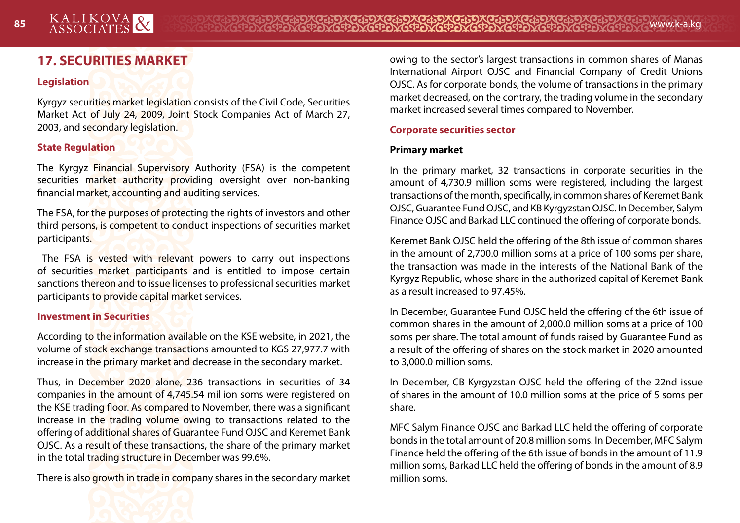# **17. SECURITIES MARKET**

#### **Legislation**

Kyrgyz securities market legislation consists of the Civil Code, Securities Market Act of July 24, 2009, Joint Stock Companies Act of March 27, 2003, and secondary legislation.

#### **State Regulation**

The Kyrgyz Financial Supervisory Authority (FSA) is the competent securities market authority providing oversight over non-banking financial market, accounting and auditing services.

The FSA, for the purposes of protecting the rights of investors and other third persons, is competent to conduct inspections of securities market participants.

The FSA is vested with relevant powers to carry out inspections of securities market participants and is entitled to impose certain sanctions thereon and to issue licenses to professional securities market participants to provide capital market services.

#### **Investment in Securities**

According to the information available on the KSE website, in 2021, the volume of stock exchange transactions amounted to KGS 27,977.7 with increase in the primary market and decrease in the secondary market.

Thus, in December 2020 alone, 236 transactions in securities of 34 companies in the amount of 4,745.54 million soms were registered on the KSE trading floor. As compared to November, there was a significant increase in the trading volume owing to transactions related to the offering of additional shares of Guarantee Fund OJSC and Keremet Bank OJSC. As a result of these transactions, the share of the primary market in the total trading structure in December was 99.6%.

There is also growth in trade in company shares in the secondary market

owing to the sector's largest transactions in common shares of Manas International Airport OJSC and Financial Company of Credit Unions OJSC. As for corporate bonds, the volume of transactions in the primary market decreased, on the contrary, the trading volume in the secondary market increased several times compared to November.

#### **Corporate securities sector**

#### **Primary market**

In the primary market, 32 transactions in corporate securities in the amount of 4,730.9 million soms were registered, including the largest transactions of the month, specifically, in common shares of Keremet Bank OJSC, Guarantee Fund OJSC, and KB Kyrgyzstan OJSC. In December, Salym Finance OJSC and Barkad LLC continued the offering of corporate bonds.

Keremet Bank OJSC held the offering of the 8th issue of common shares in the amount of 2,700.0 million soms at a price of 100 soms per share, the transaction was made in the interests of the National Bank of the Kyrgyz Republic, whose share in the authorized capital of Keremet Bank as a result increased to 97.45%.

In December, Guarantee Fund OJSC held the offering of the 6th issue of common shares in the amount of 2,000.0 million soms at a price of 100 soms per share. The total amount of funds raised by Guarantee Fund as a result of the offering of shares on the stock market in 2020 amounted to 3,000.0 million soms.

In December, CB Kyrgyzstan OJSC held the offering of the 22nd issue of shares in the amount of 10.0 million soms at the price of 5 soms per share.

MFC Salym Finance OJSC and Barkad LLC held the offering of corporate bonds in the total amount of 20.8 million soms. In December, MFC Salym Finance held the offering of the 6th issue of bonds in the amount of 11.9 million soms, Barkad LLC held the offering of bonds in the amount of 8.9 million soms.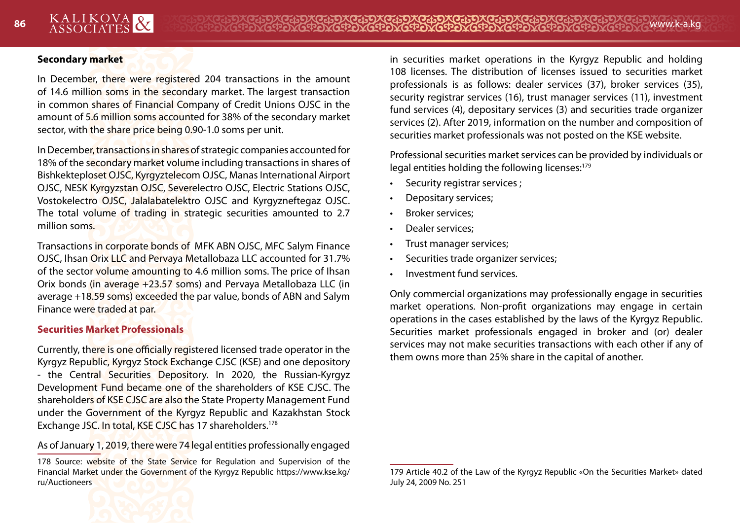#### **Secondary market**

In December, there were registered 204 transactions in the amount of 14.6 million soms in the secondary market. The largest transaction in common shares of Financial Company of Credit Unions OJSC in the amount of 5.6 million soms accounted for 38% of the secondary market sector, with the share price being 0.90-1.0 soms per unit.

In December, transactions in shares of strategic companies accounted for 18% of the secondary market volume including transactions in shares of Bishkekteploset OJSC, Kyrgyztelecom OJSC, Manas International Airport OJSC, NESK Kyrgyzstan OJSC, Severelectro OJSC, Electric Stations OJSC, Vostokelectro OJSC, Jalalabatelektro OJSC and Kyrgyzneftegaz OJSC. The total volume of trading in strategic securities amounted to 2.7 million soms.

Transactions in corporate bonds of MFK ABN OJSC, MFC Salym Finance OJSC, Ihsan Orix LLC and Pervaya Metallobaza LLC accounted for 31.7% of the sector volume amounting to 4.6 million soms. The price of Ihsan Orix bonds (in average +23.57 soms) and Pervaya Metallobaza LLC (in average +18.59 soms) exceeded the par value, bonds of ABN and Salym Finance were traded at par.

#### **Securities Market Professionals**

Currently, there is one officially registered licensed trade operator in the Kyrgyz Republic, Kyrgyz Stock Exchange CJSC (KSE) and one depository - the Central Securities Depository. In 2020, the Russian-Kyrgyz Development Fund became one of the shareholders of KSE CJSC. The shareholders of KSE CJSC are also the State Property Management Fund under the Government of the Kyrgyz Republic and Kazakhstan Stock Exchange JSC. In total, KSE CJSC has 17 shareholders.<sup>178</sup>

As of January 1, 2019, there were 74 legal entities professionally engaged

<sup>178</sup> Source: website of the State Service for Regulation and Supervision of the Financial Market under the Government of the Kyrgyz Republic https://www.kse.kg/ ru/Auctioneers



in securities market operations in the Kyrgyz Republic and holding 108 licenses. The distribution of licenses issued to securities market professionals is as follows: dealer services (37), broker services (35), security registrar services (16), trust manager services (11), investment fund services (4), depositary services (3) and securities trade organizer services (2). After 2019, information on the number and composition of securities market professionals was not posted on the KSE website.

Professional securities market services can be provided by individuals or legal entities holding the following licenses:<sup>179</sup>

- Security registrar services;
- Depositary services;
- Broker services;
- Dealer services;
- Trust manager services;
- Securities trade organizer services;
- Investment fund services.

Only commercial organizations may professionally engage in securities market operations. Non-profit organizations may engage in certain operations in the cases established by the laws of the Kyrgyz Republic. Securities market professionals engaged in broker and (or) dealer services may not make securities transactions with each other if any of them owns more than 25% share in the capital of another.

<sup>179</sup> Article 40.2 of the Law of the Kyrgyz Republic «On the Securities Market» dated July 24, 2009 No. 251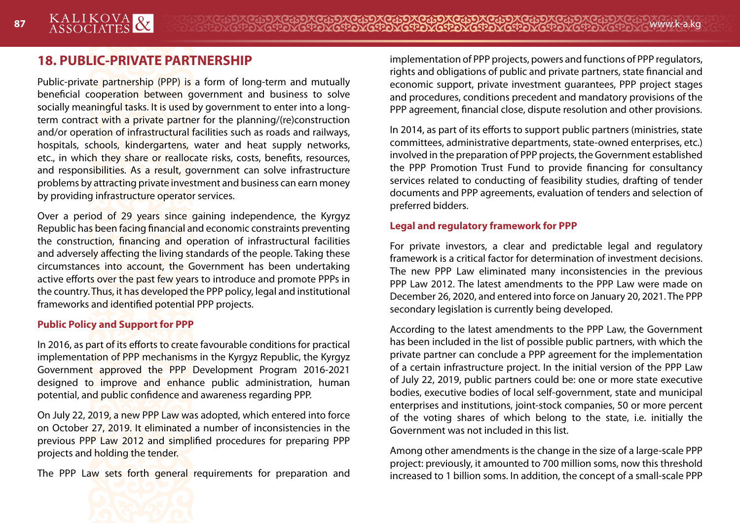# **18. PUBLIC-PRIVATE PARTNERSHIP**

Public-private partnership (PPP) is a form of long-term and mutually beneficial cooperation between government and business to solve socially meaningful tasks. It is used by government to enter into a longterm contract with a private partner for the planning/(re)construction and/or operation of infrastructural facilities such as roads and railways, hospitals, schools, kindergartens, water and heat supply networks, etc., in which they share or reallocate risks, costs, benefits, resources, and responsibilities. As a result, government can solve infrastructure problems by attracting private investment and business can earn money by providing infrastructure operator services.

Over a period of 29 years since gaining independence, the Kyrgyz Republic has been facing financial and economic constraints preventing the construction, financing and operation of infrastructural facilities and adversely affecting the living standards of the people. Taking these circumstances into account, the Government has been undertaking active efforts over the past few years to introduce and promote PPPs in the country. Thus, it has developed the PPP policy, legal and institutional frameworks and identified potential PPP projects.

#### **Public Policy and Support for PPP**

In 2016, as part of its efforts to create favourable conditions for practical implementation of PPP mechanisms in the Kyrgyz Republic, the Kyrgyz Government approved the PPP Development Program 2016-2021 designed to improve and enhance public administration, human potential, and public confidence and awareness regarding PPP.

On July 22, 2019, a new PPP Law was adopted, which entered into force on October 27, 2019. It eliminated a number of inconsistencies in the previous PPP Law 2012 and simplified procedures for preparing PPP projects and holding the tender.

The PPP Law sets forth general requirements for preparation and

implementation of PPP projects, powers and functions of PPP regulators, rights and obligations of public and private partners, state financial and economic support, private investment guarantees, PPP project stages and procedures, conditions precedent and mandatory provisions of the PPP agreement, financial close, dispute resolution and other provisions.

In 2014, as part of its efforts to support public partners (ministries, state committees, administrative departments, state-owned enterprises, etc.) involved in the preparation of PPP projects, the Government established the PPP Promotion Trust Fund to provide financing for consultancy services related to conducting of feasibility studies, drafting of tender documents and PPP agreements, evaluation of tenders and selection of preferred bidders.

#### **Legal and regulatory framework for PPP**

For private investors, a clear and predictable legal and regulatory framework is a critical factor for determination of investment decisions. The new PPP Law eliminated many inconsistencies in the previous PPP Law 2012. The latest amendments to the PPP Law were made on December 26, 2020, and entered into force on January 20, 2021. The PPP secondary legislation is currently being developed.

According to the latest amendments to the PPP Law, the Government has been included in the list of possible public partners, with which the private partner can conclude a PPP agreement for the implementation of a certain infrastructure project. In the initial version of the PPP Law of July 22, 2019, public partners could be: one or more state executive bodies, executive bodies of local self-government, state and municipal enterprises and institutions, joint-stock companies, 50 or more percent of the voting shares of which belong to the state, i.e. initially the Government was not included in this list.

Among other amendments is the change in the size of a large-scale PPP project: previously, it amounted to 700 million soms, now this threshold increased to 1 billion soms. In addition, the concept of a small-scale PPP

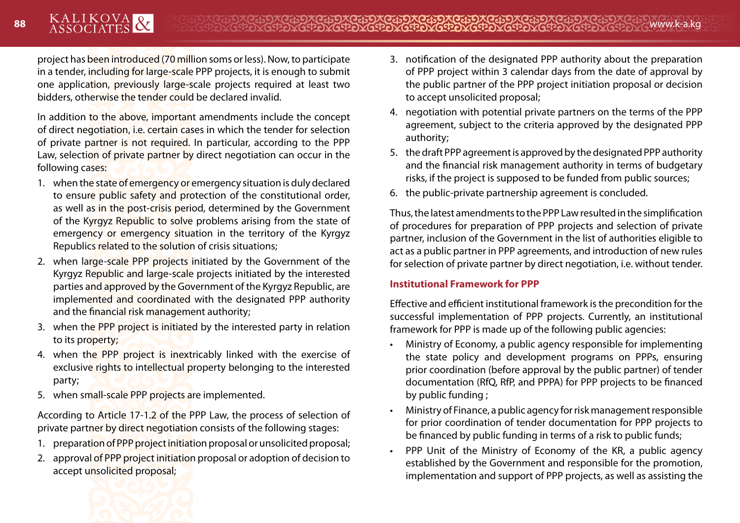project has been introduced (70 million soms or less). Now, to participate in a tender, including for large-scale PPP projects, it is enough to submit one application, previously large-scale projects required at least two bidders, otherwise the tender could be declared invalid.

In addition to the above, important amendments include the concept of direct negotiation, i.e. certain cases in which the tender for selection of private partner is not required. In particular, according to the PPP Law, selection of private partner by direct negotiation can occur in the following cases:

- 1. when the state of emergency or emergency situation is duly declared to ensure public safety and protection of the constitutional order, as well as in the post-crisis period, determined by the Government of the Kyrgyz Republic to solve problems arising from the state of emergency or emergency situation in the territory of the Kyrgyz Republics related to the solution of crisis situations;
- 2. when large-scale PPP projects initiated by the Government of the Kyrgyz Republic and large-scale projects initiated by the interested parties and approved by the Government of the Kyrgyz Republic, are implemented and coordinated with the designated PPP authority and the financial risk management authority;
- 3. when the PPP project is initiated by the interested party in relation to its property;
- 4. when the PPP project is inextricably linked with the exercise of exclusive rights to intellectual property belonging to the interested party;
- 5. when small-scale PPP projects are implemented.

According to Article 17-1.2 of the PPP Law, the process of selection of private partner by direct negotiation consists of the following stages:

- 1. preparation of PPP project initiation proposal or unsolicited proposal;
- 2. approval of PPP project initiation proposal or adoption of decision to accept unsolicited proposal;
- 3. notification of the designated PPP authority about the preparation of PPP project within 3 calendar days from the date of approval by the public partner of the PPP project initiation proposal or decision to accept unsolicited proposal;
- 4. negotiation with potential private partners on the terms of the PPP agreement, subject to the criteria approved by the designated PPP authority;
- 5. the draft PPP agreement is approved by the designated PPP authority and the financial risk management authority in terms of budgetary risks, if the project is supposed to be funded from public sources;
- 6. the public-private partnership agreement is concluded.

Thus, the latest amendments to the PPP Law resulted in the simplification of procedures for preparation of PPP projects and selection of private partner, inclusion of the Government in the list of authorities eligible to act as a public partner in PPP agreements, and introduction of new rules for selection of private partner by direct negotiation, i.e. without tender.

#### **Institutional Framework for PPP**

Effective and efficient institutional framework is the precondition for the successful implementation of PPP projects. Currently, an institutional framework for PPP is made up of the following public agencies:

- Ministry of Economy, a public agency responsible for implementing the state policy and development programs on PPPs, ensuring prior coordination (before approval by the public partner) of tender documentation (RfQ, RfP, and PPPA) for PPP projects to be financed by public funding ;
- Ministry of Finance, a public agency for risk management responsible for prior coordination of tender documentation for PPP projects to be financed by public funding in terms of a risk to public funds;
- PPP Unit of the Ministry of Economy of the KR, a public agency established by the Government and responsible for the promotion, implementation and support of PPP projects, as well as assisting the

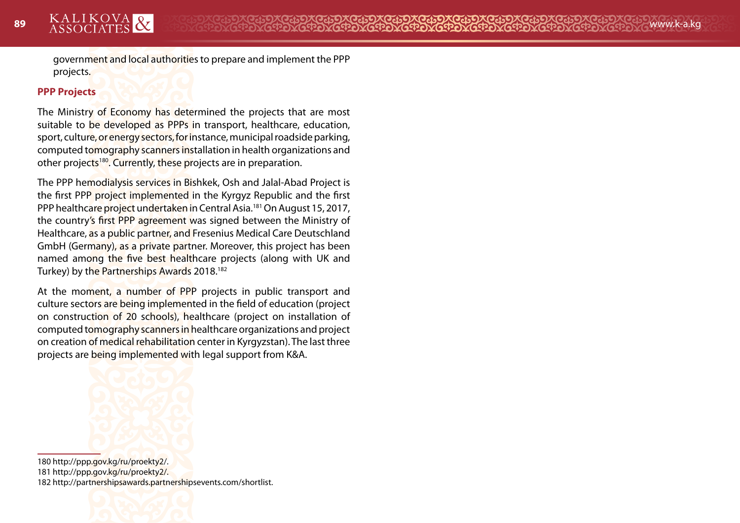government and local authorities to prepare and implement the PPP projects.

#### **PPP Projects**

The Ministry of Economy has determined the projects that are most suitable to be developed as PPPs in transport, healthcare, education, sport, culture, or energy sectors, for instance, municipal roadside parking, computed tomography scanners installation in health organizations and other projects<sup>180</sup>. Currently, these projects are in preparation.

The PPP hemodialysis services in Bishkek, Osh and Jalal-Abad Project is the first PPP project implemented in the Kyrgyz Republic and the first PPP healthcare project undertaken in Central Asia.181 On August 15, 2017, the country's first PPP agreement was signed between the Ministry of Healthcare, as a public partner, and Fresenius Medical Care Deutschland GmbH (Germany), as a private partner. Moreover, this project has been named among the five best healthcare projects (along with UK and Turkey) by the Partnerships Awards 2018.182

At the moment, a number of PPP projects in public transport and culture sectors are being implemented in the field of education (project on construction of 20 schools), healthcare (project on installation of computed tomography scanners in healthcare organizations and project on creation of medical rehabilitation center in Kyrgyzstan). The last three projects are being implemented with legal support from K&A.



180 http://ppp.gov.kg/ru/proekty2/. 181 http://ppp.gov.kg/ru/proekty2/. 182 http://partnershipsawards.partnershipsevents.com/shortlist.

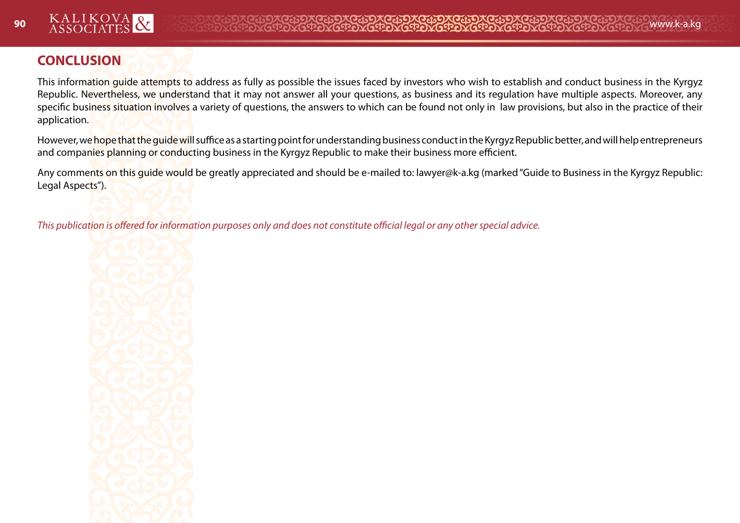

# **CONCLUSION**

This information guide attempts to address as fully as possible the issues faced by investors who wish to establish and conduct business in the Kyrgyz Republic. Nevertheless, we understand that it may not answer all your questions, as business and its regulation have multiple aspects. Moreover, any specific business situation involves a variety of questions, the answers to which can be found not only in law provisions, but also in the practice of their application.

However, we hope that the guide will suffice as a starting point for understanding business conduct in the Kyrgyz Republic better, and will help entrepreneurs and companies planning or conducting business in the Kyrgyz Republic to make their business more efficient.

Any comments on this quide would be greatly appreciated and should be e-mailed to: lawyer@k-a.kg (marked "Guide to Business in the Kyrgyz Republic: Legal Aspects").

*This publication is offered for information purposes only and does not constitute official legal or any other special advice.*

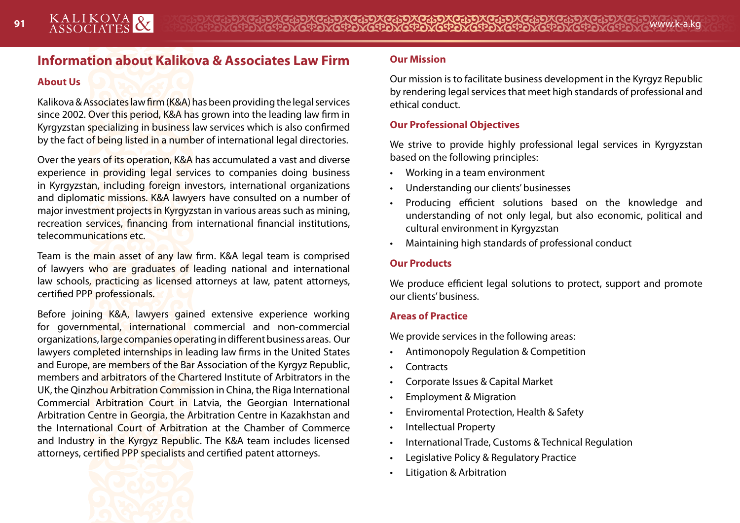# **Information about Kalikova & Associates Law Firm**

#### **About Us**

Kalikova & Associates law firm (K&A) has been providing the legal services since 2002. Over this period, K&A has grown into the leading law firm in Kyrgyzstan specializing in business law services which is also confirmed by the fact of being listed in a number of international legal directories.

Over the years of its operation, K&A has accumulated a vast and diverse experience in providing legal services to companies doing business in Kyrgyzstan, including foreign investors, international organizations and diplomatic missions. K&A lawyers have consulted on a number of major investment projects in Kyrgyzstan in various areas such as mining, recreation services, financing from international financial institutions, telecommunications etc.

Team is the main asset of any law firm. K&A legal team is comprised of lawyers who are graduates of leading national and international law schools, practicing as licensed attorneys at law, patent attorneys, certified PPP professionals.

Before joining K&A, lawyers gained extensive experience working for governmental, international commercial and non-commercial organizations, large companies operating in different business areas. Our lawyers completed internships in leading law firms in the United States and Europe, are members of the Bar Association of the Kyrgyz Republic, members and arbitrators of the Chartered Institute of Arbitrators in the UK, the Qinzhou Arbitration Commission in China, the Riga International Commercial Arbitration Court in Latvia, the Georgian International Arbitration Centre in Georgia, the Arbitration Centre in Kazakhstan and the International Court of Arbitration at the Chamber of Commerce and Industry in the Kyrgyz Republic. The K&A team includes licensed attorneys, certified PPP specialists and certified patent attorneys.

## **Our Mission**

Our mission is to facilitate business development in the Kyrgyz Republic by rendering legal services that meet high standards of professional and ethical conduct.

#### **Our Professional Objectives**

We strive to provide highly professional legal services in Kyrgyzstan based on the following principles:

- Working in a team environment
- Understanding our clients' businesses
- Producing efficient solutions based on the knowledge and understanding of not only legal, but also economic, political and cultural environment in Kyrgyzstan
- Maintaining high standards of professional conduct

### **Our Products**

We produce efficient legal solutions to protect, support and promote our clients' business.

#### **Areas of Practice**

We provide services in the following areas:

- Antimonopoly Regulation & Competition
- Contracts
- Corporate Issues & Capital Market
- Employment & Migration
- Enviromental Protection, Health & Safety
- Intellectual Property
- International Trade, Customs & Technical Regulation
- Legislative Policy & Regulatory Practice
- Litigation & Arbitration